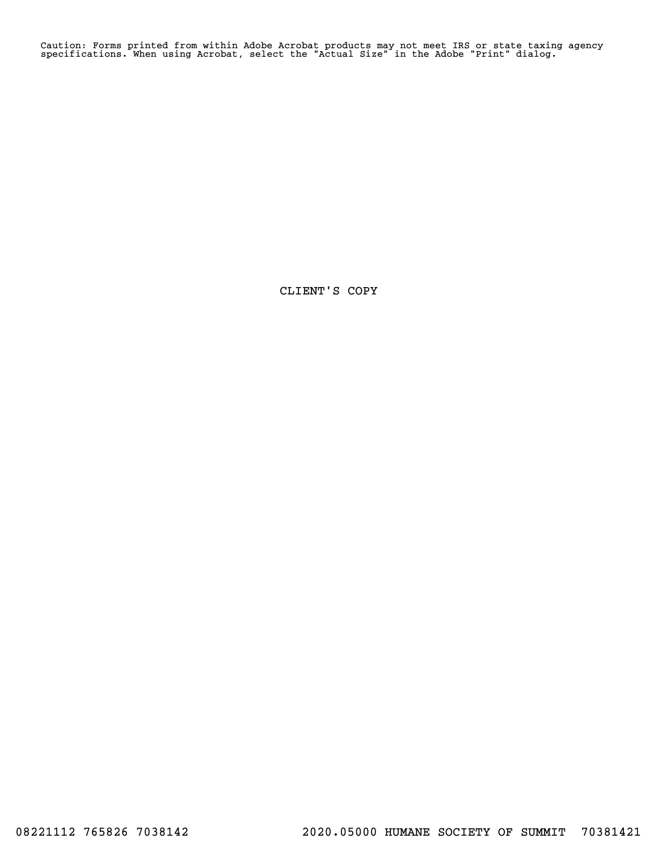Caution: Forms printed from within Adobe Acrobat products may not meet IRS or state taxing agency specifications. When using Acrobat, select the "Actual Size" in the Adobe "Print" dialog.

CLIENT'S COPY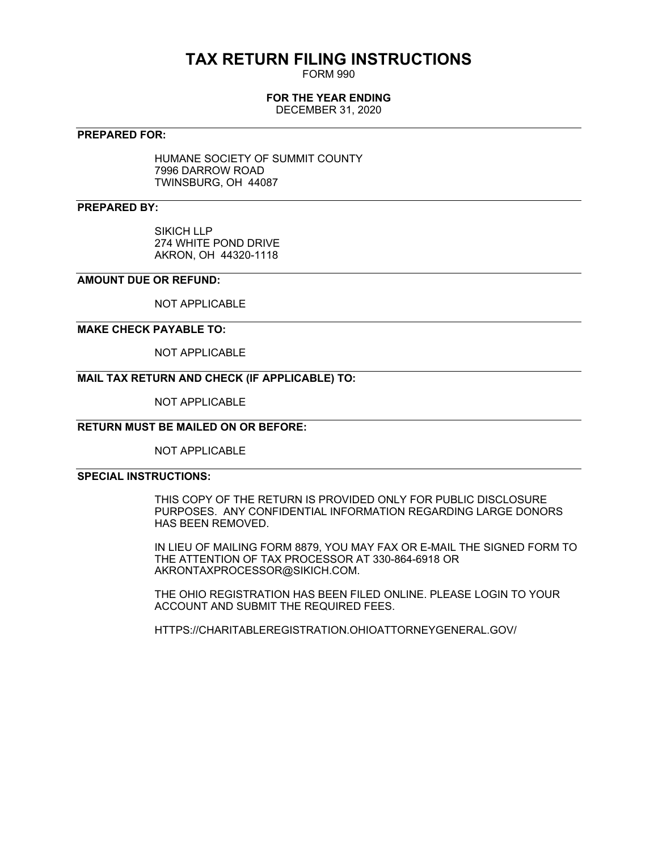# **TAX RETURN FILING INSTRUCTIONS**

FORM 990

# **FOR THE YEAR ENDING**

DECEMBER 31, 2020

## **PREPARED FOR:**

HUMANE SOCIETY OF SUMMIT COUNTY 7996 DARROW ROAD TWINSBURG, OH 44087

## **PREPARED BY:**

SIKICH LLP 274 WHITE POND DRIVE AKRON, OH 44320-1118

## **AMOUNT DUE OR REFUND:**

NOT APPLICABLE

## **MAKE CHECK PAYABLE TO:**

NOT APPLICABLE

# **MAIL TAX RETURN AND CHECK (IF APPLICABLE) TO:**

NOT APPLICABLE

# **RETURN MUST BE MAILED ON OR BEFORE:**

NOT APPLICABLE

# **SPECIAL INSTRUCTIONS:**

THIS COPY OF THE RETURN IS PROVIDED ONLY FOR PUBLIC DISCLOSURE PURPOSES. ANY CONFIDENTIAL INFORMATION REGARDING LARGE DONORS HAS BEEN REMOVED.

IN LIEU OF MAILING FORM 8879, YOU MAY FAX OR E-MAIL THE SIGNED FORM TO THE ATTENTION OF TAX PROCESSOR AT 330-864-6918 OR AKRONTAXPROCESSOR@SIKICH.COM.

THE OHIO REGISTRATION HAS BEEN FILED ONLINE. PLEASE LOGIN TO YOUR ACCOUNT AND SUBMIT THE REQUIRED FEES.

HTTPS://CHARITABLEREGISTRATION.OHIOATTORNEYGENERAL.GOV/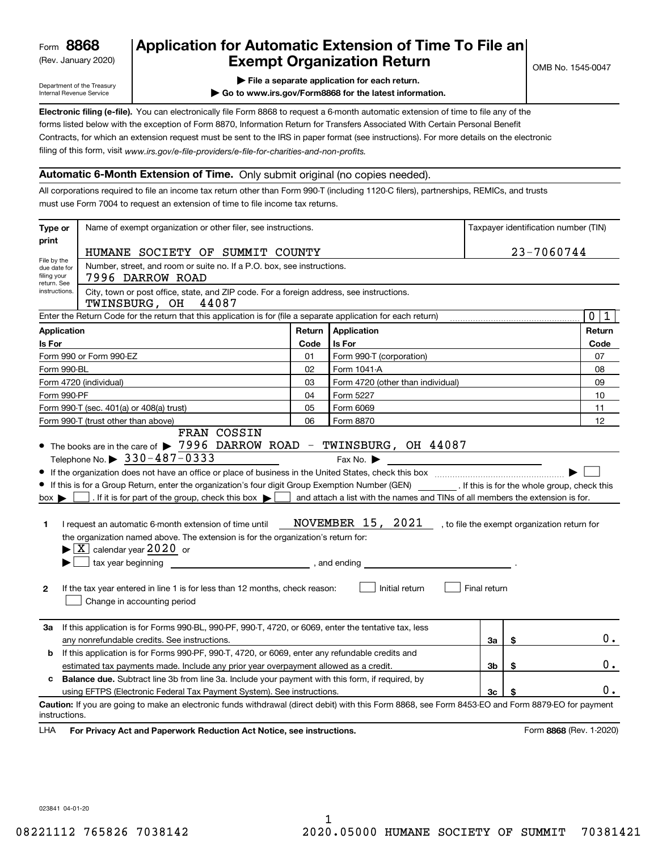(Rev. January 2020)

# **Application for Automatic Extension of Time To File an Exempt Organization Return**

Department of the Treasury Internal Revenue Service

| File a separate application for each return. |
|----------------------------------------------|
|----------------------------------------------|

**| Go to www.irs.gov/Form8868 for the latest information.**

**Electronic filing (e-file).**  You can electronically file Form 8868 to request a 6-month automatic extension of time to file any of the filing of this form, visit www.irs.gov/e-file-providers/e-file-for-charities-and-non-profits. forms listed below with the exception of Form 8870, Information Return for Transfers Associated With Certain Personal Benefit Contracts, for which an extension request must be sent to the IRS in paper format (see instructions). For more details on the electronic

### **Automatic 6-Month Extension of Time.** Only submit original (no copies needed).

All corporations required to file an income tax return other than Form 990-T (including 1120-C filers), partnerships, REMICs, and trusts must use Form 7004 to request an extension of time to file income tax returns.

| Type or                                         | Name of exempt organization or other filer, see instructions.                                                                                                                                                                                                                                                                                                                                                                                                                                                                                                                          |              |                                                                                                                                                                    |              |            | Taxpayer identification number (TIN) |
|-------------------------------------------------|----------------------------------------------------------------------------------------------------------------------------------------------------------------------------------------------------------------------------------------------------------------------------------------------------------------------------------------------------------------------------------------------------------------------------------------------------------------------------------------------------------------------------------------------------------------------------------------|--------------|--------------------------------------------------------------------------------------------------------------------------------------------------------------------|--------------|------------|--------------------------------------|
| print                                           | HUMANE SOCIETY OF SUMMIT COUNTY                                                                                                                                                                                                                                                                                                                                                                                                                                                                                                                                                        |              |                                                                                                                                                                    |              | 23-7060744 |                                      |
| File by the<br>due date for<br>filing your      | Number, street, and room or suite no. If a P.O. box, see instructions.<br>7996 DARROW ROAD                                                                                                                                                                                                                                                                                                                                                                                                                                                                                             |              |                                                                                                                                                                    |              |            |                                      |
| return. See<br>instructions.                    | City, town or post office, state, and ZIP code. For a foreign address, see instructions.<br>TWINSBURG, OH<br>44087                                                                                                                                                                                                                                                                                                                                                                                                                                                                     |              |                                                                                                                                                                    |              |            |                                      |
|                                                 | Enter the Return Code for the return that this application is for (file a separate application for each return)                                                                                                                                                                                                                                                                                                                                                                                                                                                                        |              |                                                                                                                                                                    |              |            | $\overline{0}$<br>1                  |
| <b>Application</b>                              |                                                                                                                                                                                                                                                                                                                                                                                                                                                                                                                                                                                        | Return       | Application                                                                                                                                                        |              |            | Return                               |
| Is For                                          |                                                                                                                                                                                                                                                                                                                                                                                                                                                                                                                                                                                        | Code         | Is For                                                                                                                                                             |              |            | Code                                 |
|                                                 | Form 990 or Form 990-EZ                                                                                                                                                                                                                                                                                                                                                                                                                                                                                                                                                                | 01           | Form 990-T (corporation)                                                                                                                                           |              |            | 07                                   |
| Form 990-BL                                     |                                                                                                                                                                                                                                                                                                                                                                                                                                                                                                                                                                                        | 02           | Form 1041-A                                                                                                                                                        |              |            | 08                                   |
|                                                 | Form 4720 (individual)                                                                                                                                                                                                                                                                                                                                                                                                                                                                                                                                                                 | 03           | Form 4720 (other than individual)                                                                                                                                  |              |            | 09                                   |
| Form 990-PF                                     |                                                                                                                                                                                                                                                                                                                                                                                                                                                                                                                                                                                        | 04           | Form 5227                                                                                                                                                          |              |            | 10                                   |
|                                                 | Form 990-T (sec. 401(a) or 408(a) trust)                                                                                                                                                                                                                                                                                                                                                                                                                                                                                                                                               | 05           | Form 6069                                                                                                                                                          |              |            | 11                                   |
|                                                 | Form 990-T (trust other than above)<br>FRAN COSSIN                                                                                                                                                                                                                                                                                                                                                                                                                                                                                                                                     | 06           | Form 8870                                                                                                                                                          |              |            | 12                                   |
| $box \blacktriangleright$<br>1.<br>$\mathbf{2}$ | If this is for a Group Return, enter the organization's four digit Group Exemption Number (GEN) _________. If this is for the whole group, check this<br>. If it is for part of the group, check this box $\blacktriangleright$  <br>I request an automatic 6-month extension of time until<br>the organization named above. The extension is for the organization's return for:<br>$\blacktriangleright$ $\boxed{\text{X}}$ calendar year 2020 or<br>tax year beginning<br>If the tax year entered in line 1 is for less than 12 months, check reason:<br>Change in accounting period | , and ending | and attach a list with the names and TINs of all members the extension is for.<br>NOVEMBER 15, 2021 , to file the exempt organization return for<br>Initial return | Final return |            |                                      |
| За                                              | If this application is for Forms 990-BL, 990-PF, 990-T, 4720, or 6069, enter the tentative tax, less<br>any nonrefundable credits. See instructions.                                                                                                                                                                                                                                                                                                                                                                                                                                   |              |                                                                                                                                                                    | За           | \$         | 0.                                   |
| b                                               | If this application is for Forms 990-PF, 990-T, 4720, or 6069, enter any refundable credits and                                                                                                                                                                                                                                                                                                                                                                                                                                                                                        |              |                                                                                                                                                                    |              |            |                                      |
|                                                 | estimated tax payments made. Include any prior year overpayment allowed as a credit.                                                                                                                                                                                                                                                                                                                                                                                                                                                                                                   |              |                                                                                                                                                                    | 3b           | \$         | 0.                                   |
| c                                               | <b>Balance due.</b> Subtract line 3b from line 3a. Include your payment with this form, if required, by                                                                                                                                                                                                                                                                                                                                                                                                                                                                                |              |                                                                                                                                                                    |              |            |                                      |
|                                                 | using EFTPS (Electronic Federal Tax Payment System). See instructions.                                                                                                                                                                                                                                                                                                                                                                                                                                                                                                                 |              |                                                                                                                                                                    | 3c           | \$         | 0.                                   |
| instructions.                                   | Caution: If you are going to make an electronic funds withdrawal (direct debit) with this Form 8868, see Form 8453-EO and Form 8879-EO for payment                                                                                                                                                                                                                                                                                                                                                                                                                                     |              |                                                                                                                                                                    |              |            |                                      |
| LHA                                             | For Privacy Act and Paperwork Reduction Act Notice, see instructions.                                                                                                                                                                                                                                                                                                                                                                                                                                                                                                                  |              |                                                                                                                                                                    |              |            | Form 8868 (Rev. 1-2020)              |

023841 04-01-20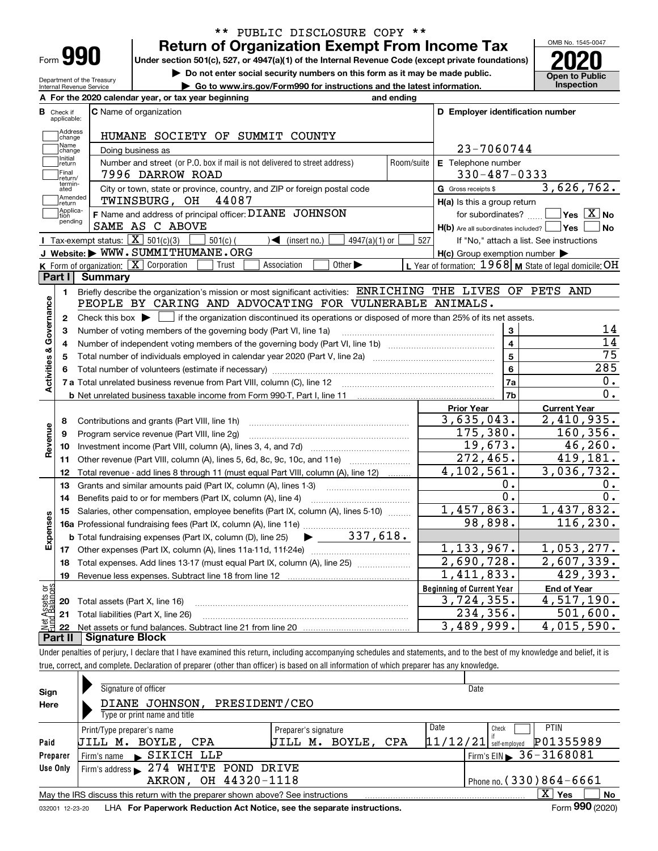| ⊦orm |  |
|------|--|

Department of the Treasury Internal Revenue Service

# **Return of Organization Exempt From Income Tax** \*\* PUBLIC DISCLOSURE COPY \*\*

**Under section 501(c), 527, or 4947(a)(1) of the Internal Revenue Code (except private foundations) 2020**

**| Do not enter social security numbers on this form as it may be made public.**

**| Go to www.irs.gov/Form990 for instructions and the latest information. Inspection**



|                         |                                                                                                                                                       | A For the 2020 calendar year, or tax year beginning                                                                                    | and ending     |                                                     |                                                           |  |  |  |
|-------------------------|-------------------------------------------------------------------------------------------------------------------------------------------------------|----------------------------------------------------------------------------------------------------------------------------------------|----------------|-----------------------------------------------------|-----------------------------------------------------------|--|--|--|
| в                       | Check if<br>applicable:                                                                                                                               | <b>C</b> Name of organization                                                                                                          |                | D Employer identification number                    |                                                           |  |  |  |
|                         | Address<br>change                                                                                                                                     | HUMANE SOCIETY OF SUMMIT COUNTY                                                                                                        |                |                                                     |                                                           |  |  |  |
|                         | Name<br>change                                                                                                                                        | Doing business as                                                                                                                      |                | 23-7060744                                          |                                                           |  |  |  |
|                         | Initial<br>Number and street (or P.O. box if mail is not delivered to street address)<br>Room/suite<br>return<br>Final<br>7996 DARROW ROAD<br>return/ |                                                                                                                                        |                | E Telephone number                                  |                                                           |  |  |  |
|                         |                                                                                                                                                       |                                                                                                                                        |                | $330 - 487 - 0333$                                  |                                                           |  |  |  |
|                         | termin-<br>ated                                                                                                                                       | City or town, state or province, country, and ZIP or foreign postal code                                                               |                | G Gross receipts \$                                 | 3,626,762.                                                |  |  |  |
|                         | Amended<br>∣return                                                                                                                                    | 44087<br>TWINSBURG, OH                                                                                                                 |                | H(a) Is this a group return                         |                                                           |  |  |  |
|                         | Applica-<br>ltion<br>pending                                                                                                                          | F Name and address of principal officer: DIANE JOHNSON                                                                                 |                | for subordinates?                                   | $\sqrt{\mathsf{Yes}\mathord{\;\mathbb{X}}\,}$ No          |  |  |  |
|                         |                                                                                                                                                       | SAME AS C ABOVE                                                                                                                        |                | $H(b)$ Are all subordinates included? $\Box$ Yes    | ∣ No                                                      |  |  |  |
|                         |                                                                                                                                                       | Tax-exempt status: $\boxed{\mathbf{X}}$ 501(c)(3)<br>$\sqrt{\bullet}$ (insert no.)<br>$501(c)$ (<br>$4947(a)(1)$ or                    | 527            |                                                     | If "No," attach a list. See instructions                  |  |  |  |
|                         |                                                                                                                                                       | J Website: WWW.SUMMITHUMANE.ORG                                                                                                        |                | $H(c)$ Group exemption number $\blacktriangleright$ |                                                           |  |  |  |
|                         |                                                                                                                                                       | K Form of organization: $\boxed{\mathbf{X}}$ Corporation<br>Other $\blacktriangleright$<br>Trust<br>Association                        |                |                                                     | L Year of formation: $1968$ M State of legal domicile: OH |  |  |  |
| Part I                  |                                                                                                                                                       | <b>Summary</b>                                                                                                                         |                |                                                     |                                                           |  |  |  |
|                         | 1.                                                                                                                                                    | Briefly describe the organization's mission or most significant activities: ENRICHING THE LIVES OF PETS AND                            |                |                                                     |                                                           |  |  |  |
|                         |                                                                                                                                                       | PEOPLE BY CARING AND ADVOCATING FOR VULNERABLE ANIMALS.                                                                                |                |                                                     |                                                           |  |  |  |
| Activities & Governance | $\mathbf{2}$                                                                                                                                          | Check this box $\blacktriangleright$   if the organization discontinued its operations or disposed of more than 25% of its net assets. |                |                                                     |                                                           |  |  |  |
|                         | 3                                                                                                                                                     | Number of voting members of the governing body (Part VI, line 1a)                                                                      |                | $\mathbf{3}$                                        | 14                                                        |  |  |  |
|                         | 4                                                                                                                                                     |                                                                                                                                        |                | $\overline{4}$                                      | $\overline{14}$                                           |  |  |  |
|                         | 5                                                                                                                                                     | Total number of individuals employed in calendar year 2020 (Part V, line 2a) manufacture controller to intervent                       |                | 5                                                   | $\overline{75}$                                           |  |  |  |
|                         | 6                                                                                                                                                     |                                                                                                                                        | $6\phantom{a}$ | 285                                                 |                                                           |  |  |  |
|                         |                                                                                                                                                       |                                                                                                                                        |                | 7a                                                  | О.                                                        |  |  |  |
|                         |                                                                                                                                                       |                                                                                                                                        |                | 7b                                                  | 0.                                                        |  |  |  |
|                         |                                                                                                                                                       |                                                                                                                                        |                | <b>Prior Year</b>                                   | <b>Current Year</b>                                       |  |  |  |
|                         | 8                                                                                                                                                     | Contributions and grants (Part VIII, line 1h)                                                                                          |                | 3,635,043.                                          | 2,410,935.                                                |  |  |  |
| Revenue                 | 9                                                                                                                                                     | Program service revenue (Part VIII, line 2g)                                                                                           |                | 175,380.                                            | 160, 356.                                                 |  |  |  |
|                         | 10                                                                                                                                                    |                                                                                                                                        |                | 19,673.                                             | 46, 260.                                                  |  |  |  |
|                         | 11                                                                                                                                                    | Other revenue (Part VIII, column (A), lines 5, 6d, 8c, 9c, 10c, and 11e)                                                               |                | 272,465.                                            | 419,181.                                                  |  |  |  |
|                         | 12                                                                                                                                                    | Total revenue - add lines 8 through 11 (must equal Part VIII, column (A), line 12)                                                     |                | 4, 102, 561.                                        | 3,036,732.                                                |  |  |  |
|                         | 13                                                                                                                                                    | Grants and similar amounts paid (Part IX, column (A), lines 1-3) <i>mummumumumum</i>                                                   |                | 0.                                                  | 0.                                                        |  |  |  |
|                         | 14                                                                                                                                                    | Benefits paid to or for members (Part IX, column (A), line 4)                                                                          |                | $\overline{0}$ .                                    | $\overline{0}$ .                                          |  |  |  |
|                         | 15                                                                                                                                                    | Salaries, other compensation, employee benefits (Part IX, column (A), lines 5-10)                                                      |                | 1,457,863.                                          | 1,437,832.                                                |  |  |  |
|                         |                                                                                                                                                       |                                                                                                                                        |                | 98,898.                                             | 116, 230.                                                 |  |  |  |
| Expenses                |                                                                                                                                                       | 337,618.<br><b>b</b> Total fundraising expenses (Part IX, column (D), line 25)                                                         |                |                                                     |                                                           |  |  |  |
|                         | 17                                                                                                                                                    |                                                                                                                                        |                | 1,133,967.                                          | 1,053,277.                                                |  |  |  |
|                         | 18                                                                                                                                                    | Total expenses. Add lines 13-17 (must equal Part IX, column (A), line 25)                                                              |                | 2,690,728.                                          | 2,607,339.                                                |  |  |  |
|                         | 19                                                                                                                                                    |                                                                                                                                        |                | 1,411,833.                                          | 429,393.                                                  |  |  |  |
| ăğ                      |                                                                                                                                                       |                                                                                                                                        |                | <b>Beginning of Current Year</b>                    | <b>End of Year</b>                                        |  |  |  |
| sets<br>alanc           |                                                                                                                                                       | <b>20</b> Total assets (Part X, line 16)                                                                                               |                | 3,724,355.                                          | 4,517,190.                                                |  |  |  |
|                         |                                                                                                                                                       | 21 Total liabilities (Part X, line 26)                                                                                                 |                | 234, 356.                                           | 501,600.                                                  |  |  |  |
|                         |                                                                                                                                                       | <u> Eigneture Plank</u>                                                                                                                |                | 3,489,999.                                          | $\overline{4,015,590}$ .                                  |  |  |  |

**Part II Signature Block**

Under penalties of perjury, I declare that I have examined this return, including accompanying schedules and statements, and to the best of my knowledge and belief, it is true, correct, and complete. Declaration of preparer (other than officer) is based on all information of which preparer has any knowledge.

| Sign     | Signature of officer                                                                                         |                      | Date                                     |  |  |  |  |
|----------|--------------------------------------------------------------------------------------------------------------|----------------------|------------------------------------------|--|--|--|--|
| Here     | PRESIDENT/CEO<br>DIANE JOHNSON,                                                                              |                      |                                          |  |  |  |  |
|          | Type or print name and title                                                                                 |                      |                                          |  |  |  |  |
|          | Print/Type preparer's name                                                                                   | Preparer's signature | Date<br><b>PTIN</b><br>Check             |  |  |  |  |
| Paid     | UILL M. BOYLE, CPA                                                                                           | UILL M. BOYLE, CPA   | P01355989<br>$11/12/21$ self-employed    |  |  |  |  |
| Preparer | Firm's name SIKICH LLP                                                                                       |                      | Firm's EIN $\triangleright$ 36 - 3168081 |  |  |  |  |
| Use Only | Firm's address 274 WHITE POND DRIVE                                                                          |                      |                                          |  |  |  |  |
|          | AKRON, OH 44320-1118                                                                                         |                      | Phone no. (330) 864-6661                 |  |  |  |  |
|          | X.<br>No<br>Yes<br>May the IRS discuss this return with the preparer shown above? See instructions           |                      |                                          |  |  |  |  |
|          | Form 990 (2020)<br>LHA For Paperwork Reduction Act Notice, see the separate instructions.<br>032001 12-23-20 |                      |                                          |  |  |  |  |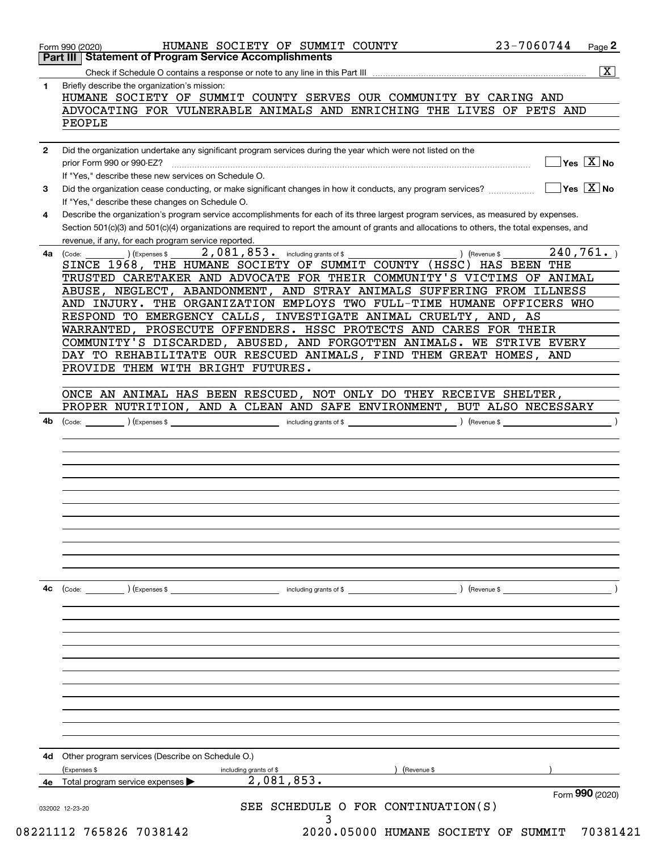|              | <b>Part III   Statement of Program Service Accomplishments</b>                                                                                                                                                                                                                       |
|--------------|--------------------------------------------------------------------------------------------------------------------------------------------------------------------------------------------------------------------------------------------------------------------------------------|
|              | $\overline{\mathbf{x}}$                                                                                                                                                                                                                                                              |
| 1.           | Briefly describe the organization's mission:<br>HUMANE SOCIETY OF SUMMIT COUNTY SERVES OUR COMMUNITY BY CARING AND                                                                                                                                                                   |
|              | ADVOCATING FOR VULNERABLE ANIMALS AND ENRICHING THE LIVES OF PETS AND                                                                                                                                                                                                                |
|              | PEOPLE                                                                                                                                                                                                                                                                               |
| $\mathbf{2}$ | Did the organization undertake any significant program services during the year which were not listed on the                                                                                                                                                                         |
|              | $Yes \quad X$ No<br>prior Form 990 or 990-EZ?<br>If "Yes," describe these new services on Schedule O.                                                                                                                                                                                |
| 3            | $\sqrt{}$ Yes $\sqrt{X}$ No<br>Did the organization cease conducting, or make significant changes in how it conducts, any program services?<br>If "Yes," describe these changes on Schedule O.                                                                                       |
| 4            | Describe the organization's program service accomplishments for each of its three largest program services, as measured by expenses.<br>Section 501(c)(3) and 501(c)(4) organizations are required to report the amount of grants and allocations to others, the total expenses, and |
| 4a           | revenue, if any, for each program service reported.<br>2,081,853. including grants of \$<br>240, 761.<br>) (Revenue \$<br>(Expenses \$<br>(Code:                                                                                                                                     |
|              | SINCE 1968, THE HUMANE SOCIETY OF SUMMIT COUNTY (HSSC) HAS BEEN THE<br>TRUSTED CARETAKER AND ADVOCATE FOR THEIR COMMUNITY'S VICTIMS OF ANIMAL                                                                                                                                        |
|              | ABUSE, NEGLECT, ABANDONMENT, AND STRAY ANIMALS SUFFERING FROM ILLNESS                                                                                                                                                                                                                |
|              | AND INJURY. THE ORGANIZATION EMPLOYS TWO FULL-TIME HUMANE OFFICERS WHO<br>RESPOND TO EMERGENCY CALLS, INVESTIGATE ANIMAL CRUELTY, AND, AS                                                                                                                                            |
|              | WARRANTED, PROSECUTE OFFENDERS. HSSC PROTECTS AND CARES FOR THEIR                                                                                                                                                                                                                    |
|              | COMMUNITY'S DISCARDED, ABUSED, AND FORGOTTEN ANIMALS. WE STRIVE EVERY<br>DAY TO REHABILITATE OUR RESCUED ANIMALS, FIND THEM GREAT HOMES, AND                                                                                                                                         |
|              | PROVIDE THEM WITH BRIGHT FUTURES.                                                                                                                                                                                                                                                    |
|              | ONCE AN ANIMAL HAS BEEN RESCUED, NOT ONLY DO THEY RECEIVE SHELTER,                                                                                                                                                                                                                   |
|              | PROPER NUTRITION, AND A CLEAN AND SAFE ENVIRONMENT, BUT ALSO NECESSARY                                                                                                                                                                                                               |
| 4b           | $\text{(Code:)}$ $\text{(Expenses $}$<br>$\left(\text{Revenue }$                                                                                                                                                                                                                     |
|              |                                                                                                                                                                                                                                                                                      |
|              |                                                                                                                                                                                                                                                                                      |
|              |                                                                                                                                                                                                                                                                                      |
|              |                                                                                                                                                                                                                                                                                      |
|              |                                                                                                                                                                                                                                                                                      |
| 4c           | (Code:<br>(Expenses \$<br>) (Revenue \$<br>including grants of \$                                                                                                                                                                                                                    |
|              |                                                                                                                                                                                                                                                                                      |
|              |                                                                                                                                                                                                                                                                                      |
|              |                                                                                                                                                                                                                                                                                      |
|              |                                                                                                                                                                                                                                                                                      |
|              |                                                                                                                                                                                                                                                                                      |
|              |                                                                                                                                                                                                                                                                                      |
| 4d           | Other program services (Describe on Schedule O.)                                                                                                                                                                                                                                     |
|              | (Revenue \$<br>(Expenses \$<br>including grants of \$                                                                                                                                                                                                                                |
| 4e           | 2,081,853.<br>Total program service expenses<br>Form 990 (2020)<br>SEE SCHEDULE O FOR CONTINUATION(S)                                                                                                                                                                                |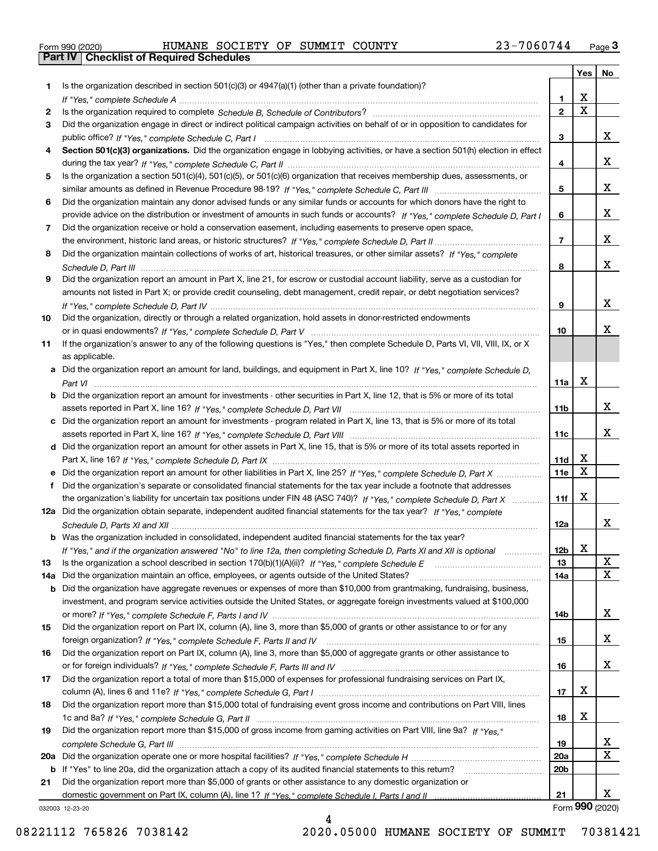|  | Form 990 (2020) |
|--|-----------------|

# Form 990 (2020) HUMANE SOCIETY OF SUMMIT COUNTY 23-7060744 <sub>Page</sub> 3<br>**Part IV | Checklist of Required Schedules**

|     |                                                                                                                                                                                                                                                    |                         | Yes                     | No          |
|-----|----------------------------------------------------------------------------------------------------------------------------------------------------------------------------------------------------------------------------------------------------|-------------------------|-------------------------|-------------|
| 1   | Is the organization described in section $501(c)(3)$ or $4947(a)(1)$ (other than a private foundation)?                                                                                                                                            |                         |                         |             |
|     |                                                                                                                                                                                                                                                    | 1.                      | X                       |             |
| 2   |                                                                                                                                                                                                                                                    | $\overline{\mathbf{c}}$ | $\overline{\text{x}}$   |             |
| 3   | Did the organization engage in direct or indirect political campaign activities on behalf of or in opposition to candidates for                                                                                                                    |                         |                         |             |
|     |                                                                                                                                                                                                                                                    | 3                       |                         | x           |
| 4   | Section 501(c)(3) organizations. Did the organization engage in lobbying activities, or have a section 501(h) election in effect                                                                                                                   |                         |                         |             |
|     |                                                                                                                                                                                                                                                    | 4                       |                         | x           |
| 5   | Is the organization a section 501(c)(4), 501(c)(5), or 501(c)(6) organization that receives membership dues, assessments, or                                                                                                                       |                         |                         |             |
|     |                                                                                                                                                                                                                                                    | 5                       |                         | x           |
| 6   | Did the organization maintain any donor advised funds or any similar funds or accounts for which donors have the right to                                                                                                                          | 6                       |                         | x           |
| 7   | provide advice on the distribution or investment of amounts in such funds or accounts? If "Yes," complete Schedule D, Part I<br>Did the organization receive or hold a conservation easement, including easements to preserve open space,          |                         |                         |             |
|     |                                                                                                                                                                                                                                                    | $\overline{7}$          |                         | x           |
| 8   | Did the organization maintain collections of works of art, historical treasures, or other similar assets? If "Yes," complete                                                                                                                       |                         |                         |             |
|     |                                                                                                                                                                                                                                                    | 8                       |                         | X.          |
| 9   | Did the organization report an amount in Part X, line 21, for escrow or custodial account liability, serve as a custodian for                                                                                                                      |                         |                         |             |
|     | amounts not listed in Part X; or provide credit counseling, debt management, credit repair, or debt negotiation services?                                                                                                                          |                         |                         |             |
|     |                                                                                                                                                                                                                                                    | 9                       |                         | x           |
| 10  | Did the organization, directly or through a related organization, hold assets in donor-restricted endowments                                                                                                                                       |                         |                         |             |
|     |                                                                                                                                                                                                                                                    | 10                      |                         | x           |
| 11  | If the organization's answer to any of the following questions is "Yes," then complete Schedule D, Parts VI, VII, VIII, IX, or X                                                                                                                   |                         |                         |             |
|     | as applicable.                                                                                                                                                                                                                                     |                         |                         |             |
|     | a Did the organization report an amount for land, buildings, and equipment in Part X, line 10? If "Yes," complete Schedule D,                                                                                                                      |                         |                         |             |
|     |                                                                                                                                                                                                                                                    | 11a                     | X                       |             |
|     | <b>b</b> Did the organization report an amount for investments - other securities in Part X, line 12, that is 5% or more of its total                                                                                                              |                         |                         |             |
|     |                                                                                                                                                                                                                                                    | 11b                     |                         | X.          |
| c   | Did the organization report an amount for investments - program related in Part X, line 13, that is 5% or more of its total                                                                                                                        |                         |                         |             |
|     |                                                                                                                                                                                                                                                    | 11c                     |                         | X.          |
|     | d Did the organization report an amount for other assets in Part X, line 15, that is 5% or more of its total assets reported in                                                                                                                    |                         | х                       |             |
|     |                                                                                                                                                                                                                                                    | 11d<br>11e              | $\overline{\mathbf{x}}$ |             |
| f   | e Did the organization report an amount for other liabilities in Part X, line 25? If "Yes," complete Schedule D, Part X<br>Did the organization's separate or consolidated financial statements for the tax year include a footnote that addresses |                         |                         |             |
|     | the organization's liability for uncertain tax positions under FIN 48 (ASC 740)? If "Yes," complete Schedule D, Part X                                                                                                                             | 11f                     | X                       |             |
|     | 12a Did the organization obtain separate, independent audited financial statements for the tax year? If "Yes," complete                                                                                                                            |                         |                         |             |
|     |                                                                                                                                                                                                                                                    | 12a                     |                         | X.          |
|     | <b>b</b> Was the organization included in consolidated, independent audited financial statements for the tax year?                                                                                                                                 |                         |                         |             |
|     | If "Yes," and if the organization answered "No" to line 12a, then completing Schedule D, Parts XI and XII is optional                                                                                                                              | 12b                     | X                       |             |
| 13  |                                                                                                                                                                                                                                                    | 13                      |                         | X           |
| 14a | Did the organization maintain an office, employees, or agents outside of the United States?                                                                                                                                                        | 14a                     |                         | $\mathbf X$ |
| b   | Did the organization have aggregate revenues or expenses of more than \$10,000 from grantmaking, fundraising, business,                                                                                                                            |                         |                         |             |
|     | investment, and program service activities outside the United States, or aggregate foreign investments valued at \$100,000                                                                                                                         |                         |                         |             |
|     |                                                                                                                                                                                                                                                    | 14b                     |                         | x           |
| 15  | Did the organization report on Part IX, column (A), line 3, more than \$5,000 of grants or other assistance to or for any                                                                                                                          |                         |                         |             |
|     |                                                                                                                                                                                                                                                    | 15                      |                         | x           |
| 16  | Did the organization report on Part IX, column (A), line 3, more than \$5,000 of aggregate grants or other assistance to                                                                                                                           |                         |                         | x           |
|     |                                                                                                                                                                                                                                                    | 16                      |                         |             |
| 17  | Did the organization report a total of more than \$15,000 of expenses for professional fundraising services on Part IX,                                                                                                                            | 17                      | х                       |             |
| 18  | Did the organization report more than \$15,000 total of fundraising event gross income and contributions on Part VIII, lines                                                                                                                       |                         |                         |             |
|     |                                                                                                                                                                                                                                                    | 18                      | х                       |             |
| 19  | Did the organization report more than \$15,000 of gross income from gaming activities on Part VIII, line 9a? If "Yes."                                                                                                                             |                         |                         |             |
|     |                                                                                                                                                                                                                                                    | 19                      |                         | X           |
| 20a |                                                                                                                                                                                                                                                    | 20a                     |                         | $\mathbf X$ |
| b   | If "Yes" to line 20a, did the organization attach a copy of its audited financial statements to this return?                                                                                                                                       | 20 <sub>b</sub>         |                         |             |
| 21  | Did the organization report more than \$5,000 of grants or other assistance to any domestic organization or                                                                                                                                        |                         |                         |             |
|     |                                                                                                                                                                                                                                                    | 21                      |                         | X.          |
|     | 032003 12-23-20                                                                                                                                                                                                                                    |                         | Form 990 (2020)         |             |

4

032003 12-23-20

08221112 765826 7038142 2020.05000 HUMANE SOCIETY OF SUMMIT 70381421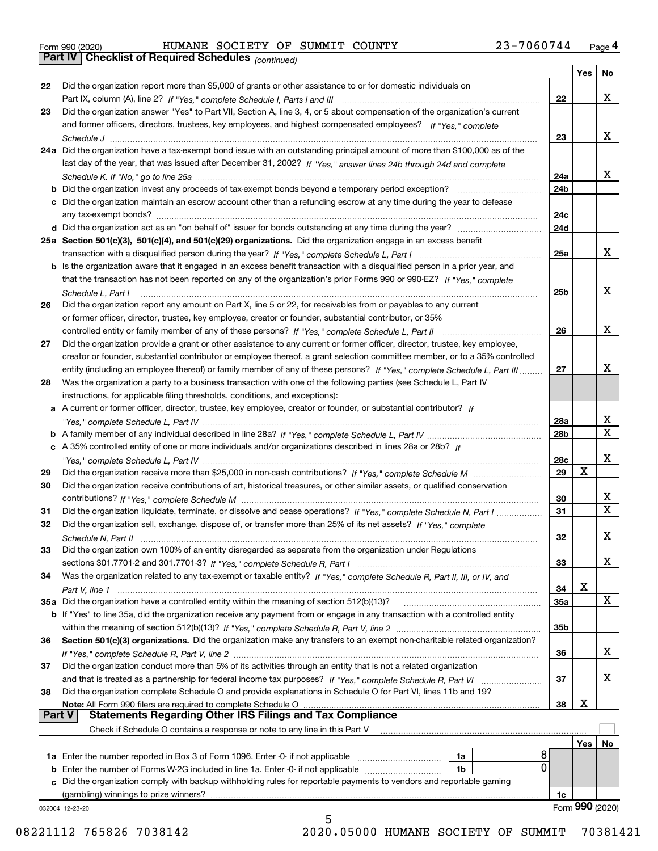|  | Form 990 (2020) |
|--|-----------------|
|  |                 |

*(continued)*

|               |                                                                                                                                    |                 | Yes | No              |
|---------------|------------------------------------------------------------------------------------------------------------------------------------|-----------------|-----|-----------------|
| 22            | Did the organization report more than \$5,000 of grants or other assistance to or for domestic individuals on                      |                 |     |                 |
|               |                                                                                                                                    | 22              |     | х               |
| 23            | Did the organization answer "Yes" to Part VII, Section A, line 3, 4, or 5 about compensation of the organization's current         |                 |     |                 |
|               | and former officers, directors, trustees, key employees, and highest compensated employees? If "Yes," complete                     |                 |     |                 |
|               |                                                                                                                                    | 23              |     | х               |
|               | 24a Did the organization have a tax-exempt bond issue with an outstanding principal amount of more than \$100,000 as of the        |                 |     |                 |
|               | last day of the year, that was issued after December 31, 2002? If "Yes," answer lines 24b through 24d and complete                 |                 |     |                 |
|               |                                                                                                                                    | 24a             |     | х               |
|               | <b>b</b> Did the organization invest any proceeds of tax-exempt bonds beyond a temporary period exception?                         | 24 <sub>b</sub> |     |                 |
|               | c Did the organization maintain an escrow account other than a refunding escrow at any time during the year to defease             |                 |     |                 |
|               |                                                                                                                                    | 24c             |     |                 |
|               |                                                                                                                                    | 24d             |     |                 |
|               | 25a Section 501(c)(3), 501(c)(4), and 501(c)(29) organizations. Did the organization engage in an excess benefit                   |                 |     |                 |
|               |                                                                                                                                    | 25a             |     | х               |
|               | b Is the organization aware that it engaged in an excess benefit transaction with a disqualified person in a prior year, and       |                 |     |                 |
|               | that the transaction has not been reported on any of the organization's prior Forms 990 or 990-EZ? If "Yes," complete              |                 |     |                 |
|               | Schedule L, Part I                                                                                                                 | 25 <sub>b</sub> |     | х               |
| 26            | Did the organization report any amount on Part X, line 5 or 22, for receivables from or payables to any current                    |                 |     |                 |
|               | or former officer, director, trustee, key employee, creator or founder, substantial contributor, or 35%                            |                 |     |                 |
|               |                                                                                                                                    | 26              |     | х               |
| 27            | Did the organization provide a grant or other assistance to any current or former officer, director, trustee, key employee,        |                 |     |                 |
|               | creator or founder, substantial contributor or employee thereof, a grant selection committee member, or to a 35% controlled        |                 |     |                 |
|               | entity (including an employee thereof) or family member of any of these persons? If "Yes," complete Schedule L, Part III           | 27              |     | х               |
| 28            | Was the organization a party to a business transaction with one of the following parties (see Schedule L, Part IV                  |                 |     |                 |
|               | instructions, for applicable filing thresholds, conditions, and exceptions):                                                       |                 |     |                 |
|               | a A current or former officer, director, trustee, key employee, creator or founder, or substantial contributor? If                 |                 |     |                 |
|               |                                                                                                                                    | 28a             |     | х               |
|               |                                                                                                                                    | 28b             |     | $\mathbf x$     |
|               | c A 35% controlled entity of one or more individuals and/or organizations described in lines 28a or 28b? If                        |                 |     |                 |
|               |                                                                                                                                    | 28c             |     | х               |
| 29            |                                                                                                                                    | 29              | X   |                 |
| 30            | Did the organization receive contributions of art, historical treasures, or other similar assets, or qualified conservation        |                 |     |                 |
|               |                                                                                                                                    | 30              |     | х               |
| 31            | Did the organization liquidate, terminate, or dissolve and cease operations? If "Yes," complete Schedule N, Part I                 | 31              |     | $\mathbf x$     |
| 32            | Did the organization sell, exchange, dispose of, or transfer more than 25% of its net assets? If "Yes," complete                   |                 |     |                 |
|               |                                                                                                                                    | 32              |     | х               |
| 33            | Did the organization own 100% of an entity disregarded as separate from the organization under Regulations                         |                 |     |                 |
|               |                                                                                                                                    | 33              |     | х               |
| 34            | Was the organization related to any tax-exempt or taxable entity? If "Yes," complete Schedule R, Part II, III, or IV, and          |                 |     |                 |
|               |                                                                                                                                    | 34              | X   |                 |
|               | 35a Did the organization have a controlled entity within the meaning of section 512(b)(13)?                                        | 35a             |     | X               |
|               | <b>b</b> If "Yes" to line 35a, did the organization receive any payment from or engage in any transaction with a controlled entity |                 |     |                 |
|               |                                                                                                                                    | 35 <sub>b</sub> |     |                 |
| 36            | Section 501(c)(3) organizations. Did the organization make any transfers to an exempt non-charitable related organization?         |                 |     |                 |
|               |                                                                                                                                    | 36              |     | x               |
| 37            | Did the organization conduct more than 5% of its activities through an entity that is not a related organization                   |                 |     |                 |
|               | and that is treated as a partnership for federal income tax purposes? If "Yes," complete Schedule R, Part VI                       | 37              |     | х               |
| 38            | Did the organization complete Schedule O and provide explanations in Schedule O for Part VI, lines 11b and 19?                     |                 |     |                 |
|               | Note: All Form 990 filers are required to complete Schedule O                                                                      | 38              | х   |                 |
| <b>Part V</b> | <b>Statements Regarding Other IRS Filings and Tax Compliance</b>                                                                   |                 |     |                 |
|               | Check if Schedule O contains a response or note to any line in this Part V                                                         |                 |     |                 |
|               |                                                                                                                                    |                 | Yes | No              |
|               | 8<br>1a                                                                                                                            |                 |     |                 |
|               | 0<br>1b                                                                                                                            |                 |     |                 |
|               | c Did the organization comply with backup withholding rules for reportable payments to vendors and reportable gaming               |                 |     |                 |
|               | (gambling) winnings to prize winners?                                                                                              | 1c              |     |                 |
|               | 032004 12-23-20                                                                                                                    |                 |     | Form 990 (2020) |
|               | 5                                                                                                                                  |                 |     |                 |

08221112 765826 7038142 2020.05000 HUMANE SOCIETY OF SUMMIT 70381421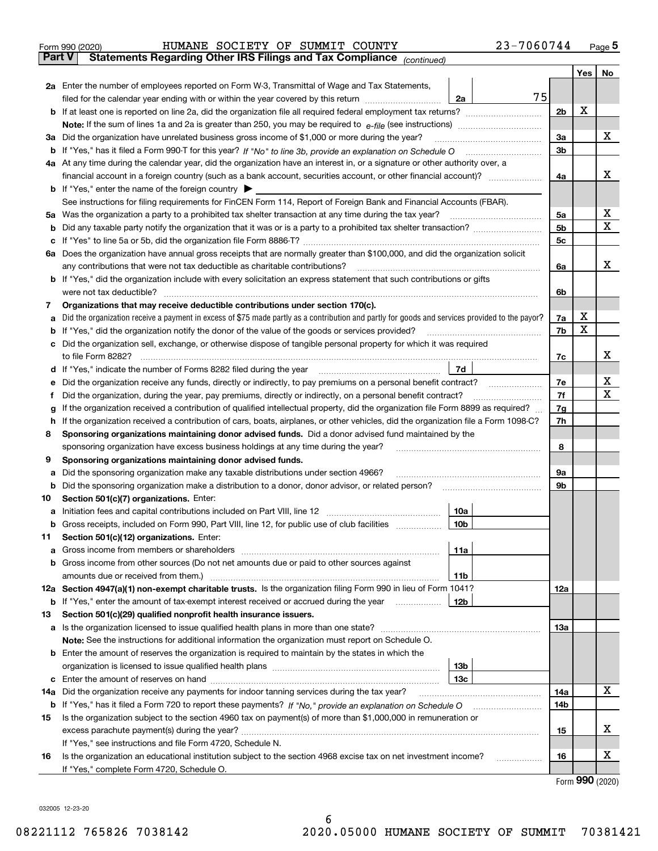|               | 23-7060744<br>HUMANE SOCIETY OF SUMMIT COUNTY<br>Form 990 (2020)                                                                                                                                                                           |                |    |     | $_{\text{Page}}$ 5 |
|---------------|--------------------------------------------------------------------------------------------------------------------------------------------------------------------------------------------------------------------------------------------|----------------|----|-----|--------------------|
| <b>Part V</b> | Statements Regarding Other IRS Filings and Tax Compliance (continued)                                                                                                                                                                      |                |    |     |                    |
|               |                                                                                                                                                                                                                                            |                |    | Yes | No                 |
|               | 2a Enter the number of employees reported on Form W-3, Transmittal of Wage and Tax Statements,                                                                                                                                             |                |    |     |                    |
|               | filed for the calendar year ending with or within the year covered by this return<br>2a                                                                                                                                                    | 75             |    |     |                    |
|               |                                                                                                                                                                                                                                            | 2 <sub>b</sub> |    | х   |                    |
|               |                                                                                                                                                                                                                                            |                |    |     |                    |
| За            | Did the organization have unrelated business gross income of \$1,000 or more during the year?                                                                                                                                              | 3a             |    |     | x                  |
| b             |                                                                                                                                                                                                                                            | 3 <sub>b</sub> |    |     |                    |
|               | 4a At any time during the calendar year, did the organization have an interest in, or a signature or other authority over, a                                                                                                               |                |    |     |                    |
|               |                                                                                                                                                                                                                                            |                | 4a |     | х                  |
|               | <b>b</b> If "Yes," enter the name of the foreign country $\blacktriangleright$                                                                                                                                                             |                |    |     |                    |
|               | See instructions for filing requirements for FinCEN Form 114, Report of Foreign Bank and Financial Accounts (FBAR).                                                                                                                        |                |    |     |                    |
| 5a            | Was the organization a party to a prohibited tax shelter transaction at any time during the tax year?                                                                                                                                      | 5a             |    |     | х                  |
| b             |                                                                                                                                                                                                                                            | 5b             |    |     | X                  |
| с             |                                                                                                                                                                                                                                            | 5c             |    |     |                    |
|               | 6a Does the organization have annual gross receipts that are normally greater than \$100,000, and did the organization solicit                                                                                                             |                |    |     |                    |
|               | any contributions that were not tax deductible as charitable contributions?                                                                                                                                                                |                | 6a |     | x                  |
|               | <b>b</b> If "Yes," did the organization include with every solicitation an express statement that such contributions or gifts                                                                                                              |                |    |     |                    |
|               | were not tax deductible?                                                                                                                                                                                                                   |                | 6b |     |                    |
| 7             | Organizations that may receive deductible contributions under section 170(c).                                                                                                                                                              |                |    |     |                    |
| а             | Did the organization receive a payment in excess of \$75 made partly as a contribution and partly for goods and services provided to the payor?                                                                                            | 7a             |    | х   |                    |
| b             | If "Yes," did the organization notify the donor of the value of the goods or services provided?                                                                                                                                            | 7b             |    | X   |                    |
|               | Did the organization sell, exchange, or otherwise dispose of tangible personal property for which it was required                                                                                                                          |                |    |     |                    |
|               |                                                                                                                                                                                                                                            | 7c             |    |     | х                  |
| d             | 7d                                                                                                                                                                                                                                         |                |    |     |                    |
| е             |                                                                                                                                                                                                                                            | 7e             |    |     | х<br>X             |
| f             | Did the organization, during the year, pay premiums, directly or indirectly, on a personal benefit contract?                                                                                                                               | 7f             |    |     |                    |
| g             | If the organization received a contribution of qualified intellectual property, did the organization file Form 8899 as required?                                                                                                           | 7g             |    |     |                    |
| h             | If the organization received a contribution of cars, boats, airplanes, or other vehicles, did the organization file a Form 1098-C?<br>Sponsoring organizations maintaining donor advised funds. Did a donor advised fund maintained by the |                | 7h |     |                    |
| 8             |                                                                                                                                                                                                                                            | 8              |    |     |                    |
| 9             | sponsoring organization have excess business holdings at any time during the year?<br>Sponsoring organizations maintaining donor advised funds.                                                                                            |                |    |     |                    |
| а             | Did the sponsoring organization make any taxable distributions under section 4966?                                                                                                                                                         | 9а             |    |     |                    |
| b             | Did the sponsoring organization make a distribution to a donor, donor advisor, or related person?                                                                                                                                          | 9b             |    |     |                    |
| 10            | Section 501(c)(7) organizations. Enter:                                                                                                                                                                                                    |                |    |     |                    |
| а             | 10a<br>Initiation fees and capital contributions included on Part VIII, line 12 [111] [11] [12] [11] [12] [11] [12] [                                                                                                                      |                |    |     |                    |
|               | 10b <br>Gross receipts, included on Form 990, Part VIII, line 12, for public use of club facilities                                                                                                                                        |                |    |     |                    |
| 11            | Section 501(c)(12) organizations. Enter:                                                                                                                                                                                                   |                |    |     |                    |
| а             | Gross income from members or shareholders<br>11a                                                                                                                                                                                           |                |    |     |                    |
| b             | Gross income from other sources (Do not net amounts due or paid to other sources against                                                                                                                                                   |                |    |     |                    |
|               | 11 <sub>b</sub><br>amounts due or received from them.)                                                                                                                                                                                     |                |    |     |                    |
|               | 12a Section 4947(a)(1) non-exempt charitable trusts. Is the organization filing Form 990 in lieu of Form 1041?                                                                                                                             | <b>12a</b>     |    |     |                    |
|               | 12b<br><b>b</b> If "Yes," enter the amount of tax-exempt interest received or accrued during the year <i>manument</i> of                                                                                                                   |                |    |     |                    |
| 13            | Section 501(c)(29) qualified nonprofit health insurance issuers.                                                                                                                                                                           |                |    |     |                    |
| a             | Is the organization licensed to issue qualified health plans in more than one state?                                                                                                                                                       | <b>13a</b>     |    |     |                    |
|               | Note: See the instructions for additional information the organization must report on Schedule O.                                                                                                                                          |                |    |     |                    |
| b             | Enter the amount of reserves the organization is required to maintain by the states in which the                                                                                                                                           |                |    |     |                    |
|               | 13 <sub>b</sub>                                                                                                                                                                                                                            |                |    |     |                    |
| с             | 13 <sub>c</sub>                                                                                                                                                                                                                            |                |    |     |                    |
| 14a           | Did the organization receive any payments for indoor tanning services during the tax year?                                                                                                                                                 | 14a            |    |     | X                  |
|               | <b>b</b> If "Yes," has it filed a Form 720 to report these payments? If "No," provide an explanation on Schedule O                                                                                                                         | 14b            |    |     |                    |
| 15            | Is the organization subject to the section 4960 tax on payment(s) of more than \$1,000,000 in remuneration or                                                                                                                              |                |    |     |                    |
|               |                                                                                                                                                                                                                                            | 15             |    |     | х                  |
|               | If "Yes," see instructions and file Form 4720, Schedule N.                                                                                                                                                                                 |                |    |     | х                  |
| 16            | Is the organization an educational institution subject to the section 4968 excise tax on net investment income?                                                                                                                            |                | 16 |     |                    |
|               | If "Yes," complete Form 4720, Schedule O.                                                                                                                                                                                                  |                |    |     | $\mathbf{QQ}$      |

Form (2020) **990**

032005 12-23-20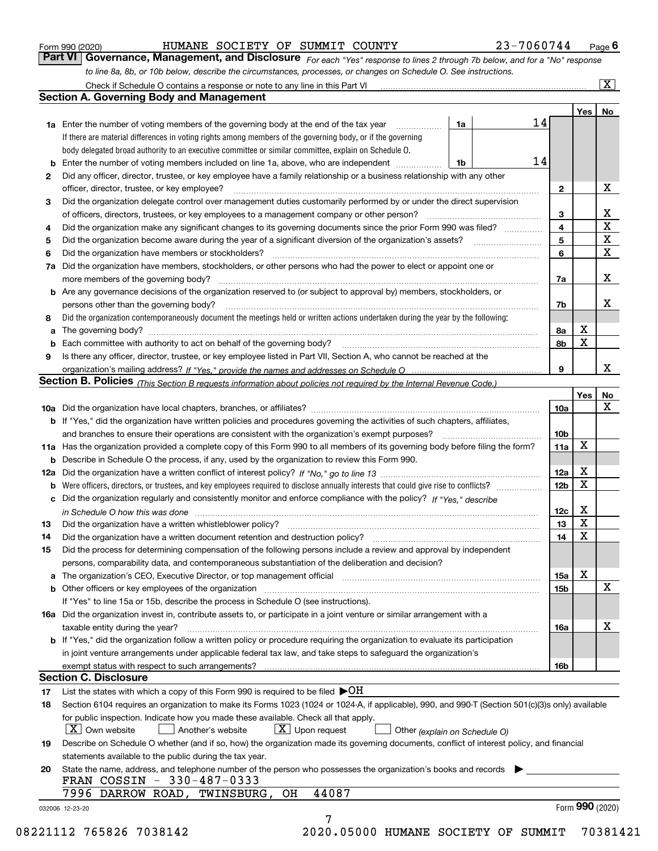|  | Form 990 (2020) |
|--|-----------------|
|  |                 |

*For each "Yes" response to lines 2 through 7b below, and for a "No" response to line 8a, 8b, or 10b below, describe the circumstances, processes, or changes on Schedule O. See instructions.* Form 990 (2020) **Form 990 (2020)** HUMANE SOCIETY OF SUMMIT COUNTY 23-7060744 Page 6<br>**Part VI** | Governance, Management, and Disclosure *For each "Yes" response to lines 2 through 7b below, and for a "No" response* 

|    |                                                                                                                                                                                                                                |    |  |                         | Yes | No                           |
|----|--------------------------------------------------------------------------------------------------------------------------------------------------------------------------------------------------------------------------------|----|--|-------------------------|-----|------------------------------|
|    | 1a Enter the number of voting members of the governing body at the end of the tax year                                                                                                                                         | 1a |  | 14                      |     |                              |
|    | If there are material differences in voting rights among members of the governing body, or if the governing                                                                                                                    |    |  |                         |     |                              |
|    | body delegated broad authority to an executive committee or similar committee, explain on Schedule O.                                                                                                                          |    |  |                         |     |                              |
| b  | Enter the number of voting members included on line 1a, above, who are independent                                                                                                                                             | 1b |  | 14                      |     |                              |
| 2  | Did any officer, director, trustee, or key employee have a family relationship or a business relationship with any other                                                                                                       |    |  |                         |     |                              |
|    | officer, director, trustee, or key employee?                                                                                                                                                                                   |    |  | $\mathbf{2}$            |     | X                            |
| З  | Did the organization delegate control over management duties customarily performed by or under the direct supervision                                                                                                          |    |  |                         |     |                              |
|    | of officers, directors, trustees, or key employees to a management company or other person?                                                                                                                                    |    |  | 3                       |     | X<br>$\overline{\mathbf{x}}$ |
| 4  | Did the organization make any significant changes to its governing documents since the prior Form 990 was filed?                                                                                                               |    |  | $\overline{\mathbf{4}}$ |     | $\overline{\mathbf{x}}$      |
| 5  |                                                                                                                                                                                                                                |    |  | 5                       |     | $\mathbf X$                  |
| 6  | Did the organization have members or stockholders?                                                                                                                                                                             |    |  | 6                       |     |                              |
| 7a | Did the organization have members, stockholders, or other persons who had the power to elect or appoint one or                                                                                                                 |    |  |                         |     | X                            |
|    | <b>b</b> Are any governance decisions of the organization reserved to (or subject to approval by) members, stockholders, or                                                                                                    |    |  | 7a                      |     |                              |
|    | persons other than the governing body?                                                                                                                                                                                         |    |  | 7b                      |     | X                            |
| 8  | Did the organization contemporaneously document the meetings held or written actions undertaken during the year by the following:                                                                                              |    |  |                         |     |                              |
| a  |                                                                                                                                                                                                                                |    |  | 8а                      | X   |                              |
| b  |                                                                                                                                                                                                                                |    |  | 8b                      | х   |                              |
| 9  | Is there any officer, director, trustee, or key employee listed in Part VII, Section A, who cannot be reached at the                                                                                                           |    |  |                         |     |                              |
|    |                                                                                                                                                                                                                                |    |  | 9                       |     | X                            |
|    | Section B. Policies (This Section B requests information about policies not required by the Internal Revenue Code.)                                                                                                            |    |  |                         |     |                              |
|    |                                                                                                                                                                                                                                |    |  |                         | Yes | No                           |
|    |                                                                                                                                                                                                                                |    |  | 10a                     |     | X                            |
|    | <b>b</b> If "Yes," did the organization have written policies and procedures governing the activities of such chapters, affiliates,                                                                                            |    |  |                         |     |                              |
|    |                                                                                                                                                                                                                                |    |  | 10 <sub>b</sub>         |     |                              |
|    | 11a Has the organization provided a complete copy of this Form 990 to all members of its governing body before filing the form?                                                                                                |    |  | 11a                     | X   |                              |
|    | <b>b</b> Describe in Schedule O the process, if any, used by the organization to review this Form 990.                                                                                                                         |    |  |                         |     |                              |
|    |                                                                                                                                                                                                                                |    |  | 12a                     | X   |                              |
|    | <b>b</b> Were officers, directors, or trustees, and key employees required to disclose annually interests that could give rise to conflicts?                                                                                   |    |  | 12 <sub>b</sub>         | х   |                              |
|    | c Did the organization regularly and consistently monitor and enforce compliance with the policy? If "Yes." describe                                                                                                           |    |  |                         |     |                              |
|    | in Schedule O how this was done manufactured and continuum control of the Schedule O how this was done manufactured and continuum control of the Schedule O how this was done                                                  |    |  | 12c                     | X   |                              |
| 13 |                                                                                                                                                                                                                                |    |  | 13                      | X   |                              |
| 14 |                                                                                                                                                                                                                                |    |  | 14                      | X   |                              |
| 15 | Did the process for determining compensation of the following persons include a review and approval by independent                                                                                                             |    |  |                         |     |                              |
|    | persons, comparability data, and contemporaneous substantiation of the deliberation and decision?                                                                                                                              |    |  |                         |     |                              |
|    | a The organization's CEO, Executive Director, or top management official manufactured content content of the organization's CEO, Executive Director, or top management official manufactured content of the state of the state |    |  | 15a                     | X   |                              |
|    |                                                                                                                                                                                                                                |    |  | 15b                     |     | $\mathbf X$                  |
|    | If "Yes" to line 15a or 15b, describe the process in Schedule O (see instructions).                                                                                                                                            |    |  |                         |     |                              |
|    | 16a Did the organization invest in, contribute assets to, or participate in a joint venture or similar arrangement with a                                                                                                      |    |  |                         |     |                              |
|    | taxable entity during the year?                                                                                                                                                                                                |    |  | 16a                     |     | X                            |
|    | b If "Yes," did the organization follow a written policy or procedure requiring the organization to evaluate its participation                                                                                                 |    |  |                         |     |                              |
|    | in joint venture arrangements under applicable federal tax law, and take steps to safeguard the organization's                                                                                                                 |    |  |                         |     |                              |
|    | exempt status with respect to such arrangements?                                                                                                                                                                               |    |  | 16b                     |     |                              |
|    | <b>Section C. Disclosure</b>                                                                                                                                                                                                   |    |  |                         |     |                              |
| 17 | List the states with which a copy of this Form 990 is required to be filed $\blacktriangleright$ OH                                                                                                                            |    |  |                         |     |                              |
| 18 | Section 6104 requires an organization to make its Forms 1023 (1024 or 1024-A, if applicable), 990, and 990-T (Section 501(c)(3)s only) available                                                                               |    |  |                         |     |                              |
|    | for public inspection. Indicate how you made these available. Check all that apply.                                                                                                                                            |    |  |                         |     |                              |
|    | $X$ Upon request<br>$\mid$ $\rm X\mid$ Own website<br>Another's website<br>Other (explain on Schedule O)                                                                                                                       |    |  |                         |     |                              |
| 19 | Describe on Schedule O whether (and if so, how) the organization made its governing documents, conflict of interest policy, and financial                                                                                      |    |  |                         |     |                              |
|    | statements available to the public during the tax year.                                                                                                                                                                        |    |  |                         |     |                              |
| 20 | State the name, address, and telephone number of the person who possesses the organization's books and records                                                                                                                 |    |  |                         |     |                              |
|    | FRAN COSSIN - 330-487-0333<br>44087<br>7996 DARROW ROAD, TWINSBURG,<br>OH                                                                                                                                                      |    |  |                         |     |                              |
|    |                                                                                                                                                                                                                                |    |  |                         |     | Form 990 (2020)              |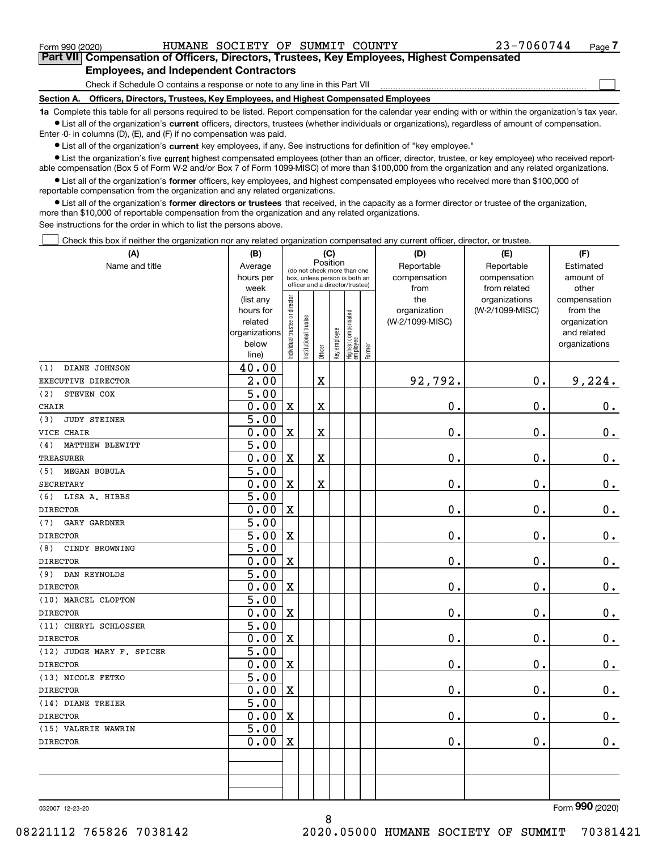$\mathcal{L}^{\text{max}}$ 

| Form 990 (2020) |                                               | HUMANE SOCIETY OF SUMMIT COUNTY |  | 23-7060744                                                                                 | Page 7 |
|-----------------|-----------------------------------------------|---------------------------------|--|--------------------------------------------------------------------------------------------|--------|
|                 |                                               |                                 |  | Part VII Compensation of Officers, Directors, Trustees, Key Employees, Highest Compensated |        |
|                 | <b>Employees, and Independent Contractors</b> |                                 |  |                                                                                            |        |

Check if Schedule O contains a response or note to any line in this Part VII

**Section A. Officers, Directors, Trustees, Key Employees, and Highest Compensated Employees**

**1a**  Complete this table for all persons required to be listed. Report compensation for the calendar year ending with or within the organization's tax year. **•** List all of the organization's current officers, directors, trustees (whether individuals or organizations), regardless of amount of compensation.

Enter -0- in columns (D), (E), and (F) if no compensation was paid.

 $\bullet$  List all of the organization's  $\,$ current key employees, if any. See instructions for definition of "key employee."

**•** List the organization's five current highest compensated employees (other than an officer, director, trustee, or key employee) who received reportable compensation (Box 5 of Form W-2 and/or Box 7 of Form 1099-MISC) of more than \$100,000 from the organization and any related organizations.

**•** List all of the organization's former officers, key employees, and highest compensated employees who received more than \$100,000 of reportable compensation from the organization and any related organizations.

**former directors or trustees**  ¥ List all of the organization's that received, in the capacity as a former director or trustee of the organization, more than \$10,000 of reportable compensation from the organization and any related organizations.

See instructions for the order in which to list the persons above.

Check this box if neither the organization nor any related organization compensated any current officer, director, or trustee.  $\mathcal{L}^{\text{max}}$ 

| (A)                        | (B)                                                |                               |                                                                  | (C)                     |              |                                  |           | (D)             | (E)             | (F)           |
|----------------------------|----------------------------------------------------|-------------------------------|------------------------------------------------------------------|-------------------------|--------------|----------------------------------|-----------|-----------------|-----------------|---------------|
| Name and title             | Position<br>Average<br>(do not check more than one |                               |                                                                  | Reportable              | Estimated    |                                  |           |                 |                 |               |
|                            | hours per                                          |                               | box, unless person is both an<br>officer and a director/trustee) |                         | compensation | compensation                     | amount of |                 |                 |               |
|                            | week                                               |                               |                                                                  |                         | from         | from related                     | other     |                 |                 |               |
|                            | (list any                                          |                               |                                                                  |                         |              |                                  |           | the             | organizations   | compensation  |
|                            | hours for                                          |                               |                                                                  |                         |              |                                  |           | organization    | (W-2/1099-MISC) | from the      |
|                            | related                                            |                               |                                                                  |                         |              |                                  |           | (W-2/1099-MISC) |                 | organization  |
|                            | organizations                                      |                               |                                                                  |                         |              |                                  |           |                 |                 | and related   |
|                            | below                                              | ndividual trustee or director | nstitutional trustee                                             | Officer                 | Key employee | Highest compensated<br> employee | Former    |                 |                 | organizations |
| DIANE JOHNSON<br>(1)       | line)<br>40.00                                     |                               |                                                                  |                         |              |                                  |           |                 |                 |               |
| EXECUTIVE DIRECTOR         | 2.00                                               |                               |                                                                  | $\overline{\mathbf{X}}$ |              |                                  |           | 92,792.         | 0.              | 9,224.        |
| STEVEN COX<br>(2)          | $\overline{5.00}$                                  |                               |                                                                  |                         |              |                                  |           |                 |                 |               |
| CHAIR                      | 0.00                                               | $\mathbf X$                   |                                                                  | $\overline{\textbf{X}}$ |              |                                  |           | 0.              | $\mathbf 0$ .   | $\mathbf 0$ . |
| <b>JUDY STEINER</b><br>(3) | 5.00                                               |                               |                                                                  |                         |              |                                  |           |                 |                 |               |
| VICE CHAIR                 | 0.00                                               | $\rm X$                       |                                                                  | $\overline{\textbf{X}}$ |              |                                  |           | 0.              | 0.              | $0_{.}$       |
| MATTHEW BLEWITT<br>(4)     | 5.00                                               |                               |                                                                  |                         |              |                                  |           |                 |                 |               |
| <b>TREASURER</b>           | 0.00                                               | $\mathbf X$                   |                                                                  | $\overline{\textbf{X}}$ |              |                                  |           | 0.              | $\mathbf 0$ .   | $\mathbf 0$ . |
| <b>MEGAN BOBULA</b><br>(5) | 5.00                                               |                               |                                                                  |                         |              |                                  |           |                 |                 |               |
| <b>SECRETARY</b>           | 0.00                                               | $\mathbf X$                   |                                                                  | X                       |              |                                  |           | $\mathbf 0$ .   | $\mathbf 0$ .   | $\mathbf 0$ . |
| (6) LISA A. HIBBS          | $\overline{5.00}$                                  |                               |                                                                  |                         |              |                                  |           |                 |                 |               |
| <b>DIRECTOR</b>            | 0.00                                               | $\mathbf X$                   |                                                                  |                         |              |                                  |           | 0.              | $\mathbf 0$ .   | $\mathbf 0$ . |
| GARY GARDNER<br>(7)        | 5.00                                               |                               |                                                                  |                         |              |                                  |           |                 |                 |               |
| <b>DIRECTOR</b>            | 5.00                                               | $\mathbf X$                   |                                                                  |                         |              |                                  |           | $\mathbf 0$ .   | $\mathbf 0$ .   | $0_{.}$       |
| CINDY BROWNING<br>(8)      | 5.00                                               |                               |                                                                  |                         |              |                                  |           |                 |                 |               |
| <b>DIRECTOR</b>            | 0.00                                               | $\mathbf X$                   |                                                                  |                         |              |                                  |           | 0.              | $\mathbf 0$ .   | $\mathbf 0$ . |
| DAN REYNOLDS<br>(9)        | $\overline{5.00}$                                  |                               |                                                                  |                         |              |                                  |           |                 |                 |               |
| <b>DIRECTOR</b>            | 0.00                                               | $\mathbf X$                   |                                                                  |                         |              |                                  |           | 0.              | $\mathbf 0$ .   | 0.            |
| (10) MARCEL CLOPTON        | $\overline{5.00}$                                  |                               |                                                                  |                         |              |                                  |           |                 |                 |               |
| <b>DIRECTOR</b>            | 0.00                                               | $\mathbf X$                   |                                                                  |                         |              |                                  |           | 0.              | $\mathbf{0}$ .  | $0$ .         |
| (11) CHERYL SCHLOSSER      | 5.00                                               |                               |                                                                  |                         |              |                                  |           |                 |                 |               |
| <b>DIRECTOR</b>            | 0.00                                               | $\mathbf X$                   |                                                                  |                         |              |                                  |           | $\mathbf 0$ .   | $\mathbf 0$ .   | $0_{.}$       |
| (12) JUDGE MARY F. SPICER  | 5.00                                               |                               |                                                                  |                         |              |                                  |           |                 |                 |               |
| <b>DIRECTOR</b>            | 0.00                                               | $\mathbf X$                   |                                                                  |                         |              |                                  |           | 0.              | $\mathbf 0$ .   | $\mathbf 0$ . |
| (13) NICOLE FETKO          | 5.00                                               |                               |                                                                  |                         |              |                                  |           |                 |                 |               |
| <b>DIRECTOR</b>            | 0.00                                               | $\mathbf X$                   |                                                                  |                         |              |                                  |           | $\mathbf{0}$ .  | $\mathbf 0$ .   | $\mathbf 0$ . |
| (14) DIANE TREIER          | 5.00                                               |                               |                                                                  |                         |              |                                  |           |                 |                 |               |
| <b>DIRECTOR</b>            | 0.00                                               | X                             |                                                                  |                         |              |                                  |           | $\mathbf 0$ .   | $\mathbf 0$ .   | $\mathbf 0$ . |
| (15) VALERIE WAWRIN        | 5.00                                               |                               |                                                                  |                         |              |                                  |           |                 |                 |               |
| <b>DIRECTOR</b>            | 0.00                                               | $\mathbf X$                   |                                                                  |                         |              |                                  |           | $\mathbf 0$ .   | $\mathbf{0}$ .  | $\mathbf 0$ . |
|                            |                                                    |                               |                                                                  |                         |              |                                  |           |                 |                 |               |
|                            |                                                    |                               |                                                                  |                         |              |                                  |           |                 |                 |               |
|                            |                                                    |                               |                                                                  |                         |              |                                  |           |                 |                 |               |
|                            |                                                    |                               |                                                                  |                         |              |                                  |           |                 |                 |               |

8

032007 12-23-20

Form (2020) **990**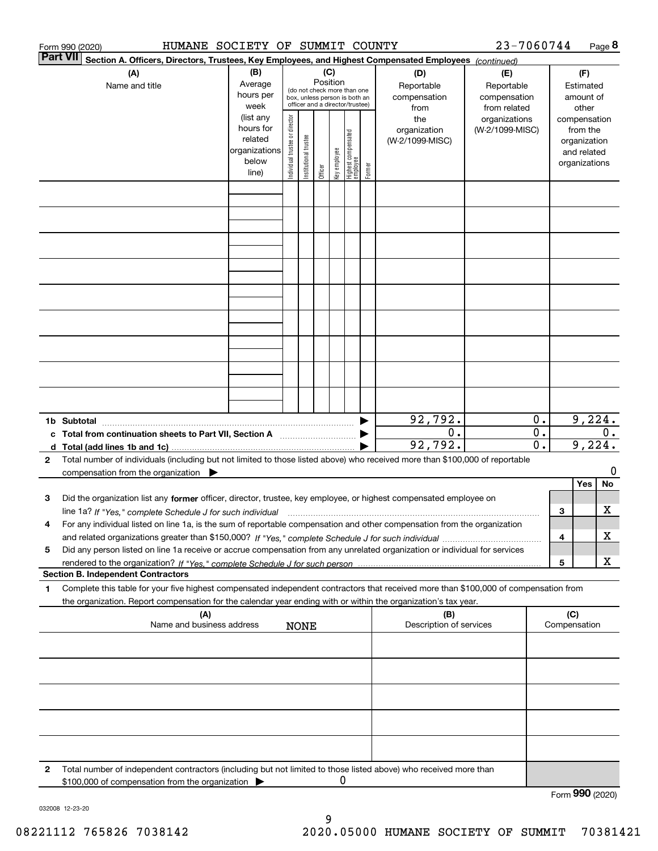|   | 23-7060744<br>HUMANE SOCIETY OF SUMMIT COUNTY<br>Page 8<br>Form 990 (2020)                                                                                                                                                                                             |                                                                      |                                |                            |          |              |                                                                                                 |        |                                           |                                                   |                                    |   |                                                                          |         |
|---|------------------------------------------------------------------------------------------------------------------------------------------------------------------------------------------------------------------------------------------------------------------------|----------------------------------------------------------------------|--------------------------------|----------------------------|----------|--------------|-------------------------------------------------------------------------------------------------|--------|-------------------------------------------|---------------------------------------------------|------------------------------------|---|--------------------------------------------------------------------------|---------|
|   | Part VII<br>Section A. Officers, Directors, Trustees, Key Employees, and Highest Compensated Employees (continued)                                                                                                                                                     |                                                                      |                                |                            |          |              |                                                                                                 |        |                                           |                                                   |                                    |   |                                                                          |         |
|   | (A)<br>Name and title                                                                                                                                                                                                                                                  | (B)<br>Average<br>hours per<br>week                                  |                                |                            | Position | (C)          | (do not check more than one<br>box, unless person is both an<br>officer and a director/trustee) |        | (D)<br>Reportable<br>compensation<br>from | (E)<br>Reportable<br>compensation<br>from related |                                    |   | (F)<br>Estimated<br>amount of<br>other                                   |         |
|   |                                                                                                                                                                                                                                                                        | (list any<br>hours for<br>related<br>organizations<br>below<br>line) | Individual trustee or director | trustee<br>Institutional t | Officer  | Key employee | Highest compensated<br>employee                                                                 | Former | the<br>organization<br>(W-2/1099-MISC)    | organizations<br>(W-2/1099-MISC)                  |                                    |   | compensation<br>from the<br>organization<br>and related<br>organizations |         |
|   |                                                                                                                                                                                                                                                                        |                                                                      |                                |                            |          |              |                                                                                                 |        |                                           |                                                   |                                    |   |                                                                          |         |
|   |                                                                                                                                                                                                                                                                        |                                                                      |                                |                            |          |              |                                                                                                 |        |                                           |                                                   |                                    |   |                                                                          |         |
|   |                                                                                                                                                                                                                                                                        |                                                                      |                                |                            |          |              |                                                                                                 |        |                                           |                                                   |                                    |   |                                                                          |         |
|   |                                                                                                                                                                                                                                                                        |                                                                      |                                |                            |          |              |                                                                                                 |        |                                           |                                                   |                                    |   |                                                                          |         |
|   |                                                                                                                                                                                                                                                                        |                                                                      |                                |                            |          |              |                                                                                                 |        |                                           |                                                   |                                    |   |                                                                          |         |
|   |                                                                                                                                                                                                                                                                        |                                                                      |                                |                            |          |              |                                                                                                 |        |                                           |                                                   |                                    |   |                                                                          |         |
|   |                                                                                                                                                                                                                                                                        |                                                                      |                                |                            |          |              |                                                                                                 |        |                                           |                                                   |                                    |   |                                                                          |         |
|   | 9,224.<br>92,792.<br>0.<br>1b Subtotal                                                                                                                                                                                                                                 |                                                                      |                                |                            |          |              |                                                                                                 |        |                                           |                                                   |                                    |   |                                                                          |         |
|   | c Total from continuation sheets to Part VII, Section A manufactor continuum                                                                                                                                                                                           |                                                                      |                                |                            |          |              |                                                                                                 |        | $0$ .<br>92,792.                          |                                                   | $\mathbf{0}$ .<br>$\overline{0}$ . |   | 9,224.                                                                   | $0$ .   |
| 2 | Total number of individuals (including but not limited to those listed above) who received more than \$100,000 of reportable<br>compensation from the organization $\blacktriangleright$                                                                               |                                                                      |                                |                            |          |              |                                                                                                 |        |                                           |                                                   |                                    |   | Yes                                                                      | 0<br>No |
| з | Did the organization list any former officer, director, trustee, key employee, or highest compensated employee on<br>line 1a? If "Yes," complete Schedule J for such individual material content content to the content of the complete schedule J for such individual |                                                                      |                                |                            |          |              |                                                                                                 |        |                                           |                                                   |                                    | З |                                                                          | x       |
| 4 | For any individual listed on line 1a, is the sum of reportable compensation and other compensation from the organization                                                                                                                                               |                                                                      |                                |                            |          |              |                                                                                                 |        |                                           |                                                   |                                    | 4 |                                                                          | x       |
| 5 | Did any person listed on line 1a receive or accrue compensation from any unrelated organization or individual for services<br><b>Section B. Independent Contractors</b>                                                                                                |                                                                      |                                |                            |          |              |                                                                                                 |        |                                           |                                                   |                                    | 5 |                                                                          | x       |
| 1 | Complete this table for your five highest compensated independent contractors that received more than \$100,000 of compensation from                                                                                                                                   |                                                                      |                                |                            |          |              |                                                                                                 |        |                                           |                                                   |                                    |   |                                                                          |         |
|   | the organization. Report compensation for the calendar year ending with or within the organization's tax year.<br>(C)<br>(A)<br>(B)<br>Name and business address<br>Description of services<br>Compensation<br><b>NONE</b>                                             |                                                                      |                                |                            |          |              |                                                                                                 |        |                                           |                                                   |                                    |   |                                                                          |         |
|   |                                                                                                                                                                                                                                                                        |                                                                      |                                |                            |          |              |                                                                                                 |        |                                           |                                                   |                                    |   |                                                                          |         |
|   |                                                                                                                                                                                                                                                                        |                                                                      |                                |                            |          |              |                                                                                                 |        |                                           |                                                   |                                    |   |                                                                          |         |
|   |                                                                                                                                                                                                                                                                        |                                                                      |                                |                            |          |              |                                                                                                 |        |                                           |                                                   |                                    |   |                                                                          |         |
|   |                                                                                                                                                                                                                                                                        |                                                                      |                                |                            |          |              |                                                                                                 |        |                                           |                                                   |                                    |   |                                                                          |         |
| 2 | Total number of independent contractors (including but not limited to those listed above) who received more than<br>\$100,000 of compensation from the organization                                                                                                    |                                                                      |                                |                            |          | 0            |                                                                                                 |        |                                           |                                                   |                                    |   |                                                                          |         |
|   |                                                                                                                                                                                                                                                                        |                                                                      |                                |                            |          |              |                                                                                                 |        |                                           |                                                   |                                    |   | Form 990 (2020)                                                          |         |

032008 12-23-20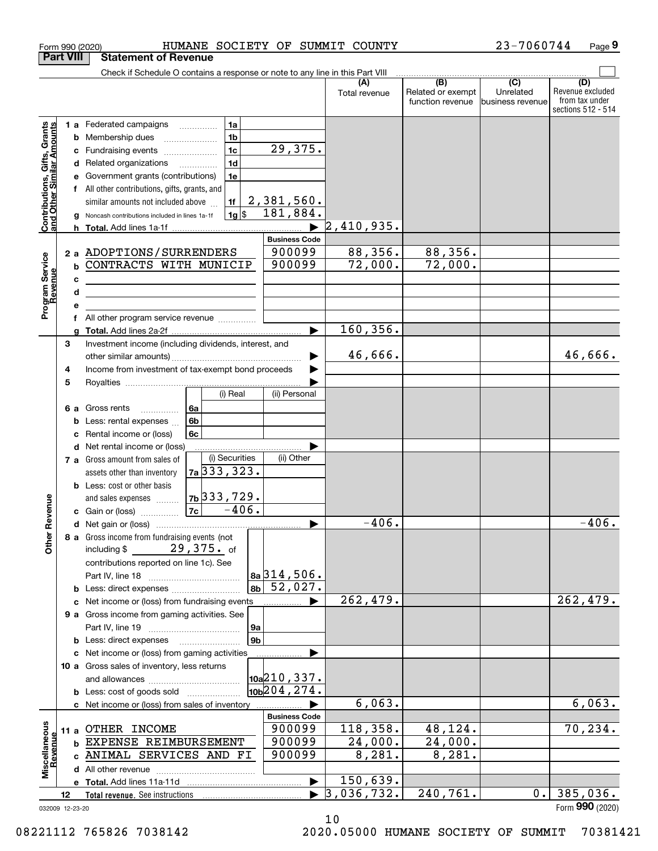|                                                           | <b>Part VIII</b> | <b>Statement of Revenue</b>                                                               |                                                            |               |                                                           |                                                 |                                                                 |
|-----------------------------------------------------------|------------------|-------------------------------------------------------------------------------------------|------------------------------------------------------------|---------------|-----------------------------------------------------------|-------------------------------------------------|-----------------------------------------------------------------|
|                                                           |                  | Check if Schedule O contains a response or note to any line in this Part VIII             |                                                            |               |                                                           |                                                 |                                                                 |
|                                                           |                  |                                                                                           |                                                            | Total revenue | $\overline{(B)}$<br>Related or exempt<br>function revenue | $\overline{C}$<br>Unrelated<br>business revenue | (D)<br>Revenue excluded<br>from tax under<br>sections 512 - 514 |
|                                                           |                  | <b>1 a</b> Federated campaigns<br>1a                                                      |                                                            |               |                                                           |                                                 |                                                                 |
|                                                           | b                | 1 <sub>b</sub><br>Membership dues                                                         |                                                            |               |                                                           |                                                 |                                                                 |
|                                                           | c                | 1 <sub>c</sub><br>Fundraising events                                                      | 29,375.                                                    |               |                                                           |                                                 |                                                                 |
|                                                           | d                | 1 <sub>d</sub><br>Related organizations<br>$\overline{\phantom{a}}$                       |                                                            |               |                                                           |                                                 |                                                                 |
|                                                           |                  | 1e<br>Government grants (contributions)                                                   |                                                            |               |                                                           |                                                 |                                                                 |
|                                                           | f                | All other contributions, gifts, grants, and                                               |                                                            |               |                                                           |                                                 |                                                                 |
|                                                           |                  | 1f<br>similar amounts not included above                                                  | 2,381,560.                                                 |               |                                                           |                                                 |                                                                 |
|                                                           |                  | $1g$ \$<br>Noncash contributions included in lines 1a-1f                                  | 181,884.                                                   |               |                                                           |                                                 |                                                                 |
| Contributions, Gifts, Grants<br>and Other Similar Amounts |                  |                                                                                           |                                                            | 2,410,935.    |                                                           |                                                 |                                                                 |
|                                                           |                  |                                                                                           | <b>Business Code</b>                                       |               |                                                           |                                                 |                                                                 |
|                                                           |                  | 2 a ADOPTIONS/SURRENDERS                                                                  | 900099                                                     | 88,356.       | 88,356.                                                   |                                                 |                                                                 |
|                                                           | b                | CONTRACTS WITH MUNICIP                                                                    | 900099                                                     | 72,000.       | 72,000.                                                   |                                                 |                                                                 |
|                                                           | c                | the control of the control of the control of the control of the control of the control of |                                                            |               |                                                           |                                                 |                                                                 |
|                                                           | d                | <u> 1980 - Jan Barnett, fransk politiker (d. 1980)</u>                                    |                                                            |               |                                                           |                                                 |                                                                 |
| Program Service<br>Revenue                                | е                |                                                                                           |                                                            |               |                                                           |                                                 |                                                                 |
|                                                           | f                | All other program service revenue                                                         |                                                            |               |                                                           |                                                 |                                                                 |
|                                                           |                  |                                                                                           |                                                            | 160, 356.     |                                                           |                                                 |                                                                 |
|                                                           | 3                | Investment income (including dividends, interest, and                                     |                                                            |               |                                                           |                                                 |                                                                 |
|                                                           |                  |                                                                                           |                                                            | 46,666.       |                                                           |                                                 | 46,666.                                                         |
|                                                           | 4                | Income from investment of tax-exempt bond proceeds                                        |                                                            |               |                                                           |                                                 |                                                                 |
|                                                           | 5                | (i) Real                                                                                  | (ii) Personal                                              |               |                                                           |                                                 |                                                                 |
|                                                           |                  |                                                                                           |                                                            |               |                                                           |                                                 |                                                                 |
|                                                           | 6а<br>b          | Gross rents<br>6a<br>.<br>6b<br>Less: rental expenses                                     |                                                            |               |                                                           |                                                 |                                                                 |
|                                                           |                  | 6c<br>Rental income or (loss)                                                             |                                                            |               |                                                           |                                                 |                                                                 |
|                                                           | d                | Net rental income or (loss)                                                               |                                                            |               |                                                           |                                                 |                                                                 |
|                                                           |                  | (i) Securities<br>7 a Gross amount from sales of                                          | (ii) Other                                                 |               |                                                           |                                                 |                                                                 |
|                                                           |                  | 7a 333, 323.<br>assets other than inventory                                               |                                                            |               |                                                           |                                                 |                                                                 |
|                                                           |                  | <b>b</b> Less: cost or other basis                                                        |                                                            |               |                                                           |                                                 |                                                                 |
|                                                           |                  | $7b$ 333, 729.<br>and sales expenses                                                      |                                                            |               |                                                           |                                                 |                                                                 |
| Revenue                                                   |                  | $-406.$<br> 7c <br>c Gain or (loss)                                                       |                                                            |               |                                                           |                                                 |                                                                 |
|                                                           |                  |                                                                                           |                                                            | $-406.$       |                                                           |                                                 | $-406.$                                                         |
|                                                           |                  | 8 a Gross income from fundraising events (not                                             |                                                            |               |                                                           |                                                 |                                                                 |
| <b>Other</b>                                              |                  | $29,375.$ of<br>including \$                                                              |                                                            |               |                                                           |                                                 |                                                                 |
|                                                           |                  | contributions reported on line 1c). See                                                   |                                                            |               |                                                           |                                                 |                                                                 |
|                                                           |                  |                                                                                           | $8a$ 314, 506.                                             |               |                                                           |                                                 |                                                                 |
|                                                           |                  |                                                                                           | $\overline{52,027}$ .<br>8 <sub>b</sub>                    |               |                                                           |                                                 |                                                                 |
|                                                           |                  | c Net income or (loss) from fundraising events                                            |                                                            | 262,479.      |                                                           |                                                 | 262,479.                                                        |
|                                                           |                  | 9 a Gross income from gaming activities. See                                              |                                                            |               |                                                           |                                                 |                                                                 |
|                                                           |                  |                                                                                           | 9а                                                         |               |                                                           |                                                 |                                                                 |
|                                                           |                  | <b>b</b> Less: direct expenses                                                            | 9 <sub>b</sub>                                             |               |                                                           |                                                 |                                                                 |
|                                                           |                  | c Net income or (loss) from gaming activities                                             |                                                            |               |                                                           |                                                 |                                                                 |
|                                                           |                  | 10 a Gross sales of inventory, less returns                                               |                                                            |               |                                                           |                                                 |                                                                 |
|                                                           |                  |                                                                                           | $\vert$ 10a $\vert$ 210, 337.<br>10 <sub>b</sub> 204, 274. |               |                                                           |                                                 |                                                                 |
|                                                           |                  | <b>b</b> Less: cost of goods sold                                                         |                                                            | 6,063.        |                                                           |                                                 | 6,063.                                                          |
|                                                           |                  | c Net income or (loss) from sales of inventory                                            | <b>Business Code</b>                                       |               |                                                           |                                                 |                                                                 |
|                                                           |                  | 11 a OTHER INCOME                                                                         | 900099                                                     | 118,358.      | 48,124.                                                   |                                                 | 70, 234.                                                        |
|                                                           |                  | <b>b EXPENSE REIMBURSEMENT</b>                                                            | 900099                                                     | 24,000.       | 24,000.                                                   |                                                 |                                                                 |
| Revenue                                                   |                  | c ANIMAL SERVICES AND FI                                                                  | 900099                                                     | 8,281.        | 8,281.                                                    |                                                 |                                                                 |
| Miscellaneous                                             |                  | d All other revenue                                                                       |                                                            |               |                                                           |                                                 |                                                                 |
|                                                           |                  |                                                                                           |                                                            | 150,639.      |                                                           |                                                 |                                                                 |
|                                                           | 12               |                                                                                           |                                                            | 3,036,732.    | 240, 761.                                                 | 0.                                              | 385,036.                                                        |
|                                                           | 032009 12-23-20  |                                                                                           |                                                            |               |                                                           |                                                 | Form 990 (2020)                                                 |

10

Form 990 (2020) HUMANE SOCIETY OF SUMMIT COUNTY 23-7060744 Page

032009 12-23-20

# 08221112 765826 7038142 2020.05000 HUMANE SOCIETY OF SUMMIT 70381421

**9**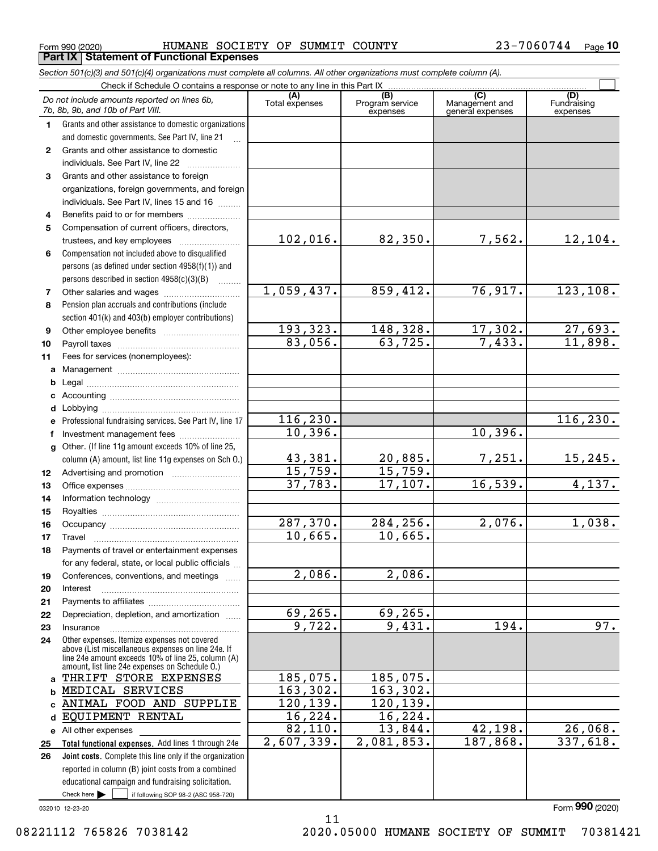$_{\rm Form}$  990 (2020) <code>BUMANE SOCIETY OF SUMMIT COUNTY</code>  $23-7060744$   $_{\rm Page}$ **Part IX Statement of Functional Expenses**

|                  | Section 501(c)(3) and 501(c)(4) organizations must complete all columns. All other organizations must complete column (A).                                                                                 |                       |                                    |                                           |                                |
|------------------|------------------------------------------------------------------------------------------------------------------------------------------------------------------------------------------------------------|-----------------------|------------------------------------|-------------------------------------------|--------------------------------|
|                  | Check if Schedule O contains a response or note to any line in this Part IX                                                                                                                                |                       |                                    |                                           |                                |
|                  | Do not include amounts reported on lines 6b,<br>7b, 8b, 9b, and 10b of Part VIII.                                                                                                                          | (A)<br>Total expenses | (B)<br>Program service<br>expenses | (C)<br>Management and<br>general expenses | (D)<br>Fundraising<br>expenses |
| 1.               | Grants and other assistance to domestic organizations                                                                                                                                                      |                       |                                    |                                           |                                |
|                  | and domestic governments. See Part IV, line 21                                                                                                                                                             |                       |                                    |                                           |                                |
| $\mathbf{2}$     | Grants and other assistance to domestic                                                                                                                                                                    |                       |                                    |                                           |                                |
|                  | individuals. See Part IV, line 22                                                                                                                                                                          |                       |                                    |                                           |                                |
| 3                | Grants and other assistance to foreign                                                                                                                                                                     |                       |                                    |                                           |                                |
|                  | organizations, foreign governments, and foreign                                                                                                                                                            |                       |                                    |                                           |                                |
|                  | individuals. See Part IV, lines 15 and 16                                                                                                                                                                  |                       |                                    |                                           |                                |
| 4                | Benefits paid to or for members                                                                                                                                                                            |                       |                                    |                                           |                                |
| 5                | Compensation of current officers, directors,                                                                                                                                                               |                       |                                    |                                           |                                |
|                  |                                                                                                                                                                                                            | 102,016.              | 82,350.                            | 7,562.                                    | 12, 104.                       |
| 6                | Compensation not included above to disqualified                                                                                                                                                            |                       |                                    |                                           |                                |
|                  | persons (as defined under section 4958(f)(1)) and                                                                                                                                                          |                       |                                    |                                           |                                |
|                  | persons described in section 4958(c)(3)(B)<br><b>Bassical</b>                                                                                                                                              |                       |                                    |                                           |                                |
| 7                |                                                                                                                                                                                                            | 1,059,437.            | 859,412.                           | 76,917.                                   | 123, 108.                      |
| 8                | Pension plan accruals and contributions (include                                                                                                                                                           |                       |                                    |                                           |                                |
|                  | section 401(k) and 403(b) employer contributions)                                                                                                                                                          | 193,323.              | 148,328.                           |                                           |                                |
| 9                |                                                                                                                                                                                                            | 83,056.               | 63,725.                            | 17,302.<br>7,433.                         | 27,693.<br>11,898.             |
| 10               |                                                                                                                                                                                                            |                       |                                    |                                           |                                |
| 11               | Fees for services (nonemployees):                                                                                                                                                                          |                       |                                    |                                           |                                |
| a                |                                                                                                                                                                                                            |                       |                                    |                                           |                                |
| b                |                                                                                                                                                                                                            |                       |                                    |                                           |                                |
| c                |                                                                                                                                                                                                            |                       |                                    |                                           |                                |
| d                |                                                                                                                                                                                                            | 116, 230.             |                                    |                                           | 116, 230.                      |
| е                | Professional fundraising services. See Part IV, line 17                                                                                                                                                    | 10,396.               |                                    | 10,396.                                   |                                |
| f                | Investment management fees                                                                                                                                                                                 |                       |                                    |                                           |                                |
| g                | Other. (If line 11g amount exceeds 10% of line 25,                                                                                                                                                         | 43,381.               | 20,885.                            | 7,251.                                    | 15, 245.                       |
|                  | column (A) amount, list line 11g expenses on Sch O.)                                                                                                                                                       | 15,759.               | 15,759.                            |                                           |                                |
| 12 <sup>12</sup> |                                                                                                                                                                                                            | 37,783.               | 17, 107.                           | 16,539.                                   | 4,137.                         |
| 13<br>14         |                                                                                                                                                                                                            |                       |                                    |                                           |                                |
| 15               |                                                                                                                                                                                                            |                       |                                    |                                           |                                |
| 16               |                                                                                                                                                                                                            | 287,370.              | 284,256.                           | 2,076.                                    | 1,038.                         |
| 17               |                                                                                                                                                                                                            | 10,665.               | 10,665.                            |                                           |                                |
| 18               | Payments of travel or entertainment expenses                                                                                                                                                               |                       |                                    |                                           |                                |
|                  | for any federal, state, or local public officials                                                                                                                                                          |                       |                                    |                                           |                                |
| 19               | Conferences, conventions, and meetings                                                                                                                                                                     | 2,086.                | 2,086.                             |                                           |                                |
| 20               | Interest                                                                                                                                                                                                   |                       |                                    |                                           |                                |
| 21               |                                                                                                                                                                                                            |                       |                                    |                                           |                                |
| 22               | Depreciation, depletion, and amortization                                                                                                                                                                  | 69, 265.              | 69,265.                            |                                           |                                |
| 23               | Insurance                                                                                                                                                                                                  | 9,722.                | 9,431.                             | 194.                                      | 97.                            |
| 24               | Other expenses. Itemize expenses not covered<br>above (List miscellaneous expenses on line 24e. If<br>line 24e amount exceeds 10% of line 25, column (A)<br>amount, list line 24e expenses on Schedule O.) |                       |                                    |                                           |                                |
| a                | THRIFT STORE EXPENSES                                                                                                                                                                                      | 185,075.              | 185,075.                           |                                           |                                |
| b                | MEDICAL SERVICES                                                                                                                                                                                           | 163, 302.             | 163,302.                           |                                           |                                |
| C.               | ANIMAL FOOD AND SUPPLIE                                                                                                                                                                                    | 120, 139.             | 120,139.                           |                                           |                                |
| d                | EQUIPMENT RENTAL                                                                                                                                                                                           | 16,224.               | 16, 224.                           |                                           |                                |
|                  | e All other expenses                                                                                                                                                                                       | 82,110.               | 13,844.                            | 42,198.                                   | 26,068.                        |
| 25               | Total functional expenses. Add lines 1 through 24e                                                                                                                                                         | 2,607,339.            | 2,081,853.                         | 187,868.                                  | 337,618.                       |
| 26               | Joint costs. Complete this line only if the organization                                                                                                                                                   |                       |                                    |                                           |                                |
|                  | reported in column (B) joint costs from a combined                                                                                                                                                         |                       |                                    |                                           |                                |
|                  | educational campaign and fundraising solicitation.                                                                                                                                                         |                       |                                    |                                           |                                |
|                  | Check here $\blacktriangleright$<br>if following SOP 98-2 (ASC 958-720)                                                                                                                                    |                       |                                    |                                           |                                |

11

032010 12-23-20

Form (2020) **990**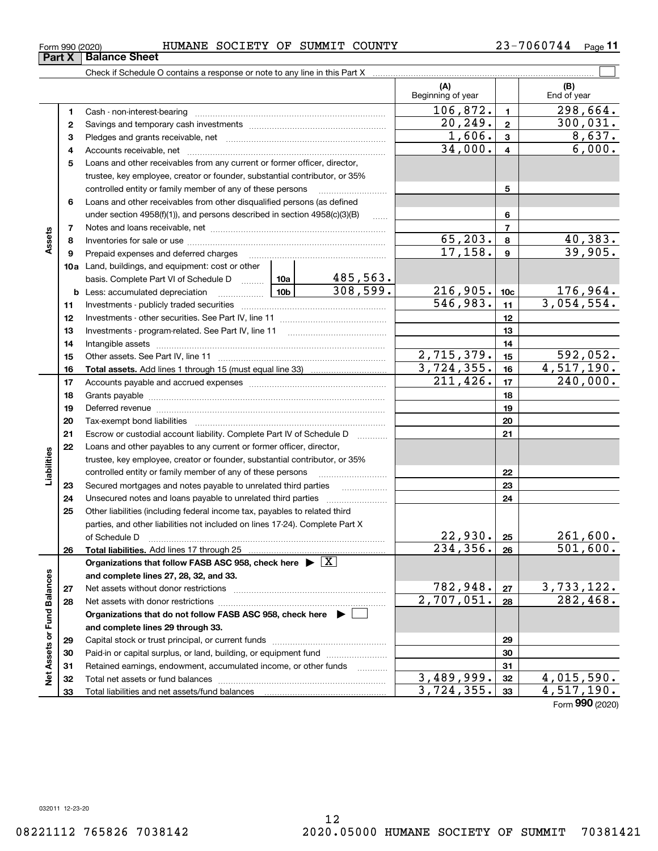**Part X Balance Sheet**

 $\overline{\phantom{a}}$ 

### $_{\rm Form}$  990 (2020) <code>BUMANE SOCIETY OF SUMMIT COUNTY</code>  $23-7060744$   $_{\rm Page}$

**11**

| (A)<br>Beginning of year<br>106,872.<br>1<br>20, 249.<br>$\mathbf{2}$<br>$\overline{1}$ , 606.<br>3<br>34,000.<br>4<br>5<br>Loans and other receivables from any current or former officer, director,<br>trustee, key employee, creator or founder, substantial contributor, or 35%<br>controlled entity or family member of any of these persons<br>Loans and other receivables from other disqualified persons (as defined<br>6<br>under section $4958(f)(1)$ , and persons described in section $4958(c)(3)(B)$<br>1.1.1.1<br>7<br>Assets<br>65, 203.<br>8<br>17, 158.<br>9<br>10a Land, buildings, and equipment: cost or other<br>485,563.<br>basis. Complete Part VI of Schedule D  10a<br>308,599.<br>216, 905.<br><u>  10b</u> 10b 10b<br><b>b</b> Less: accumulated depreciation<br>546,983.<br>11<br>12<br>13<br>14<br>2,715,379.<br>15<br>3,724,355.<br>16<br>211, 426.<br>17<br>18<br>19<br>20<br>21<br>Escrow or custodial account liability. Complete Part IV of Schedule D<br>22<br>Loans and other payables to any current or former officer, director,<br>Liabilities<br>trustee, key employee, creator or founder, substantial contributor, or 35%<br>controlled entity or family member of any of these persons<br>Secured mortgages and notes payable to unrelated third parties<br>23<br>Unsecured notes and loans payable to unrelated third parties<br>24<br>Other liabilities (including federal income tax, payables to related third<br>25<br>parties, and other liabilities not included on lines 17-24). Complete Part X<br>22,930.<br>of Schedule D<br>$\overline{234,356}$ .<br>26<br>Organizations that follow FASB ASC 958, check here $\blacktriangleright \boxed{X}$<br>Net Assets or Fund Balances<br>and complete lines 27, 28, 32, and 33.<br>782,948.<br>27<br>2,707,051.<br>28<br>Organizations that do not follow FASB ASC 958, check here $\blacktriangleright$<br>and complete lines 29 through 33.<br>29<br>Paid-in or capital surplus, or land, building, or equipment fund<br>30<br>Retained earnings, endowment, accumulated income, or other funds<br>31<br>1.1.1.1.1.1.1.1.1.1 |    |  |  |    |                        |                         |                               |
|--------------------------------------------------------------------------------------------------------------------------------------------------------------------------------------------------------------------------------------------------------------------------------------------------------------------------------------------------------------------------------------------------------------------------------------------------------------------------------------------------------------------------------------------------------------------------------------------------------------------------------------------------------------------------------------------------------------------------------------------------------------------------------------------------------------------------------------------------------------------------------------------------------------------------------------------------------------------------------------------------------------------------------------------------------------------------------------------------------------------------------------------------------------------------------------------------------------------------------------------------------------------------------------------------------------------------------------------------------------------------------------------------------------------------------------------------------------------------------------------------------------------------------------------------------------------------------------------------------------------------------------------------------------------------------------------------------------------------------------------------------------------------------------------------------------------------------------------------------------------------------------------------------------------------------------------------------------------------------------------------------------------------------------------------------------------------------------------------------------------------------|----|--|--|----|------------------------|-------------------------|-------------------------------|
|                                                                                                                                                                                                                                                                                                                                                                                                                                                                                                                                                                                                                                                                                                                                                                                                                                                                                                                                                                                                                                                                                                                                                                                                                                                                                                                                                                                                                                                                                                                                                                                                                                                                                                                                                                                                                                                                                                                                                                                                                                                                                                                                |    |  |  |    |                        |                         | (B)<br>End of year            |
|                                                                                                                                                                                                                                                                                                                                                                                                                                                                                                                                                                                                                                                                                                                                                                                                                                                                                                                                                                                                                                                                                                                                                                                                                                                                                                                                                                                                                                                                                                                                                                                                                                                                                                                                                                                                                                                                                                                                                                                                                                                                                                                                |    |  |  |    |                        | $\blacksquare$          | 298,664.                      |
|                                                                                                                                                                                                                                                                                                                                                                                                                                                                                                                                                                                                                                                                                                                                                                                                                                                                                                                                                                                                                                                                                                                                                                                                                                                                                                                                                                                                                                                                                                                                                                                                                                                                                                                                                                                                                                                                                                                                                                                                                                                                                                                                |    |  |  |    |                        | $\mathbf{2}$            | 300,031.                      |
|                                                                                                                                                                                                                                                                                                                                                                                                                                                                                                                                                                                                                                                                                                                                                                                                                                                                                                                                                                                                                                                                                                                                                                                                                                                                                                                                                                                                                                                                                                                                                                                                                                                                                                                                                                                                                                                                                                                                                                                                                                                                                                                                |    |  |  |    |                        | 3                       | 8,637.                        |
|                                                                                                                                                                                                                                                                                                                                                                                                                                                                                                                                                                                                                                                                                                                                                                                                                                                                                                                                                                                                                                                                                                                                                                                                                                                                                                                                                                                                                                                                                                                                                                                                                                                                                                                                                                                                                                                                                                                                                                                                                                                                                                                                |    |  |  |    |                        | $\overline{\mathbf{4}}$ | 6,000.                        |
|                                                                                                                                                                                                                                                                                                                                                                                                                                                                                                                                                                                                                                                                                                                                                                                                                                                                                                                                                                                                                                                                                                                                                                                                                                                                                                                                                                                                                                                                                                                                                                                                                                                                                                                                                                                                                                                                                                                                                                                                                                                                                                                                |    |  |  |    |                        |                         |                               |
|                                                                                                                                                                                                                                                                                                                                                                                                                                                                                                                                                                                                                                                                                                                                                                                                                                                                                                                                                                                                                                                                                                                                                                                                                                                                                                                                                                                                                                                                                                                                                                                                                                                                                                                                                                                                                                                                                                                                                                                                                                                                                                                                |    |  |  |    |                        |                         |                               |
|                                                                                                                                                                                                                                                                                                                                                                                                                                                                                                                                                                                                                                                                                                                                                                                                                                                                                                                                                                                                                                                                                                                                                                                                                                                                                                                                                                                                                                                                                                                                                                                                                                                                                                                                                                                                                                                                                                                                                                                                                                                                                                                                |    |  |  | 5  |                        |                         |                               |
|                                                                                                                                                                                                                                                                                                                                                                                                                                                                                                                                                                                                                                                                                                                                                                                                                                                                                                                                                                                                                                                                                                                                                                                                                                                                                                                                                                                                                                                                                                                                                                                                                                                                                                                                                                                                                                                                                                                                                                                                                                                                                                                                |    |  |  |    |                        |                         |                               |
|                                                                                                                                                                                                                                                                                                                                                                                                                                                                                                                                                                                                                                                                                                                                                                                                                                                                                                                                                                                                                                                                                                                                                                                                                                                                                                                                                                                                                                                                                                                                                                                                                                                                                                                                                                                                                                                                                                                                                                                                                                                                                                                                |    |  |  |    |                        | 6                       |                               |
|                                                                                                                                                                                                                                                                                                                                                                                                                                                                                                                                                                                                                                                                                                                                                                                                                                                                                                                                                                                                                                                                                                                                                                                                                                                                                                                                                                                                                                                                                                                                                                                                                                                                                                                                                                                                                                                                                                                                                                                                                                                                                                                                |    |  |  |    |                        | $\overline{7}$          |                               |
|                                                                                                                                                                                                                                                                                                                                                                                                                                                                                                                                                                                                                                                                                                                                                                                                                                                                                                                                                                                                                                                                                                                                                                                                                                                                                                                                                                                                                                                                                                                                                                                                                                                                                                                                                                                                                                                                                                                                                                                                                                                                                                                                |    |  |  |    |                        | 8                       | 40,383.                       |
|                                                                                                                                                                                                                                                                                                                                                                                                                                                                                                                                                                                                                                                                                                                                                                                                                                                                                                                                                                                                                                                                                                                                                                                                                                                                                                                                                                                                                                                                                                                                                                                                                                                                                                                                                                                                                                                                                                                                                                                                                                                                                                                                |    |  |  |    |                        | $\boldsymbol{9}$        | 39,905.                       |
|                                                                                                                                                                                                                                                                                                                                                                                                                                                                                                                                                                                                                                                                                                                                                                                                                                                                                                                                                                                                                                                                                                                                                                                                                                                                                                                                                                                                                                                                                                                                                                                                                                                                                                                                                                                                                                                                                                                                                                                                                                                                                                                                |    |  |  |    |                        |                         |                               |
|                                                                                                                                                                                                                                                                                                                                                                                                                                                                                                                                                                                                                                                                                                                                                                                                                                                                                                                                                                                                                                                                                                                                                                                                                                                                                                                                                                                                                                                                                                                                                                                                                                                                                                                                                                                                                                                                                                                                                                                                                                                                                                                                |    |  |  |    |                        |                         |                               |
|                                                                                                                                                                                                                                                                                                                                                                                                                                                                                                                                                                                                                                                                                                                                                                                                                                                                                                                                                                                                                                                                                                                                                                                                                                                                                                                                                                                                                                                                                                                                                                                                                                                                                                                                                                                                                                                                                                                                                                                                                                                                                                                                |    |  |  |    |                        | 10 <sub>c</sub>         | $\frac{176,964.}{3,054,554.}$ |
|                                                                                                                                                                                                                                                                                                                                                                                                                                                                                                                                                                                                                                                                                                                                                                                                                                                                                                                                                                                                                                                                                                                                                                                                                                                                                                                                                                                                                                                                                                                                                                                                                                                                                                                                                                                                                                                                                                                                                                                                                                                                                                                                |    |  |  |    |                        | 11                      |                               |
|                                                                                                                                                                                                                                                                                                                                                                                                                                                                                                                                                                                                                                                                                                                                                                                                                                                                                                                                                                                                                                                                                                                                                                                                                                                                                                                                                                                                                                                                                                                                                                                                                                                                                                                                                                                                                                                                                                                                                                                                                                                                                                                                |    |  |  |    |                        | 12                      |                               |
|                                                                                                                                                                                                                                                                                                                                                                                                                                                                                                                                                                                                                                                                                                                                                                                                                                                                                                                                                                                                                                                                                                                                                                                                                                                                                                                                                                                                                                                                                                                                                                                                                                                                                                                                                                                                                                                                                                                                                                                                                                                                                                                                |    |  |  |    | 13                     |                         |                               |
|                                                                                                                                                                                                                                                                                                                                                                                                                                                                                                                                                                                                                                                                                                                                                                                                                                                                                                                                                                                                                                                                                                                                                                                                                                                                                                                                                                                                                                                                                                                                                                                                                                                                                                                                                                                                                                                                                                                                                                                                                                                                                                                                |    |  |  | 14 |                        |                         |                               |
|                                                                                                                                                                                                                                                                                                                                                                                                                                                                                                                                                                                                                                                                                                                                                                                                                                                                                                                                                                                                                                                                                                                                                                                                                                                                                                                                                                                                                                                                                                                                                                                                                                                                                                                                                                                                                                                                                                                                                                                                                                                                                                                                |    |  |  | 15 | 592,052.               |                         |                               |
|                                                                                                                                                                                                                                                                                                                                                                                                                                                                                                                                                                                                                                                                                                                                                                                                                                                                                                                                                                                                                                                                                                                                                                                                                                                                                                                                                                                                                                                                                                                                                                                                                                                                                                                                                                                                                                                                                                                                                                                                                                                                                                                                |    |  |  |    |                        | 16                      | 4,517,190.                    |
|                                                                                                                                                                                                                                                                                                                                                                                                                                                                                                                                                                                                                                                                                                                                                                                                                                                                                                                                                                                                                                                                                                                                                                                                                                                                                                                                                                                                                                                                                                                                                                                                                                                                                                                                                                                                                                                                                                                                                                                                                                                                                                                                |    |  |  |    |                        | 17                      | 240,000.                      |
|                                                                                                                                                                                                                                                                                                                                                                                                                                                                                                                                                                                                                                                                                                                                                                                                                                                                                                                                                                                                                                                                                                                                                                                                                                                                                                                                                                                                                                                                                                                                                                                                                                                                                                                                                                                                                                                                                                                                                                                                                                                                                                                                |    |  |  |    |                        | 18                      |                               |
|                                                                                                                                                                                                                                                                                                                                                                                                                                                                                                                                                                                                                                                                                                                                                                                                                                                                                                                                                                                                                                                                                                                                                                                                                                                                                                                                                                                                                                                                                                                                                                                                                                                                                                                                                                                                                                                                                                                                                                                                                                                                                                                                |    |  |  |    |                        | 19                      |                               |
|                                                                                                                                                                                                                                                                                                                                                                                                                                                                                                                                                                                                                                                                                                                                                                                                                                                                                                                                                                                                                                                                                                                                                                                                                                                                                                                                                                                                                                                                                                                                                                                                                                                                                                                                                                                                                                                                                                                                                                                                                                                                                                                                |    |  |  |    |                        | 20                      |                               |
|                                                                                                                                                                                                                                                                                                                                                                                                                                                                                                                                                                                                                                                                                                                                                                                                                                                                                                                                                                                                                                                                                                                                                                                                                                                                                                                                                                                                                                                                                                                                                                                                                                                                                                                                                                                                                                                                                                                                                                                                                                                                                                                                |    |  |  |    |                        | 21                      |                               |
|                                                                                                                                                                                                                                                                                                                                                                                                                                                                                                                                                                                                                                                                                                                                                                                                                                                                                                                                                                                                                                                                                                                                                                                                                                                                                                                                                                                                                                                                                                                                                                                                                                                                                                                                                                                                                                                                                                                                                                                                                                                                                                                                |    |  |  |    |                        |                         |                               |
|                                                                                                                                                                                                                                                                                                                                                                                                                                                                                                                                                                                                                                                                                                                                                                                                                                                                                                                                                                                                                                                                                                                                                                                                                                                                                                                                                                                                                                                                                                                                                                                                                                                                                                                                                                                                                                                                                                                                                                                                                                                                                                                                |    |  |  |    |                        | 22                      |                               |
|                                                                                                                                                                                                                                                                                                                                                                                                                                                                                                                                                                                                                                                                                                                                                                                                                                                                                                                                                                                                                                                                                                                                                                                                                                                                                                                                                                                                                                                                                                                                                                                                                                                                                                                                                                                                                                                                                                                                                                                                                                                                                                                                |    |  |  |    |                        | 23                      |                               |
|                                                                                                                                                                                                                                                                                                                                                                                                                                                                                                                                                                                                                                                                                                                                                                                                                                                                                                                                                                                                                                                                                                                                                                                                                                                                                                                                                                                                                                                                                                                                                                                                                                                                                                                                                                                                                                                                                                                                                                                                                                                                                                                                |    |  |  |    |                        | 24                      |                               |
|                                                                                                                                                                                                                                                                                                                                                                                                                                                                                                                                                                                                                                                                                                                                                                                                                                                                                                                                                                                                                                                                                                                                                                                                                                                                                                                                                                                                                                                                                                                                                                                                                                                                                                                                                                                                                                                                                                                                                                                                                                                                                                                                |    |  |  |    |                        |                         |                               |
|                                                                                                                                                                                                                                                                                                                                                                                                                                                                                                                                                                                                                                                                                                                                                                                                                                                                                                                                                                                                                                                                                                                                                                                                                                                                                                                                                                                                                                                                                                                                                                                                                                                                                                                                                                                                                                                                                                                                                                                                                                                                                                                                |    |  |  |    |                        |                         |                               |
|                                                                                                                                                                                                                                                                                                                                                                                                                                                                                                                                                                                                                                                                                                                                                                                                                                                                                                                                                                                                                                                                                                                                                                                                                                                                                                                                                                                                                                                                                                                                                                                                                                                                                                                                                                                                                                                                                                                                                                                                                                                                                                                                |    |  |  |    |                        | 25                      | 261,600.                      |
|                                                                                                                                                                                                                                                                                                                                                                                                                                                                                                                                                                                                                                                                                                                                                                                                                                                                                                                                                                                                                                                                                                                                                                                                                                                                                                                                                                                                                                                                                                                                                                                                                                                                                                                                                                                                                                                                                                                                                                                                                                                                                                                                |    |  |  |    |                        | 26                      | $\overline{501,600}$ .        |
|                                                                                                                                                                                                                                                                                                                                                                                                                                                                                                                                                                                                                                                                                                                                                                                                                                                                                                                                                                                                                                                                                                                                                                                                                                                                                                                                                                                                                                                                                                                                                                                                                                                                                                                                                                                                                                                                                                                                                                                                                                                                                                                                |    |  |  |    |                        |                         |                               |
|                                                                                                                                                                                                                                                                                                                                                                                                                                                                                                                                                                                                                                                                                                                                                                                                                                                                                                                                                                                                                                                                                                                                                                                                                                                                                                                                                                                                                                                                                                                                                                                                                                                                                                                                                                                                                                                                                                                                                                                                                                                                                                                                |    |  |  |    |                        |                         |                               |
|                                                                                                                                                                                                                                                                                                                                                                                                                                                                                                                                                                                                                                                                                                                                                                                                                                                                                                                                                                                                                                                                                                                                                                                                                                                                                                                                                                                                                                                                                                                                                                                                                                                                                                                                                                                                                                                                                                                                                                                                                                                                                                                                |    |  |  |    |                        | 27                      | 3, 733, 122.                  |
|                                                                                                                                                                                                                                                                                                                                                                                                                                                                                                                                                                                                                                                                                                                                                                                                                                                                                                                                                                                                                                                                                                                                                                                                                                                                                                                                                                                                                                                                                                                                                                                                                                                                                                                                                                                                                                                                                                                                                                                                                                                                                                                                |    |  |  | 28 | $\overline{282,468}$ . |                         |                               |
|                                                                                                                                                                                                                                                                                                                                                                                                                                                                                                                                                                                                                                                                                                                                                                                                                                                                                                                                                                                                                                                                                                                                                                                                                                                                                                                                                                                                                                                                                                                                                                                                                                                                                                                                                                                                                                                                                                                                                                                                                                                                                                                                |    |  |  |    |                        |                         |                               |
|                                                                                                                                                                                                                                                                                                                                                                                                                                                                                                                                                                                                                                                                                                                                                                                                                                                                                                                                                                                                                                                                                                                                                                                                                                                                                                                                                                                                                                                                                                                                                                                                                                                                                                                                                                                                                                                                                                                                                                                                                                                                                                                                |    |  |  |    |                        |                         |                               |
|                                                                                                                                                                                                                                                                                                                                                                                                                                                                                                                                                                                                                                                                                                                                                                                                                                                                                                                                                                                                                                                                                                                                                                                                                                                                                                                                                                                                                                                                                                                                                                                                                                                                                                                                                                                                                                                                                                                                                                                                                                                                                                                                |    |  |  |    |                        | 29                      |                               |
|                                                                                                                                                                                                                                                                                                                                                                                                                                                                                                                                                                                                                                                                                                                                                                                                                                                                                                                                                                                                                                                                                                                                                                                                                                                                                                                                                                                                                                                                                                                                                                                                                                                                                                                                                                                                                                                                                                                                                                                                                                                                                                                                |    |  |  |    |                        | 30                      |                               |
|                                                                                                                                                                                                                                                                                                                                                                                                                                                                                                                                                                                                                                                                                                                                                                                                                                                                                                                                                                                                                                                                                                                                                                                                                                                                                                                                                                                                                                                                                                                                                                                                                                                                                                                                                                                                                                                                                                                                                                                                                                                                                                                                |    |  |  |    |                        | 31                      |                               |
|                                                                                                                                                                                                                                                                                                                                                                                                                                                                                                                                                                                                                                                                                                                                                                                                                                                                                                                                                                                                                                                                                                                                                                                                                                                                                                                                                                                                                                                                                                                                                                                                                                                                                                                                                                                                                                                                                                                                                                                                                                                                                                                                | 32 |  |  |    | 3,489,999.             | 32                      | 4,015,590.                    |
| 3,724,355.<br>33                                                                                                                                                                                                                                                                                                                                                                                                                                                                                                                                                                                                                                                                                                                                                                                                                                                                                                                                                                                                                                                                                                                                                                                                                                                                                                                                                                                                                                                                                                                                                                                                                                                                                                                                                                                                                                                                                                                                                                                                                                                                                                               |    |  |  |    |                        | 33                      | 4,517,190.                    |

Form (2020) **990**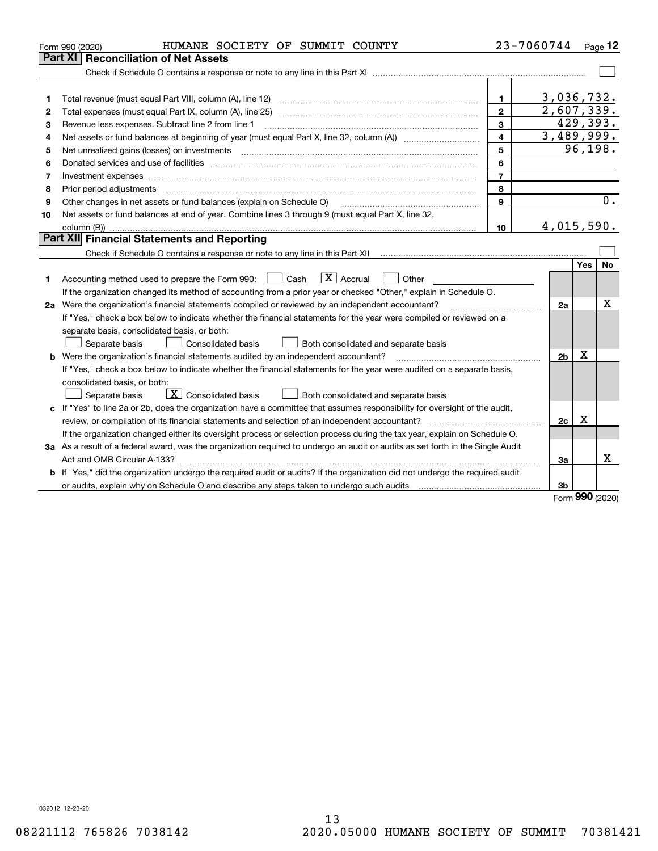|                                                                                                          | HUMANE SOCIETY OF SUMMIT COUNTY<br>Form 990 (2020)                                                                                                                       |                | 23-7060744     |             | Page $12$ |  |  |
|----------------------------------------------------------------------------------------------------------|--------------------------------------------------------------------------------------------------------------------------------------------------------------------------|----------------|----------------|-------------|-----------|--|--|
|                                                                                                          | Part XI<br><b>Reconciliation of Net Assets</b>                                                                                                                           |                |                |             |           |  |  |
|                                                                                                          |                                                                                                                                                                          |                |                |             |           |  |  |
|                                                                                                          |                                                                                                                                                                          |                |                |             |           |  |  |
| 1                                                                                                        |                                                                                                                                                                          | 1.             | 3,036,732.     |             |           |  |  |
| 2                                                                                                        | Total expenses (must equal Part IX, column (A), line 25)                                                                                                                 | $\mathbf{2}$   | 2,607,339.     |             | 429,393.  |  |  |
| 3                                                                                                        | 3<br>Revenue less expenses. Subtract line 2 from line 1                                                                                                                  |                |                |             |           |  |  |
| 4                                                                                                        |                                                                                                                                                                          | $\overline{4}$ | 3,489,999.     |             |           |  |  |
| 5                                                                                                        | Net unrealized gains (losses) on investments                                                                                                                             | 5              |                |             | 96, 198.  |  |  |
| 6                                                                                                        |                                                                                                                                                                          | 6              |                |             |           |  |  |
| 7                                                                                                        | Investment expenses                                                                                                                                                      | $\overline{7}$ |                |             |           |  |  |
| 8                                                                                                        | Prior period adjustments                                                                                                                                                 | 8              |                |             |           |  |  |
| 9                                                                                                        | Other changes in net assets or fund balances (explain on Schedule O)                                                                                                     | $\mathbf{9}$   |                |             | 0.        |  |  |
| 10                                                                                                       | Net assets or fund balances at end of year. Combine lines 3 through 9 (must equal Part X, line 32,                                                                       |                |                |             |           |  |  |
|                                                                                                          |                                                                                                                                                                          | 10             | 4,015,590.     |             |           |  |  |
|                                                                                                          | <b>Part XII</b> Financial Statements and Reporting                                                                                                                       |                |                |             |           |  |  |
|                                                                                                          | Check if Schedule O contains a response or note to any line in this Part XII [11] [12] [12] Check if Schedule O contains a response or note to any line in this Part XII |                |                |             |           |  |  |
|                                                                                                          |                                                                                                                                                                          |                |                | Yes         | No        |  |  |
| 1                                                                                                        | $\boxed{\mathbf{X}}$ Accrual<br>Accounting method used to prepare the Form 990: <u>I</u> Cash<br>Other                                                                   |                |                |             |           |  |  |
|                                                                                                          | If the organization changed its method of accounting from a prior year or checked "Other," explain in Schedule O.                                                        |                |                |             |           |  |  |
| 2a Were the organization's financial statements compiled or reviewed by an independent accountant?<br>2a |                                                                                                                                                                          |                |                |             |           |  |  |
|                                                                                                          | If "Yes," check a box below to indicate whether the financial statements for the year were compiled or reviewed on a                                                     |                |                |             |           |  |  |
|                                                                                                          | separate basis, consolidated basis, or both:                                                                                                                             |                |                |             |           |  |  |
|                                                                                                          | Separate basis<br>Consolidated basis<br>Both consolidated and separate basis                                                                                             |                |                |             |           |  |  |
|                                                                                                          | <b>b</b> Were the organization's financial statements audited by an independent accountant?                                                                              |                | 2 <sub>b</sub> | $\mathbf X$ |           |  |  |
|                                                                                                          | If "Yes," check a box below to indicate whether the financial statements for the year were audited on a separate basis,                                                  |                |                |             |           |  |  |
|                                                                                                          | consolidated basis, or both:                                                                                                                                             |                |                |             |           |  |  |
|                                                                                                          | $\boxed{\textbf{X}}$ Consolidated basis<br>Separate basis<br>Both consolidated and separate basis                                                                        |                |                |             |           |  |  |
|                                                                                                          | c If "Yes" to line 2a or 2b, does the organization have a committee that assumes responsibility for oversight of the audit,                                              |                |                |             |           |  |  |
|                                                                                                          |                                                                                                                                                                          |                | 2c             | х           |           |  |  |
|                                                                                                          | If the organization changed either its oversight process or selection process during the tax year, explain on Schedule O.                                                |                |                |             |           |  |  |
|                                                                                                          | 3a As a result of a federal award, was the organization required to undergo an audit or audits as set forth in the Single Audit                                          |                |                |             |           |  |  |
|                                                                                                          |                                                                                                                                                                          |                | 3a             |             | х         |  |  |
|                                                                                                          | b If "Yes," did the organization undergo the required audit or audits? If the organization did not undergo the required audit                                            |                |                |             |           |  |  |
|                                                                                                          | or audits, explain why on Schedule O and describe any steps taken to undergo such audits manufactured content to                                                         |                | Зb             | nnn         |           |  |  |

Form (2020) **990**

032012 12-23-20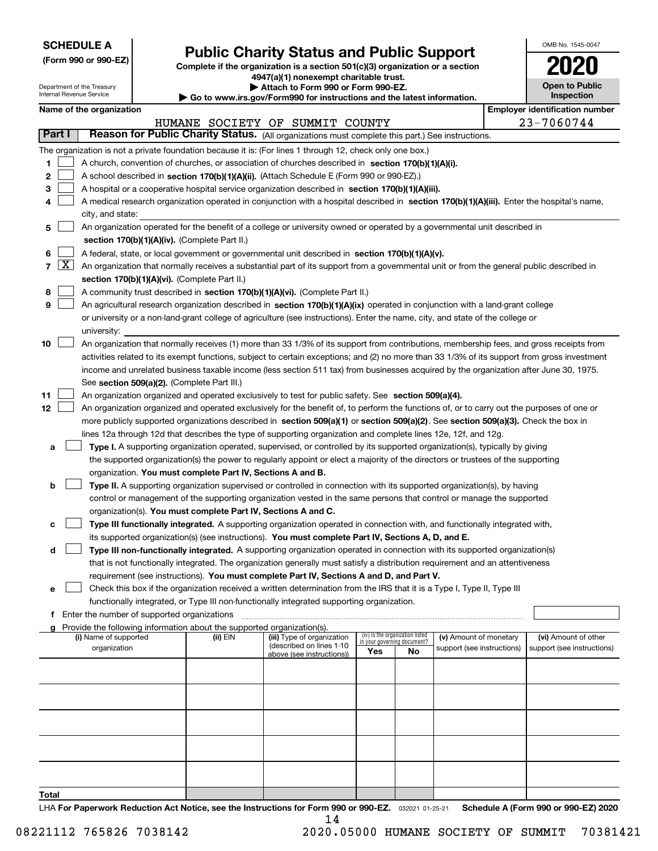| <b>SCHEDULE A</b> |
|-------------------|
|-------------------|

Department of the Treasury Internal Revenue Service

**(Form 990 or 990-EZ)**

# **Public Charity Status and Public Support**

**Complete if the organization is a section 501(c)(3) organization or a section 4947(a)(1) nonexempt charitable trust. | Attach to Form 990 or Form 990-EZ.** 

| Go to www.irs.gov/Form990 for instructions and the latest information. |  |  |
|------------------------------------------------------------------------|--|--|

| OMB No. 1545-0047                   |
|-------------------------------------|
| 2020                                |
| <b>Open to Public</b><br>Inspection |

|  | Name of the organization |
|--|--------------------------|
|--|--------------------------|

|          |                     | Name of the organization                                                                                                                                                                                                                           |          |                                                       |                                                                |    |                            |  | <b>Employer identification number</b> |
|----------|---------------------|----------------------------------------------------------------------------------------------------------------------------------------------------------------------------------------------------------------------------------------------------|----------|-------------------------------------------------------|----------------------------------------------------------------|----|----------------------------|--|---------------------------------------|
|          |                     |                                                                                                                                                                                                                                                    |          | HUMANE SOCIETY OF SUMMIT COUNTY                       |                                                                |    |                            |  | 23-7060744                            |
| Part I   |                     | Reason for Public Charity Status. (All organizations must complete this part.) See instructions.                                                                                                                                                   |          |                                                       |                                                                |    |                            |  |                                       |
|          |                     | The organization is not a private foundation because it is: (For lines 1 through 12, check only one box.)                                                                                                                                          |          |                                                       |                                                                |    |                            |  |                                       |
| 1        |                     | A church, convention of churches, or association of churches described in section 170(b)(1)(A)(i).                                                                                                                                                 |          |                                                       |                                                                |    |                            |  |                                       |
| 2        |                     | A school described in section 170(b)(1)(A)(ii). (Attach Schedule E (Form 990 or 990-EZ).)                                                                                                                                                          |          |                                                       |                                                                |    |                            |  |                                       |
| 3        |                     | A hospital or a cooperative hospital service organization described in section $170(b)(1)(A)(iii)$ .                                                                                                                                               |          |                                                       |                                                                |    |                            |  |                                       |
|          |                     | A medical research organization operated in conjunction with a hospital described in section 170(b)(1)(A)(iii). Enter the hospital's name,                                                                                                         |          |                                                       |                                                                |    |                            |  |                                       |
|          |                     | city, and state:                                                                                                                                                                                                                                   |          |                                                       |                                                                |    |                            |  |                                       |
| 5        |                     | An organization operated for the benefit of a college or university owned or operated by a governmental unit described in                                                                                                                          |          |                                                       |                                                                |    |                            |  |                                       |
|          |                     | section 170(b)(1)(A)(iv). (Complete Part II.)                                                                                                                                                                                                      |          |                                                       |                                                                |    |                            |  |                                       |
| 6        |                     | A federal, state, or local government or governmental unit described in section 170(b)(1)(A)(v).                                                                                                                                                   |          |                                                       |                                                                |    |                            |  |                                       |
| 7        | $\lfloor x \rfloor$ | An organization that normally receives a substantial part of its support from a governmental unit or from the general public described in                                                                                                          |          |                                                       |                                                                |    |                            |  |                                       |
|          |                     | section 170(b)(1)(A)(vi). (Complete Part II.)                                                                                                                                                                                                      |          |                                                       |                                                                |    |                            |  |                                       |
| 8        |                     | A community trust described in section 170(b)(1)(A)(vi). (Complete Part II.)                                                                                                                                                                       |          |                                                       |                                                                |    |                            |  |                                       |
| 9        |                     | An agricultural research organization described in section 170(b)(1)(A)(ix) operated in conjunction with a land-grant college                                                                                                                      |          |                                                       |                                                                |    |                            |  |                                       |
|          |                     | or university or a non-land-grant college of agriculture (see instructions). Enter the name, city, and state of the college or                                                                                                                     |          |                                                       |                                                                |    |                            |  |                                       |
|          |                     | university:                                                                                                                                                                                                                                        |          |                                                       |                                                                |    |                            |  |                                       |
| 10       |                     | An organization that normally receives (1) more than 33 1/3% of its support from contributions, membership fees, and gross receipts from                                                                                                           |          |                                                       |                                                                |    |                            |  |                                       |
|          |                     | activities related to its exempt functions, subject to certain exceptions; and (2) no more than 33 1/3% of its support from gross investment                                                                                                       |          |                                                       |                                                                |    |                            |  |                                       |
|          |                     | income and unrelated business taxable income (less section 511 tax) from businesses acquired by the organization after June 30, 1975.                                                                                                              |          |                                                       |                                                                |    |                            |  |                                       |
|          |                     | See section 509(a)(2). (Complete Part III.)                                                                                                                                                                                                        |          |                                                       |                                                                |    |                            |  |                                       |
| 11<br>12 |                     | An organization organized and operated exclusively to test for public safety. See section 509(a)(4).<br>An organization organized and operated exclusively for the benefit of, to perform the functions of, or to carry out the purposes of one or |          |                                                       |                                                                |    |                            |  |                                       |
|          |                     | more publicly supported organizations described in section 509(a)(1) or section 509(a)(2). See section 509(a)(3). Check the box in                                                                                                                 |          |                                                       |                                                                |    |                            |  |                                       |
|          |                     | lines 12a through 12d that describes the type of supporting organization and complete lines 12e, 12f, and 12g.                                                                                                                                     |          |                                                       |                                                                |    |                            |  |                                       |
| a        |                     | Type I. A supporting organization operated, supervised, or controlled by its supported organization(s), typically by giving                                                                                                                        |          |                                                       |                                                                |    |                            |  |                                       |
|          |                     | the supported organization(s) the power to regularly appoint or elect a majority of the directors or trustees of the supporting                                                                                                                    |          |                                                       |                                                                |    |                            |  |                                       |
|          |                     | organization. You must complete Part IV, Sections A and B.                                                                                                                                                                                         |          |                                                       |                                                                |    |                            |  |                                       |
| b        |                     | Type II. A supporting organization supervised or controlled in connection with its supported organization(s), by having                                                                                                                            |          |                                                       |                                                                |    |                            |  |                                       |
|          |                     | control or management of the supporting organization vested in the same persons that control or manage the supported                                                                                                                               |          |                                                       |                                                                |    |                            |  |                                       |
|          |                     | organization(s). You must complete Part IV, Sections A and C.                                                                                                                                                                                      |          |                                                       |                                                                |    |                            |  |                                       |
| c        |                     | Type III functionally integrated. A supporting organization operated in connection with, and functionally integrated with,                                                                                                                         |          |                                                       |                                                                |    |                            |  |                                       |
|          |                     | its supported organization(s) (see instructions). You must complete Part IV, Sections A, D, and E.                                                                                                                                                 |          |                                                       |                                                                |    |                            |  |                                       |
| d        |                     | Type III non-functionally integrated. A supporting organization operated in connection with its supported organization(s)                                                                                                                          |          |                                                       |                                                                |    |                            |  |                                       |
|          |                     | that is not functionally integrated. The organization generally must satisfy a distribution requirement and an attentiveness                                                                                                                       |          |                                                       |                                                                |    |                            |  |                                       |
|          |                     | requirement (see instructions). You must complete Part IV, Sections A and D, and Part V.                                                                                                                                                           |          |                                                       |                                                                |    |                            |  |                                       |
|          |                     | Check this box if the organization received a written determination from the IRS that it is a Type I, Type II, Type III                                                                                                                            |          |                                                       |                                                                |    |                            |  |                                       |
|          |                     | functionally integrated, or Type III non-functionally integrated supporting organization.                                                                                                                                                          |          |                                                       |                                                                |    |                            |  |                                       |
|          |                     | f Enter the number of supported organizations                                                                                                                                                                                                      |          |                                                       |                                                                |    |                            |  |                                       |
|          |                     | Provide the following information about the supported organization(s).                                                                                                                                                                             |          |                                                       |                                                                |    |                            |  |                                       |
|          |                     | (i) Name of supported                                                                                                                                                                                                                              | (ii) EIN | (iii) Type of organization                            | (iv) Is the organization listed<br>in your governing document? |    | (v) Amount of monetary     |  | (vi) Amount of other                  |
|          |                     | organization                                                                                                                                                                                                                                       |          | (described on lines 1-10<br>above (see instructions)) | Yes                                                            | No | support (see instructions) |  | support (see instructions)            |
|          |                     |                                                                                                                                                                                                                                                    |          |                                                       |                                                                |    |                            |  |                                       |
|          |                     |                                                                                                                                                                                                                                                    |          |                                                       |                                                                |    |                            |  |                                       |
|          |                     |                                                                                                                                                                                                                                                    |          |                                                       |                                                                |    |                            |  |                                       |
|          |                     |                                                                                                                                                                                                                                                    |          |                                                       |                                                                |    |                            |  |                                       |
|          |                     |                                                                                                                                                                                                                                                    |          |                                                       |                                                                |    |                            |  |                                       |
|          |                     |                                                                                                                                                                                                                                                    |          |                                                       |                                                                |    |                            |  |                                       |
|          |                     |                                                                                                                                                                                                                                                    |          |                                                       |                                                                |    |                            |  |                                       |
|          |                     |                                                                                                                                                                                                                                                    |          |                                                       |                                                                |    |                            |  |                                       |
|          |                     |                                                                                                                                                                                                                                                    |          |                                                       |                                                                |    |                            |  |                                       |
|          |                     |                                                                                                                                                                                                                                                    |          |                                                       |                                                                |    |                            |  |                                       |
| Total    |                     |                                                                                                                                                                                                                                                    |          |                                                       |                                                                |    |                            |  |                                       |

LHA For Paperwork Reduction Act Notice, see the Instructions for Form 990 or 990-EZ. <sub>032021</sub> o1-25-21 Schedule A (Form 990 or 990-EZ) 2020 14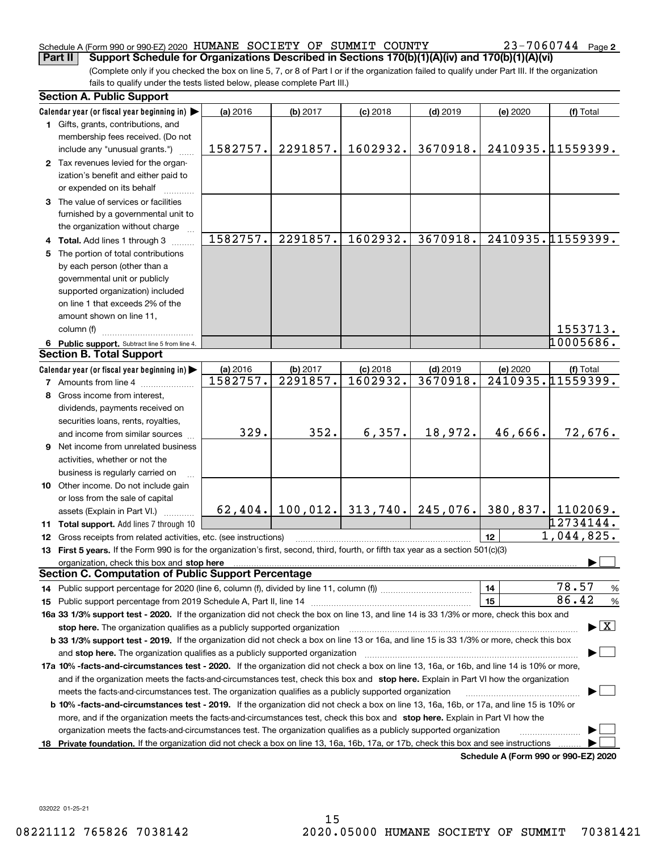### Schedule A (Form 990 or 990-EZ) 2020 Page HUMANE SOCIETY OF SUMMIT COUNTY 23-7060744 **Part II Support Schedule for Organizations Described in Sections 170(b)(1)(A)(iv) and 170(b)(1)(A)(vi)**

23-7060744 Page 2

(Complete only if you checked the box on line 5, 7, or 8 of Part I or if the organization failed to qualify under Part III. If the organization fails to qualify under the tests listed below, please complete Part III.)

|    | <b>Section A. Public Support</b>                                                                                                               |          |          |                                          |            |          |                                          |
|----|------------------------------------------------------------------------------------------------------------------------------------------------|----------|----------|------------------------------------------|------------|----------|------------------------------------------|
|    | Calendar year (or fiscal year beginning in)                                                                                                    | (a) 2016 | (b) 2017 | $(c)$ 2018                               | $(d)$ 2019 | (e) 2020 | (f) Total                                |
|    | 1 Gifts, grants, contributions, and                                                                                                            |          |          |                                          |            |          |                                          |
|    | membership fees received. (Do not                                                                                                              |          |          |                                          |            |          |                                          |
|    | include any "unusual grants.")                                                                                                                 | 1582757. | 2291857. | 1602932.                                 | 3670918.   |          | 2410935.11559399.                        |
|    | 2 Tax revenues levied for the organ-                                                                                                           |          |          |                                          |            |          |                                          |
|    | ization's benefit and either paid to                                                                                                           |          |          |                                          |            |          |                                          |
|    | or expended on its behalf                                                                                                                      |          |          |                                          |            |          |                                          |
|    | 3 The value of services or facilities                                                                                                          |          |          |                                          |            |          |                                          |
|    | furnished by a governmental unit to                                                                                                            |          |          |                                          |            |          |                                          |
|    | the organization without charge                                                                                                                |          |          |                                          |            |          |                                          |
|    |                                                                                                                                                | 1582757. | 2291857. | 1602932.                                 | 3670918.   |          | 2410935.11559399.                        |
|    | 4 Total. Add lines 1 through 3                                                                                                                 |          |          |                                          |            |          |                                          |
|    | 5 The portion of total contributions                                                                                                           |          |          |                                          |            |          |                                          |
|    | by each person (other than a                                                                                                                   |          |          |                                          |            |          |                                          |
|    | governmental unit or publicly                                                                                                                  |          |          |                                          |            |          |                                          |
|    | supported organization) included                                                                                                               |          |          |                                          |            |          |                                          |
|    | on line 1 that exceeds 2% of the                                                                                                               |          |          |                                          |            |          |                                          |
|    | amount shown on line 11,                                                                                                                       |          |          |                                          |            |          |                                          |
|    | column (f)                                                                                                                                     |          |          |                                          |            |          | 1553713.                                 |
|    | 6 Public support. Subtract line 5 from line 4.                                                                                                 |          |          |                                          |            |          | 10005686.                                |
|    | <b>Section B. Total Support</b>                                                                                                                |          |          |                                          |            |          |                                          |
|    | Calendar year (or fiscal year beginning in)                                                                                                    | (a) 2016 | (b) 2017 | $(c)$ 2018                               | $(d)$ 2019 | (e) 2020 | (f) Total                                |
|    | <b>7</b> Amounts from line 4                                                                                                                   | 1582757. | 2291857. | 1602932.                                 | 3670918.   |          | 2410935.11559399.                        |
|    | 8 Gross income from interest,                                                                                                                  |          |          |                                          |            |          |                                          |
|    | dividends, payments received on                                                                                                                |          |          |                                          |            |          |                                          |
|    | securities loans, rents, royalties,                                                                                                            |          |          |                                          |            |          |                                          |
|    | and income from similar sources                                                                                                                | 329.     | 352.     | 6,357.                                   | 18,972.    | 46,666.  | 72,676.                                  |
|    | 9 Net income from unrelated business                                                                                                           |          |          |                                          |            |          |                                          |
|    | activities, whether or not the                                                                                                                 |          |          |                                          |            |          |                                          |
|    | business is regularly carried on                                                                                                               |          |          |                                          |            |          |                                          |
|    | 10 Other income. Do not include gain                                                                                                           |          |          |                                          |            |          |                                          |
|    | or loss from the sale of capital                                                                                                               |          |          |                                          |            |          |                                          |
|    | assets (Explain in Part VI.)                                                                                                                   |          |          | $62, 404.$ 100, 012. 313, 740. 245, 076. |            |          | 380,837. 1102069.                        |
|    | 11 Total support. Add lines 7 through 10                                                                                                       |          |          |                                          |            |          | 12734144.                                |
|    | 12 Gross receipts from related activities, etc. (see instructions)                                                                             |          |          |                                          |            | 12       | 1,044,825.                               |
|    | 13 First 5 years. If the Form 990 is for the organization's first, second, third, fourth, or fifth tax year as a section 501(c)(3)             |          |          |                                          |            |          |                                          |
|    |                                                                                                                                                |          |          |                                          |            |          |                                          |
|    | organization, check this box and stop here<br><b>Section C. Computation of Public Support Percentage</b>                                       |          |          |                                          |            |          |                                          |
|    |                                                                                                                                                |          |          |                                          |            | 14       | 78.57<br>%                               |
|    |                                                                                                                                                |          |          |                                          |            | 15       | 86.42<br>$\%$                            |
|    | 16a 33 1/3% support test - 2020. If the organization did not check the box on line 13, and line 14 is 33 1/3% or more, check this box and      |          |          |                                          |            |          |                                          |
|    |                                                                                                                                                |          |          |                                          |            |          | $\blacktriangleright$ $\boxed{\text{X}}$ |
|    | stop here. The organization qualifies as a publicly supported organization                                                                     |          |          |                                          |            |          |                                          |
|    | b 33 1/3% support test - 2019. If the organization did not check a box on line 13 or 16a, and line 15 is 33 1/3% or more, check this box       |          |          |                                          |            |          |                                          |
|    | and stop here. The organization qualifies as a publicly supported organization                                                                 |          |          |                                          |            |          |                                          |
|    | 17a 10% -facts-and-circumstances test - 2020. If the organization did not check a box on line 13, 16a, or 16b, and line 14 is 10% or more,     |          |          |                                          |            |          |                                          |
|    | and if the organization meets the facts-and-circumstances test, check this box and stop here. Explain in Part VI how the organization          |          |          |                                          |            |          |                                          |
|    | meets the facts-and-circumstances test. The organization qualifies as a publicly supported organization                                        |          |          |                                          |            |          |                                          |
|    | <b>b 10% -facts-and-circumstances test - 2019.</b> If the organization did not check a box on line 13, 16a, 16b, or 17a, and line 15 is 10% or |          |          |                                          |            |          |                                          |
|    | more, and if the organization meets the facts-and-circumstances test, check this box and stop here. Explain in Part VI how the                 |          |          |                                          |            |          |                                          |
|    | organization meets the facts-and-circumstances test. The organization qualifies as a publicly supported organization                           |          |          |                                          |            |          |                                          |
| 18 | Private foundation. If the organization did not check a box on line 13, 16a, 16b, 17a, or 17b, check this box and see instructions             |          |          |                                          |            |          |                                          |
|    |                                                                                                                                                |          |          |                                          |            |          | Schedule A (Form 990 or 990-F7) 2020     |

**Schedule A (Form 990 or 990-EZ) 2020**

032022 01-25-21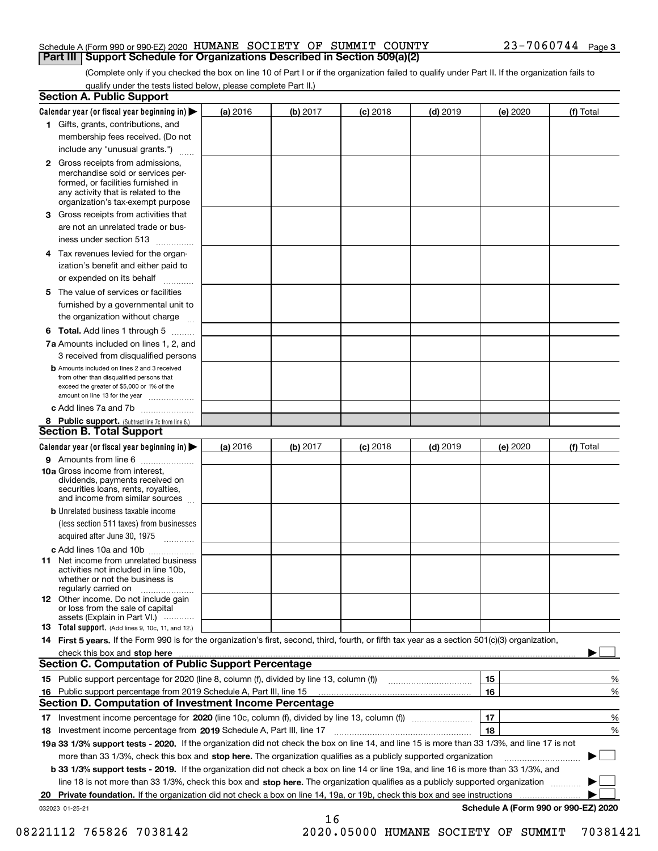### Schedule A (Form 990 or 990-EZ) 2020 Page HUMANE SOCIETY OF SUMMIT COUNTY 23-7060744 **Part III Support Schedule for Organizations Described in Section 509(a)(2)**

(Complete only if you checked the box on line 10 of Part I or if the organization failed to qualify under Part II. If the organization fails to qualify under the tests listed below, please complete Part II.)

|    | <b>Section A. Public Support</b>                                                                                                                                                                                              |          |          |            |            |          |                                      |
|----|-------------------------------------------------------------------------------------------------------------------------------------------------------------------------------------------------------------------------------|----------|----------|------------|------------|----------|--------------------------------------|
|    | Calendar year (or fiscal year beginning in) $\blacktriangleright$                                                                                                                                                             | (a) 2016 | (b) 2017 | $(c)$ 2018 | $(d)$ 2019 | (e) 2020 | (f) Total                            |
|    | 1 Gifts, grants, contributions, and                                                                                                                                                                                           |          |          |            |            |          |                                      |
|    | membership fees received. (Do not                                                                                                                                                                                             |          |          |            |            |          |                                      |
|    | include any "unusual grants.")                                                                                                                                                                                                |          |          |            |            |          |                                      |
|    | 2 Gross receipts from admissions,<br>merchandise sold or services per-<br>formed, or facilities furnished in<br>any activity that is related to the<br>organization's tax-exempt purpose                                      |          |          |            |            |          |                                      |
|    | 3 Gross receipts from activities that<br>are not an unrelated trade or bus-                                                                                                                                                   |          |          |            |            |          |                                      |
|    | iness under section 513                                                                                                                                                                                                       |          |          |            |            |          |                                      |
|    | 4 Tax revenues levied for the organ-                                                                                                                                                                                          |          |          |            |            |          |                                      |
|    | ization's benefit and either paid to<br>or expended on its behalf<br>.                                                                                                                                                        |          |          |            |            |          |                                      |
|    | 5 The value of services or facilities                                                                                                                                                                                         |          |          |            |            |          |                                      |
|    | furnished by a governmental unit to                                                                                                                                                                                           |          |          |            |            |          |                                      |
|    | the organization without charge                                                                                                                                                                                               |          |          |            |            |          |                                      |
|    | <b>6 Total.</b> Add lines 1 through 5                                                                                                                                                                                         |          |          |            |            |          |                                      |
|    | 7a Amounts included on lines 1, 2, and                                                                                                                                                                                        |          |          |            |            |          |                                      |
|    | 3 received from disqualified persons                                                                                                                                                                                          |          |          |            |            |          |                                      |
|    | <b>b</b> Amounts included on lines 2 and 3 received<br>from other than disqualified persons that<br>exceed the greater of \$5,000 or 1% of the<br>amount on line 13 for the year                                              |          |          |            |            |          |                                      |
|    | c Add lines 7a and 7b                                                                                                                                                                                                         |          |          |            |            |          |                                      |
|    | 8 Public support. (Subtract line 7c from line 6.)                                                                                                                                                                             |          |          |            |            |          |                                      |
|    | <b>Section B. Total Support</b>                                                                                                                                                                                               |          |          |            |            |          |                                      |
|    | Calendar year (or fiscal year beginning in) $\blacktriangleright$                                                                                                                                                             | (a) 2016 | (b) 2017 | $(c)$ 2018 | $(d)$ 2019 | (e) 2020 | (f) Total                            |
|    | 9 Amounts from line 6                                                                                                                                                                                                         |          |          |            |            |          |                                      |
|    | 10a Gross income from interest,<br>dividends, payments received on<br>securities loans, rents, royalties,<br>and income from similar sources                                                                                  |          |          |            |            |          |                                      |
|    | <b>b</b> Unrelated business taxable income<br>(less section 511 taxes) from businesses                                                                                                                                        |          |          |            |            |          |                                      |
|    | acquired after June 30, 1975                                                                                                                                                                                                  |          |          |            |            |          |                                      |
|    | c Add lines 10a and 10b<br>11 Net income from unrelated business<br>activities not included in line 10b,<br>whether or not the business is<br>regularly carried on                                                            |          |          |            |            |          |                                      |
|    | 12 Other income. Do not include gain<br>or loss from the sale of capital<br>assets (Explain in Part VI.)                                                                                                                      |          |          |            |            |          |                                      |
|    | <b>13</b> Total support. (Add lines 9, 10c, 11, and 12.)                                                                                                                                                                      |          |          |            |            |          |                                      |
|    | 14 First 5 years. If the Form 990 is for the organization's first, second, third, fourth, or fifth tax year as a section 501(c)(3) organization,                                                                              |          |          |            |            |          |                                      |
|    | check this box and stop here with the continuum control to the change of the state of the state of the change of the change of the change of the change of the change of the change of the change of the change of the change |          |          |            |            |          |                                      |
|    | Section C. Computation of Public Support Percentage                                                                                                                                                                           |          |          |            |            |          |                                      |
|    | 15 Public support percentage for 2020 (line 8, column (f), divided by line 13, column (f))                                                                                                                                    |          |          |            |            | 15       | %                                    |
|    | 16 Public support percentage from 2019 Schedule A, Part III, line 15                                                                                                                                                          |          |          |            |            | 16       | %                                    |
|    | <b>Section D. Computation of Investment Income Percentage</b>                                                                                                                                                                 |          |          |            |            |          |                                      |
|    | 17 Investment income percentage for 2020 (line 10c, column (f), divided by line 13, column (f))                                                                                                                               |          |          |            |            | 17       | %                                    |
|    | <b>18</b> Investment income percentage from <b>2019</b> Schedule A, Part III, line 17                                                                                                                                         |          |          |            |            | 18       | %                                    |
|    | 19a 33 1/3% support tests - 2020. If the organization did not check the box on line 14, and line 15 is more than 33 1/3%, and line 17 is not                                                                                  |          |          |            |            |          |                                      |
|    | more than 33 1/3%, check this box and stop here. The organization qualifies as a publicly supported organization                                                                                                              |          |          |            |            |          | ▶                                    |
|    | b 33 1/3% support tests - 2019. If the organization did not check a box on line 14 or line 19a, and line 16 is more than 33 1/3%, and                                                                                         |          |          |            |            |          |                                      |
|    | line 18 is not more than 33 1/3%, check this box and stop here. The organization qualifies as a publicly supported organization                                                                                               |          |          |            |            |          |                                      |
| 20 | <b>Private foundation.</b> If the organization did not check a box on line 14, 19a, or 19b, check this box and see instructions                                                                                               |          |          |            |            |          |                                      |
|    | 032023 01-25-21                                                                                                                                                                                                               |          | 16       |            |            |          | Schedule A (Form 990 or 990-EZ) 2020 |

 <sup>08221112 765826 7038142 2020.05000</sup> HUMANE SOCIETY OF SUMMIT 70381421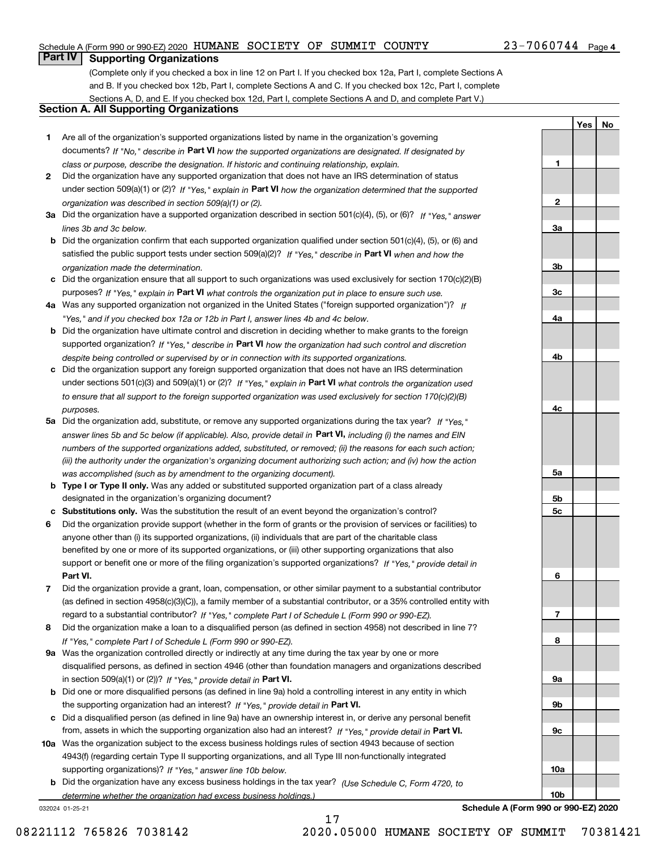## Schedule A (Form 990 or 990-EZ) 2020 Page HUMANE SOCIETY OF SUMMIT COUNTY 23-7060744

# **Part IV Supporting Organizations**

(Complete only if you checked a box in line 12 on Part I. If you checked box 12a, Part I, complete Sections A and B. If you checked box 12b, Part I, complete Sections A and C. If you checked box 12c, Part I, complete Sections A, D, and E. If you checked box 12d, Part I, complete Sections A and D, and complete Part V.)

## **Section A. All Supporting Organizations**

- **1** Are all of the organization's supported organizations listed by name in the organization's governing documents? If "No," describe in **Part VI** how the supported organizations are designated. If designated by *class or purpose, describe the designation. If historic and continuing relationship, explain.*
- **2** Did the organization have any supported organization that does not have an IRS determination of status under section 509(a)(1) or (2)? If "Yes," explain in Part VI how the organization determined that the supported *organization was described in section 509(a)(1) or (2).*
- **3a** Did the organization have a supported organization described in section 501(c)(4), (5), or (6)? If "Yes," answer *lines 3b and 3c below.*
- **b** Did the organization confirm that each supported organization qualified under section 501(c)(4), (5), or (6) and satisfied the public support tests under section 509(a)(2)? If "Yes," describe in **Part VI** when and how the *organization made the determination.*
- **c**Did the organization ensure that all support to such organizations was used exclusively for section 170(c)(2)(B) purposes? If "Yes," explain in **Part VI** what controls the organization put in place to ensure such use.
- **4a***If* Was any supported organization not organized in the United States ("foreign supported organization")? *"Yes," and if you checked box 12a or 12b in Part I, answer lines 4b and 4c below.*
- **b** Did the organization have ultimate control and discretion in deciding whether to make grants to the foreign supported organization? If "Yes," describe in **Part VI** how the organization had such control and discretion *despite being controlled or supervised by or in connection with its supported organizations.*
- **c** Did the organization support any foreign supported organization that does not have an IRS determination under sections 501(c)(3) and 509(a)(1) or (2)? If "Yes," explain in **Part VI** what controls the organization used *to ensure that all support to the foreign supported organization was used exclusively for section 170(c)(2)(B) purposes.*
- **5a** Did the organization add, substitute, or remove any supported organizations during the tax year? If "Yes," answer lines 5b and 5c below (if applicable). Also, provide detail in **Part VI,** including (i) the names and EIN *numbers of the supported organizations added, substituted, or removed; (ii) the reasons for each such action; (iii) the authority under the organization's organizing document authorizing such action; and (iv) how the action was accomplished (such as by amendment to the organizing document).*
- **b** Type I or Type II only. Was any added or substituted supported organization part of a class already designated in the organization's organizing document?
- **cSubstitutions only.**  Was the substitution the result of an event beyond the organization's control?
- **6** Did the organization provide support (whether in the form of grants or the provision of services or facilities) to **Part VI.** *If "Yes," provide detail in* support or benefit one or more of the filing organization's supported organizations? anyone other than (i) its supported organizations, (ii) individuals that are part of the charitable class benefited by one or more of its supported organizations, or (iii) other supporting organizations that also
- **7**Did the organization provide a grant, loan, compensation, or other similar payment to a substantial contributor *If "Yes," complete Part I of Schedule L (Form 990 or 990-EZ).* regard to a substantial contributor? (as defined in section 4958(c)(3)(C)), a family member of a substantial contributor, or a 35% controlled entity with
- **8** Did the organization make a loan to a disqualified person (as defined in section 4958) not described in line 7? *If "Yes," complete Part I of Schedule L (Form 990 or 990-EZ).*
- **9a** Was the organization controlled directly or indirectly at any time during the tax year by one or more in section 509(a)(1) or (2))? If "Yes," *provide detail in* <code>Part VI.</code> disqualified persons, as defined in section 4946 (other than foundation managers and organizations described
- **b** Did one or more disqualified persons (as defined in line 9a) hold a controlling interest in any entity in which the supporting organization had an interest? If "Yes," provide detail in P**art VI**.
- **c**Did a disqualified person (as defined in line 9a) have an ownership interest in, or derive any personal benefit from, assets in which the supporting organization also had an interest? If "Yes," provide detail in P**art VI.**
- **10a** Was the organization subject to the excess business holdings rules of section 4943 because of section supporting organizations)? If "Yes," answer line 10b below. 4943(f) (regarding certain Type II supporting organizations, and all Type III non-functionally integrated
- **b** Did the organization have any excess business holdings in the tax year? (Use Schedule C, Form 4720, to *determine whether the organization had excess business holdings.)*

17

032024 01-25-21

**3a3b3c4a4b4c5a 5b5c6789a 9b9c10a**

**1**

**2**

**YesNo**

**Schedule A (Form 990 or 990-EZ) 2020**

**10b**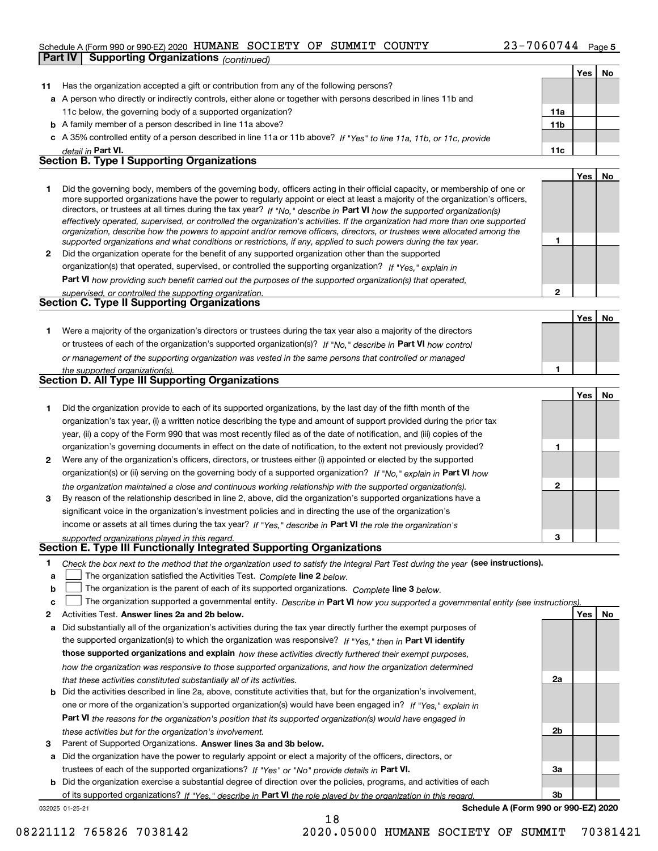## Schedule A (Form 990 or 990-EZ) 2020 Page HUMANE SOCIETY OF SUMMIT COUNTY 23-7060744

|              | <b>Supporting Organizations (continued)</b><br>Part IV                                                                                                                                                                                                     |                 |     |    |
|--------------|------------------------------------------------------------------------------------------------------------------------------------------------------------------------------------------------------------------------------------------------------------|-----------------|-----|----|
|              |                                                                                                                                                                                                                                                            |                 | Yes | No |
| 11           | Has the organization accepted a gift or contribution from any of the following persons?                                                                                                                                                                    |                 |     |    |
|              | a A person who directly or indirectly controls, either alone or together with persons described in lines 11b and                                                                                                                                           |                 |     |    |
|              | 11c below, the governing body of a supported organization?                                                                                                                                                                                                 | 11a             |     |    |
|              | <b>b</b> A family member of a person described in line 11a above?                                                                                                                                                                                          | 11 <sub>b</sub> |     |    |
|              | c A 35% controlled entity of a person described in line 11a or 11b above? If "Yes" to line 11a, 11b, or 11c, provide                                                                                                                                       |                 |     |    |
|              | detail in Part VI.                                                                                                                                                                                                                                         | 11c             |     |    |
|              | <b>Section B. Type I Supporting Organizations</b>                                                                                                                                                                                                          |                 |     |    |
|              |                                                                                                                                                                                                                                                            |                 | Yes | No |
| 1.           | Did the governing body, members of the governing body, officers acting in their official capacity, or membership of one or                                                                                                                                 |                 |     |    |
|              | more supported organizations have the power to regularly appoint or elect at least a majority of the organization's officers,                                                                                                                              |                 |     |    |
|              | directors, or trustees at all times during the tax year? If "No," describe in Part VI how the supported organization(s)                                                                                                                                    |                 |     |    |
|              | effectively operated, supervised, or controlled the organization's activities. If the organization had more than one supported<br>organization, describe how the powers to appoint and/or remove officers, directors, or trustees were allocated among the |                 |     |    |
|              | supported organizations and what conditions or restrictions, if any, applied to such powers during the tax year.                                                                                                                                           | 1               |     |    |
| $\mathbf{2}$ | Did the organization operate for the benefit of any supported organization other than the supported                                                                                                                                                        |                 |     |    |
|              | organization(s) that operated, supervised, or controlled the supporting organization? If "Yes," explain in                                                                                                                                                 |                 |     |    |
|              | <b>Part VI</b> how providing such benefit carried out the purposes of the supported organization(s) that operated,                                                                                                                                         |                 |     |    |
|              | supervised, or controlled the supporting organization.                                                                                                                                                                                                     | $\mathbf{2}$    |     |    |
|              | Section C. Type II Supporting Organizations                                                                                                                                                                                                                |                 |     |    |
|              |                                                                                                                                                                                                                                                            |                 | Yes | No |
| 1.           | Were a majority of the organization's directors or trustees during the tax year also a majority of the directors                                                                                                                                           |                 |     |    |
|              | or trustees of each of the organization's supported organization(s)? If "No," describe in Part VI how control                                                                                                                                              |                 |     |    |
|              | or management of the supporting organization was vested in the same persons that controlled or managed                                                                                                                                                     |                 |     |    |
|              | the supported organization(s).                                                                                                                                                                                                                             | 1               |     |    |
|              | Section D. All Type III Supporting Organizations                                                                                                                                                                                                           |                 |     |    |
|              |                                                                                                                                                                                                                                                            |                 | Yes | No |
| 1.           | Did the organization provide to each of its supported organizations, by the last day of the fifth month of the                                                                                                                                             |                 |     |    |
|              | organization's tax year, (i) a written notice describing the type and amount of support provided during the prior tax                                                                                                                                      |                 |     |    |
|              | year, (ii) a copy of the Form 990 that was most recently filed as of the date of notification, and (iii) copies of the                                                                                                                                     |                 |     |    |
|              | organization's governing documents in effect on the date of notification, to the extent not previously provided?                                                                                                                                           | 1               |     |    |
| 2            | Were any of the organization's officers, directors, or trustees either (i) appointed or elected by the supported                                                                                                                                           |                 |     |    |
|              | organization(s) or (ii) serving on the governing body of a supported organization? If "No," explain in Part VI how                                                                                                                                         |                 |     |    |
|              | the organization maintained a close and continuous working relationship with the supported organization(s).                                                                                                                                                | $\mathbf{2}$    |     |    |
| 3            | By reason of the relationship described in line 2, above, did the organization's supported organizations have a                                                                                                                                            |                 |     |    |
|              | significant voice in the organization's investment policies and in directing the use of the organization's                                                                                                                                                 |                 |     |    |
|              | income or assets at all times during the tax year? If "Yes," describe in Part VI the role the organization's                                                                                                                                               |                 |     |    |
|              | supported organizations played in this regard.                                                                                                                                                                                                             | з               |     |    |
|              | Section E. Type III Functionally Integrated Supporting Organizations                                                                                                                                                                                       |                 |     |    |
| 1            | Check the box next to the method that the organization used to satisfy the Integral Part Test during the year (see instructions).                                                                                                                          |                 |     |    |
| a            | The organization satisfied the Activities Test. Complete line 2 below.                                                                                                                                                                                     |                 |     |    |
| b            | The organization is the parent of each of its supported organizations. Complete line 3 below.                                                                                                                                                              |                 |     |    |
| c            | The organization supported a governmental entity. Describe in Part VI how you supported a governmental entity (see instructions).                                                                                                                          |                 |     |    |
| 2            | Activities Test. Answer lines 2a and 2b below.                                                                                                                                                                                                             |                 | Yes | No |
| a            | Did substantially all of the organization's activities during the tax year directly further the exempt purposes of                                                                                                                                         |                 |     |    |
|              | the supported organization(s) to which the organization was responsive? If "Yes." then in Part VI identify                                                                                                                                                 |                 |     |    |
|              | those supported organizations and explain how these activities directly furthered their exempt purposes,                                                                                                                                                   |                 |     |    |
|              | how the organization was responsive to those supported organizations, and how the organization determined                                                                                                                                                  |                 |     |    |
|              | that these activities constituted substantially all of its activities.                                                                                                                                                                                     | 2a              |     |    |
|              | <b>b</b> Did the activities described in line 2a, above, constitute activities that, but for the organization's involvement,                                                                                                                               |                 |     |    |
|              | one or more of the organization's supported organization(s) would have been engaged in? If "Yes," explain in                                                                                                                                               |                 |     |    |
|              | <b>Part VI</b> the reasons for the organization's position that its supported organization(s) would have engaged in                                                                                                                                        |                 |     |    |
|              | these activities but for the organization's involvement.                                                                                                                                                                                                   | 2b              |     |    |
| З            | Parent of Supported Organizations. Answer lines 3a and 3b below.                                                                                                                                                                                           |                 |     |    |
|              |                                                                                                                                                                                                                                                            |                 |     |    |

**a** Did the organization have the power to regularly appoint or elect a majority of the officers, directors, or trustees of each of the supported organizations? If "Yes" or "No" provide details in **Part VI.** 

032025 01-25-21 **b** Did the organization exercise a substantial degree of direction over the policies, programs, and activities of each of its supported organizations? If "Yes," describe in Part VI the role played by the organization in this regard.

18

**Schedule A (Form 990 or 990-EZ) 2020**

**3a**

**3b**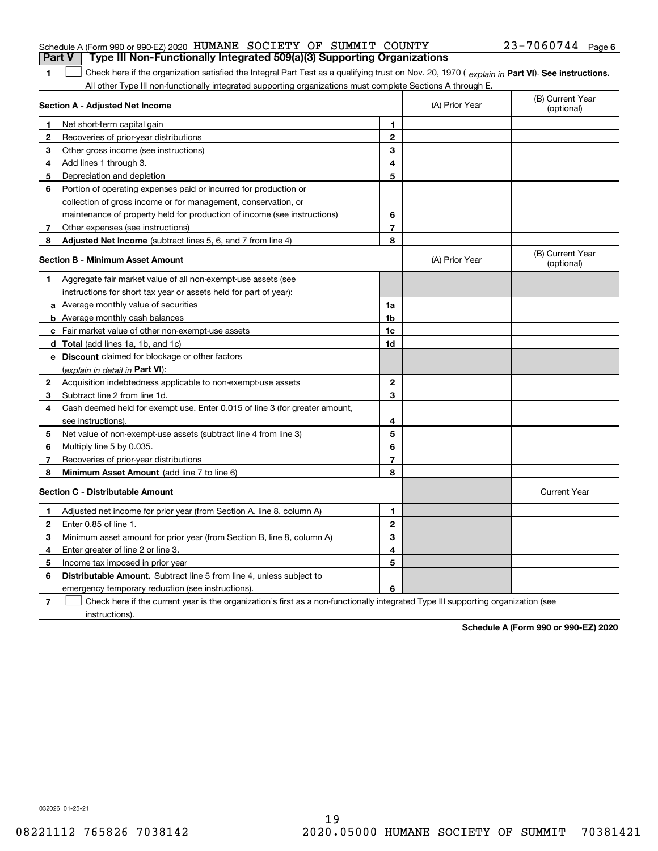| Part V   Type III Non-Functionally Integrated 509(a)(3) Supporting Organizations |  |                       |  |
|----------------------------------------------------------------------------------|--|-----------------------|--|
| Schedule A (Form 990 or 990-EZ) 2020 HUMANE SOCIETY OF SUMMIT COUNTY             |  | $23 - 7060744$ Page 6 |  |

| 1 Check here if the organization satisfied the Integral Part Test as a qualifying trust on Nov. 20, 1970 (explain in Part VI). See instructions. |
|--------------------------------------------------------------------------------------------------------------------------------------------------|
| All other Type III non-functionally integrated supporting organizations must complete Sections A through E.                                      |

|              | Section A - Adjusted Net Income                                             |                | (A) Prior Year | (B) Current Year<br>(optional) |
|--------------|-----------------------------------------------------------------------------|----------------|----------------|--------------------------------|
| 1            | Net short-term capital gain                                                 | 1              |                |                                |
| 2            | Recoveries of prior-year distributions                                      | $\mathbf{2}$   |                |                                |
| 3            | Other gross income (see instructions)                                       | 3              |                |                                |
| 4            | Add lines 1 through 3.                                                      | 4              |                |                                |
| 5            | Depreciation and depletion                                                  | 5              |                |                                |
| 6            | Portion of operating expenses paid or incurred for production or            |                |                |                                |
|              | collection of gross income or for management, conservation, or              |                |                |                                |
|              | maintenance of property held for production of income (see instructions)    | 6              |                |                                |
| 7            | Other expenses (see instructions)                                           | $\overline{7}$ |                |                                |
| 8            | Adjusted Net Income (subtract lines 5, 6, and 7 from line 4)                | 8              |                |                                |
|              | <b>Section B - Minimum Asset Amount</b>                                     |                | (A) Prior Year | (B) Current Year<br>(optional) |
| 1            | Aggregate fair market value of all non-exempt-use assets (see               |                |                |                                |
|              | instructions for short tax year or assets held for part of year):           |                |                |                                |
|              | <b>a</b> Average monthly value of securities                                | 1a             |                |                                |
|              | <b>b</b> Average monthly cash balances                                      | 1b             |                |                                |
|              | c Fair market value of other non-exempt-use assets                          | 1c             |                |                                |
|              | d Total (add lines 1a, 1b, and 1c)                                          | 1d             |                |                                |
|              | e Discount claimed for blockage or other factors                            |                |                |                                |
|              | (explain in detail in Part VI):                                             |                |                |                                |
| 2            | Acquisition indebtedness applicable to non-exempt-use assets                | $\mathbf{2}$   |                |                                |
| 3            | Subtract line 2 from line 1d.                                               | 3              |                |                                |
| 4            | Cash deemed held for exempt use. Enter 0.015 of line 3 (for greater amount, |                |                |                                |
|              | see instructions).                                                          | 4              |                |                                |
| 5            | Net value of non-exempt-use assets (subtract line 4 from line 3)            | 5              |                |                                |
| 6            | Multiply line 5 by 0.035.                                                   | 6              |                |                                |
| 7            | Recoveries of prior-year distributions                                      | $\overline{7}$ |                |                                |
| 8            | Minimum Asset Amount (add line 7 to line 6)                                 | 8              |                |                                |
|              | <b>Section C - Distributable Amount</b>                                     |                |                | <b>Current Year</b>            |
| 1            | Adjusted net income for prior year (from Section A, line 8, column A)       | 1              |                |                                |
| $\mathbf{2}$ | Enter 0.85 of line 1.                                                       | $\mathbf{2}$   |                |                                |
| 3            | Minimum asset amount for prior year (from Section B, line 8, column A)      | 3              |                |                                |
| 4            | Enter greater of line 2 or line 3.                                          | 4              |                |                                |
| 5            | Income tax imposed in prior year                                            | 5              |                |                                |
| 6            | <b>Distributable Amount.</b> Subtract line 5 from line 4, unless subject to |                |                |                                |
|              | emergency temporary reduction (see instructions).                           | 6              |                |                                |
|              |                                                                             |                |                |                                |

**7**Check here if the current year is the organization's first as a non-functionally integrated Type III supporting organization (see instructions).

**Schedule A (Form 990 or 990-EZ) 2020**

032026 01-25-21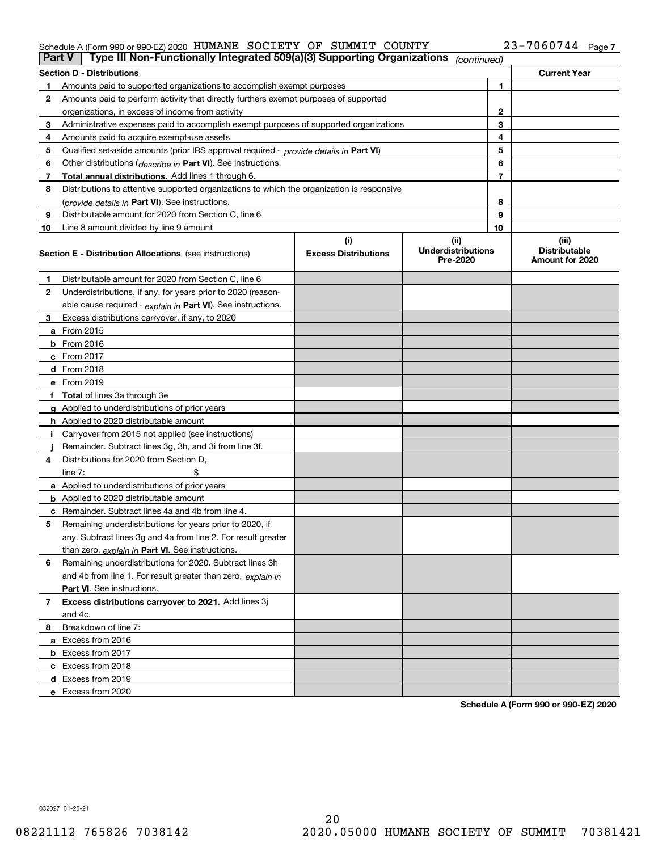# Schedule A (Form 990 or 990-EZ) 2020 Page HUMANE SOCIETY OF SUMMIT COUNTY 23-7060744

| <b>Part V</b> | Type III Non-Functionally Integrated 509(a)(3) Supporting Organizations                    |                                    | (continued)                       |              |                               |
|---------------|--------------------------------------------------------------------------------------------|------------------------------------|-----------------------------------|--------------|-------------------------------|
|               | <b>Section D - Distributions</b>                                                           |                                    |                                   |              | <b>Current Year</b>           |
| 1             | Amounts paid to supported organizations to accomplish exempt purposes                      |                                    |                                   | 1            |                               |
| 2             | Amounts paid to perform activity that directly furthers exempt purposes of supported       |                                    |                                   |              |                               |
|               | organizations, in excess of income from activity                                           |                                    |                                   | $\mathbf{2}$ |                               |
| 3             | Administrative expenses paid to accomplish exempt purposes of supported organizations      |                                    |                                   | 3            |                               |
| 4             | Amounts paid to acquire exempt-use assets                                                  |                                    |                                   | 4            |                               |
| 5             | Qualified set-aside amounts (prior IRS approval required - provide details in Part VI)     |                                    |                                   | 5            |                               |
| 6             | Other distributions ( <i>describe in</i> Part VI). See instructions.                       |                                    |                                   | 6            |                               |
| 7             | Total annual distributions. Add lines 1 through 6.                                         |                                    |                                   | 7            |                               |
| 8             | Distributions to attentive supported organizations to which the organization is responsive |                                    |                                   |              |                               |
|               | (provide details in Part VI). See instructions.                                            |                                    |                                   | 8            |                               |
| 9             | Distributable amount for 2020 from Section C, line 6                                       |                                    |                                   | 9            |                               |
| 10            | Line 8 amount divided by line 9 amount                                                     |                                    |                                   | 10           |                               |
|               | Section E - Distribution Allocations (see instructions)                                    | (i)<br><b>Excess Distributions</b> | (ii)<br><b>Underdistributions</b> |              | (iii)<br><b>Distributable</b> |
|               |                                                                                            |                                    | Pre-2020                          |              | Amount for 2020               |
| 1             | Distributable amount for 2020 from Section C, line 6                                       |                                    |                                   |              |                               |
| 2             | Underdistributions, if any, for years prior to 2020 (reason-                               |                                    |                                   |              |                               |
|               | able cause required - explain in Part VI). See instructions.                               |                                    |                                   |              |                               |
| 3             | Excess distributions carryover, if any, to 2020                                            |                                    |                                   |              |                               |
|               | <b>a</b> From 2015                                                                         |                                    |                                   |              |                               |
|               | <b>b</b> From 2016                                                                         |                                    |                                   |              |                               |
|               | c From 2017                                                                                |                                    |                                   |              |                               |
|               | <b>d</b> From 2018                                                                         |                                    |                                   |              |                               |
|               | e From 2019                                                                                |                                    |                                   |              |                               |
|               | f Total of lines 3a through 3e                                                             |                                    |                                   |              |                               |
|               | g Applied to underdistributions of prior years                                             |                                    |                                   |              |                               |
|               | <b>h</b> Applied to 2020 distributable amount                                              |                                    |                                   |              |                               |
|               | Carryover from 2015 not applied (see instructions)                                         |                                    |                                   |              |                               |
|               | Remainder. Subtract lines 3g, 3h, and 3i from line 3f.                                     |                                    |                                   |              |                               |
| 4             | Distributions for 2020 from Section D,                                                     |                                    |                                   |              |                               |
|               | line $7:$                                                                                  |                                    |                                   |              |                               |
|               | a Applied to underdistributions of prior years                                             |                                    |                                   |              |                               |
|               | <b>b</b> Applied to 2020 distributable amount                                              |                                    |                                   |              |                               |
|               | c Remainder. Subtract lines 4a and 4b from line 4.                                         |                                    |                                   |              |                               |
| 5             | Remaining underdistributions for years prior to 2020, if                                   |                                    |                                   |              |                               |
|               | any. Subtract lines 3g and 4a from line 2. For result greater                              |                                    |                                   |              |                               |
|               | than zero, explain in Part VI. See instructions.                                           |                                    |                                   |              |                               |
| 6             | Remaining underdistributions for 2020. Subtract lines 3h                                   |                                    |                                   |              |                               |
|               | and 4b from line 1. For result greater than zero, explain in                               |                                    |                                   |              |                               |
|               | Part VI. See instructions.                                                                 |                                    |                                   |              |                               |
| 7             | Excess distributions carryover to 2021. Add lines 3j                                       |                                    |                                   |              |                               |
|               | and 4c.                                                                                    |                                    |                                   |              |                               |
| 8             | Breakdown of line 7:                                                                       |                                    |                                   |              |                               |
|               | a Excess from 2016                                                                         |                                    |                                   |              |                               |
|               | <b>b</b> Excess from 2017                                                                  |                                    |                                   |              |                               |
|               | c Excess from 2018                                                                         |                                    |                                   |              |                               |
|               | d Excess from 2019                                                                         |                                    |                                   |              |                               |
|               | e Excess from 2020                                                                         |                                    |                                   |              |                               |

**Schedule A (Form 990 or 990-EZ) 2020**

032027 01-25-21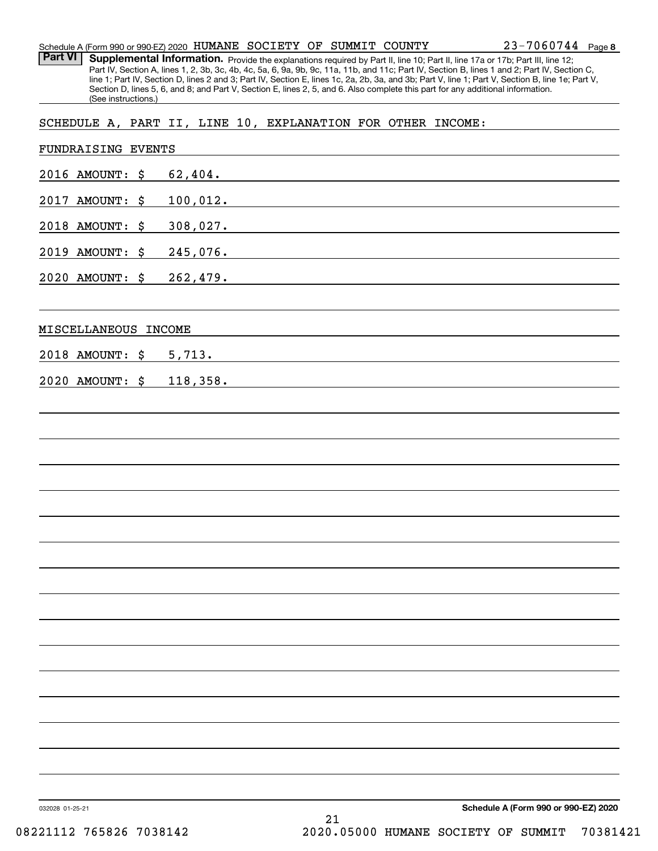| Schedule A (Form 990 or 990-EZ) 2020 $\,$ HUMANE $\,$ SOCIETY OF SUMMIT COUNTY |  |  | $23 - 7060744$ Page 8 |  |
|--------------------------------------------------------------------------------|--|--|-----------------------|--|
|                                                                                |  |  |                       |  |

Part VI | Supplemental Information. Provide the explanations required by Part II, line 10; Part II, line 17a or 17b; Part III, line 12; Part IV, Section A, lines 1, 2, 3b, 3c, 4b, 4c, 5a, 6, 9a, 9b, 9c, 11a, 11b, and 11c; Part IV, Section B, lines 1 and 2; Part IV, Section C, line 1; Part IV, Section D, lines 2 and 3; Part IV, Section E, lines 1c, 2a, 2b, 3a, and 3b; Part V, line 1; Part V, Section B, line 1e; Part V, Section D, lines 5, 6, and 8; and Part V, Section E, lines 2, 5, and 6. Also complete this part for any additional information. (See instructions.)

SCHEDULE A, PART II, LINE 10, EXPLANATION FOR OTHER INCOME:

| FUNDRAISING EVENTS |               |                                                                                                                                                                                                                               |                                      |
|--------------------|---------------|-------------------------------------------------------------------------------------------------------------------------------------------------------------------------------------------------------------------------------|--------------------------------------|
| 2016 AMOUNT: \$    | 62,404.       |                                                                                                                                                                                                                               |                                      |
| 2017 AMOUNT: \$    | 100,012.      | the control of the control of the control of the control of the control of the control of the control of the control of the control of the control of the control of the control of the control of the control of the control |                                      |
| 2018 AMOUNT: \$    | 308,027.      |                                                                                                                                                                                                                               |                                      |
| 2019 AMOUNT: \$    | 245,076.      |                                                                                                                                                                                                                               |                                      |
| 2020 AMOUNT: \$    | 262,479.      |                                                                                                                                                                                                                               |                                      |
| MISCELLANEOUS      | <b>INCOME</b> |                                                                                                                                                                                                                               |                                      |
| 2018 AMOUNT: \$    | 5,713.        |                                                                                                                                                                                                                               |                                      |
| 2020 AMOUNT: \$    | 118,358.      |                                                                                                                                                                                                                               |                                      |
|                    |               |                                                                                                                                                                                                                               |                                      |
|                    |               |                                                                                                                                                                                                                               |                                      |
|                    |               |                                                                                                                                                                                                                               |                                      |
|                    |               |                                                                                                                                                                                                                               |                                      |
|                    |               |                                                                                                                                                                                                                               |                                      |
|                    |               |                                                                                                                                                                                                                               |                                      |
|                    |               |                                                                                                                                                                                                                               |                                      |
|                    |               |                                                                                                                                                                                                                               |                                      |
|                    |               |                                                                                                                                                                                                                               |                                      |
|                    |               |                                                                                                                                                                                                                               |                                      |
|                    |               |                                                                                                                                                                                                                               |                                      |
|                    |               |                                                                                                                                                                                                                               |                                      |
|                    |               |                                                                                                                                                                                                                               |                                      |
|                    |               |                                                                                                                                                                                                                               |                                      |
|                    |               |                                                                                                                                                                                                                               |                                      |
| 032028 01-25-21    |               |                                                                                                                                                                                                                               | Schedule A (Form 990 or 990-EZ) 2020 |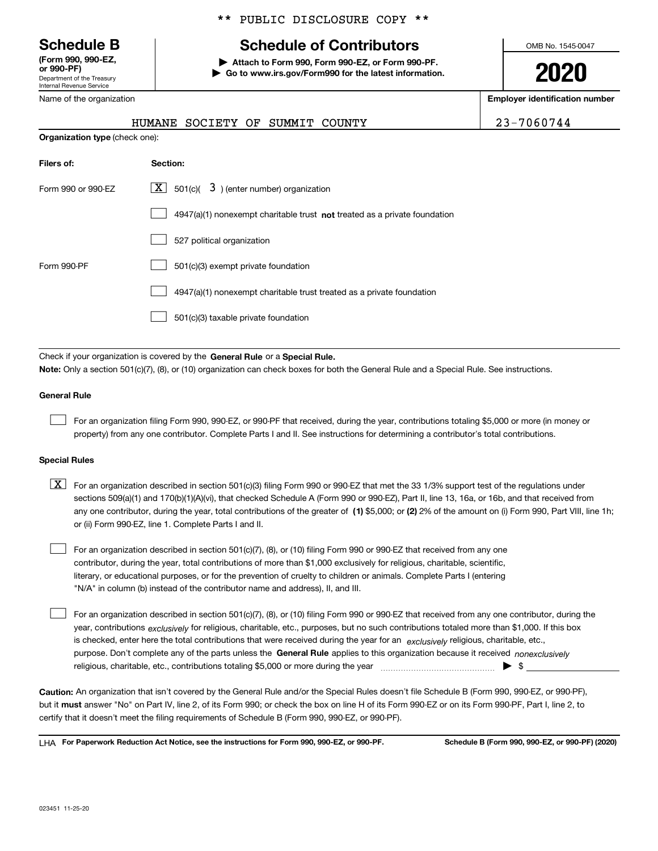Department of the Treasury Internal Revenue Service **(Form 990, 990-EZ, or 990-PF)**

Name of the organization

\*\* PUBLIC DISCLOSURE COPY \*\*

# **Schedule B Schedule of Contributors**

**| Attach to Form 990, Form 990-EZ, or Form 990-PF. | Go to www.irs.gov/Form990 for the latest information.** OMB No. 1545-0047

**2020**

**Employer identification number**

|                                       | HUMANE SOCIETY OF |  |
|---------------------------------------|-------------------|--|
| <b>Organization type (check one):</b> |                   |  |

SUMMIT COUNTY 23-7060744

| Filers of:         | Section:                                                                           |  |  |  |
|--------------------|------------------------------------------------------------------------------------|--|--|--|
| Form 990 or 990-FZ | $\boxed{\text{X}}$ 501(c)(<br>3) (enter number) organization                       |  |  |  |
|                    | $4947(a)(1)$ nonexempt charitable trust <b>not</b> treated as a private foundation |  |  |  |
|                    | 527 political organization                                                         |  |  |  |
| Form 990-PF        | 501(c)(3) exempt private foundation                                                |  |  |  |
|                    | 4947(a)(1) nonexempt charitable trust treated as a private foundation              |  |  |  |
|                    | 501(c)(3) taxable private foundation                                               |  |  |  |

Check if your organization is covered by the **General Rule** or a **Special Rule. Note:**  Only a section 501(c)(7), (8), or (10) organization can check boxes for both the General Rule and a Special Rule. See instructions.

## **General Rule**

 $\mathcal{L}^{\text{max}}$ 

For an organization filing Form 990, 990-EZ, or 990-PF that received, during the year, contributions totaling \$5,000 or more (in money or property) from any one contributor. Complete Parts I and II. See instructions for determining a contributor's total contributions.

## **Special Rules**

any one contributor, during the year, total contributions of the greater of  $\,$  (1) \$5,000; or **(2)** 2% of the amount on (i) Form 990, Part VIII, line 1h;  $\boxed{\textbf{X}}$  For an organization described in section 501(c)(3) filing Form 990 or 990-EZ that met the 33 1/3% support test of the regulations under sections 509(a)(1) and 170(b)(1)(A)(vi), that checked Schedule A (Form 990 or 990-EZ), Part II, line 13, 16a, or 16b, and that received from or (ii) Form 990-EZ, line 1. Complete Parts I and II.

For an organization described in section 501(c)(7), (8), or (10) filing Form 990 or 990-EZ that received from any one contributor, during the year, total contributions of more than \$1,000 exclusively for religious, charitable, scientific, literary, or educational purposes, or for the prevention of cruelty to children or animals. Complete Parts I (entering "N/A" in column (b) instead of the contributor name and address), II, and III.  $\mathcal{L}^{\text{max}}$ 

purpose. Don't complete any of the parts unless the **General Rule** applies to this organization because it received *nonexclusively* year, contributions <sub>exclusively</sub> for religious, charitable, etc., purposes, but no such contributions totaled more than \$1,000. If this box is checked, enter here the total contributions that were received during the year for an  $\;$ exclusively religious, charitable, etc., For an organization described in section 501(c)(7), (8), or (10) filing Form 990 or 990-EZ that received from any one contributor, during the religious, charitable, etc., contributions totaling \$5,000 or more during the year  $\Box$ — $\Box$   $\Box$  $\mathcal{L}^{\text{max}}$ 

**Caution:**  An organization that isn't covered by the General Rule and/or the Special Rules doesn't file Schedule B (Form 990, 990-EZ, or 990-PF),  **must** but it answer "No" on Part IV, line 2, of its Form 990; or check the box on line H of its Form 990-EZ or on its Form 990-PF, Part I, line 2, to certify that it doesn't meet the filing requirements of Schedule B (Form 990, 990-EZ, or 990-PF).

**For Paperwork Reduction Act Notice, see the instructions for Form 990, 990-EZ, or 990-PF. Schedule B (Form 990, 990-EZ, or 990-PF) (2020)** LHA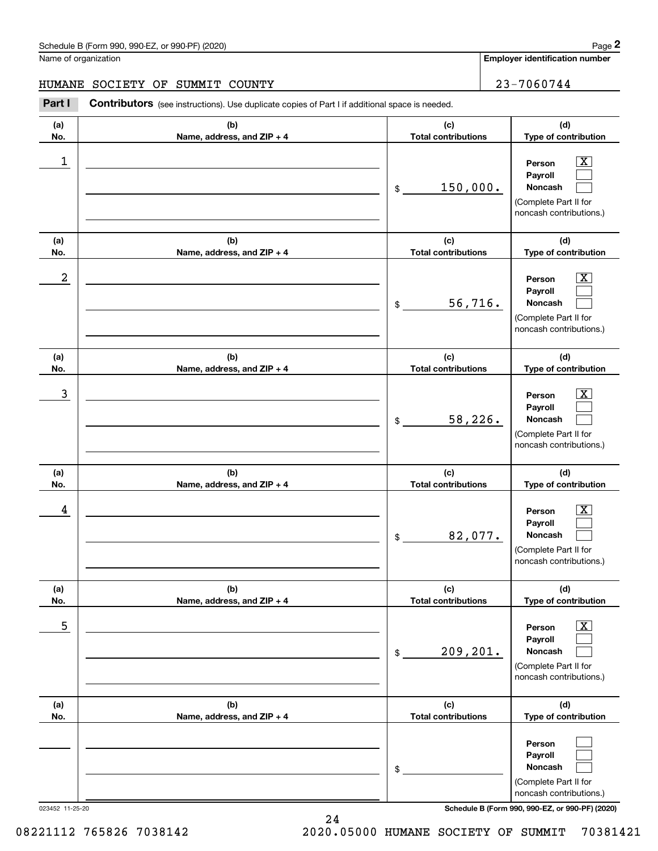**Employer identification number**

# HUMANE SOCIETY OF SUMMIT COUNTY 23-7060744

**Contributors** (see instructions). Use duplicate copies of Part I if additional space is needed. Chedule B (Form 990, 990-EZ, or 990-PF) (2020)<br>Iame of organization<br>**IUMANE SOCIETY OF SUMMIT COUNTY** 23 – 7060744<br>Part I Contributors (see instructions). Use duplicate copies of Part I if additional space is needed.

| (a)        | (b)                                 | (c)                                  | (d)                                                                                                       |
|------------|-------------------------------------|--------------------------------------|-----------------------------------------------------------------------------------------------------------|
| No.        | Name, address, and ZIP + 4          | <b>Total contributions</b>           | Type of contribution                                                                                      |
| 1          |                                     | 150,000.<br>$\$$                     | Person<br>X.<br>Payroll<br>Noncash<br>(Complete Part II for<br>noncash contributions.)                    |
| (a)<br>No. | (b)<br>Name, address, and ZIP + 4   | (c)<br><b>Total contributions</b>    | (d)<br>Type of contribution                                                                               |
| 2          |                                     | 56,716.<br>$$\tilde{\phantom{a}}$$   | Person<br>Payroll<br>Noncash<br>(Complete Part II for<br>noncash contributions.)                          |
| (a)<br>No. | (b)<br>Name, address, and ZIP + 4   | (c)<br><b>Total contributions</b>    | (d)<br>Type of contribution                                                                               |
| 3          |                                     | 58,226.<br>$\mathfrak{S}$            | Person<br>Payroll<br>Noncash<br>(Complete Part II for<br>noncash contributions.)                          |
| (a)<br>No. | (b)<br>Name, address, and ZIP + 4   | (c)<br><b>Total contributions</b>    | (d)<br>Type of contribution                                                                               |
| 4          |                                     | 82,077.<br>$\$\$                     | Person<br>Payroll<br>Noncash<br>(Complete Part II for<br>noncash contributions.)                          |
| (a)<br>No. | (b)<br>Name, address, and $ZIP + 4$ | (c)<br>Total contributions           | (d)<br>Type of contribution                                                                               |
| 5          |                                     | 209, 201.<br>$$\tilde{\phantom{a}}$$ | $\overline{\text{X}}$<br>Person<br>Payroll<br>Noncash<br>(Complete Part II for<br>noncash contributions.) |
| (a)<br>No. | (b)<br>Name, address, and ZIP + 4   | (c)<br><b>Total contributions</b>    | (d)<br>Type of contribution                                                                               |
|            |                                     | \$                                   | Person<br>Payroll<br>Noncash<br>(Complete Part II for<br>noncash contributions.)                          |

023452 11-25-20 **Schedule B (Form 990, 990-EZ, or 990-PF) (2020)**

24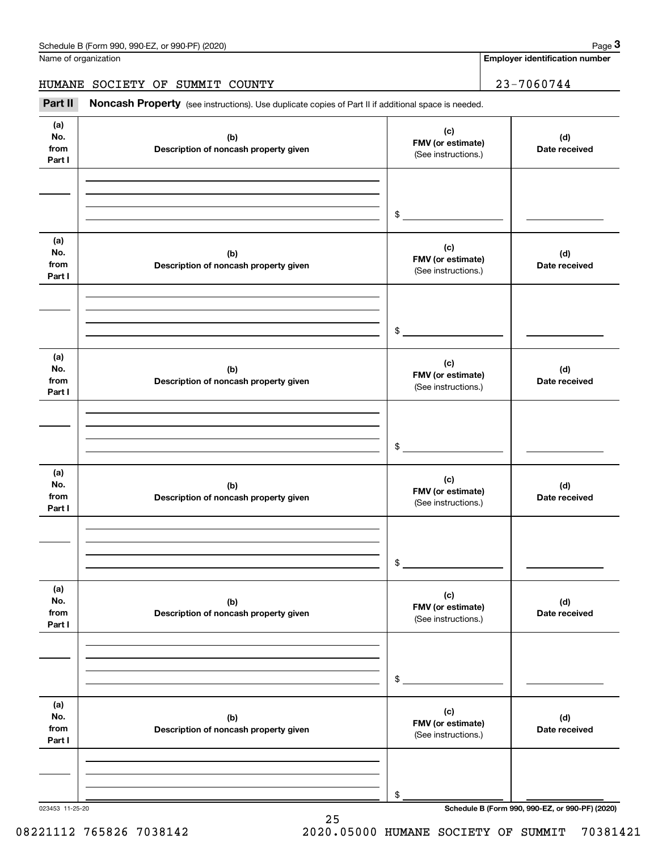**Employer identification number**

HUMANE SOCIETY OF SUMMIT COUNTY 23-7060744

(see instructions). Use duplicate copies of Part II if additional space is needed.<br> **23-7060744**<br> **23-7060744**<br> **Part II Noncash Property** (see instructions). Use duplicate copies of Part II if additional space is needed

| (a)<br>No.<br>from<br>Part I | (b)<br>Description of noncash property given | (c)<br>FMV (or estimate)<br>(See instructions.) | (d)<br>Date received                            |
|------------------------------|----------------------------------------------|-------------------------------------------------|-------------------------------------------------|
|                              |                                              | $\frac{1}{2}$                                   |                                                 |
| (a)<br>No.<br>from<br>Part I | (b)<br>Description of noncash property given | (c)<br>FMV (or estimate)<br>(See instructions.) | (d)<br>Date received                            |
|                              |                                              | $\mathfrak{S}$                                  |                                                 |
| (a)<br>No.<br>from<br>Part I | (b)<br>Description of noncash property given | (c)<br>FMV (or estimate)<br>(See instructions.) | (d)<br>Date received                            |
|                              |                                              | $\mathfrak{S}$                                  |                                                 |
| (a)<br>No.<br>from<br>Part I | (b)<br>Description of noncash property given | (c)<br>FMV (or estimate)<br>(See instructions.) | (d)<br>Date received                            |
|                              |                                              | $\mathfrak s$                                   |                                                 |
| (a)<br>No.<br>from<br>Part I | (b)<br>Description of noncash property given | (c)<br>FMV (or estimate)<br>(See instructions.) | (d)<br>Date received                            |
|                              |                                              | \$                                              |                                                 |
| (a)<br>No.<br>from<br>Part I | (b)<br>Description of noncash property given | (c)<br>FMV (or estimate)<br>(See instructions.) | (d)<br>Date received                            |
|                              |                                              | \$                                              |                                                 |
| 023453 11-25-20              |                                              |                                                 | Schedule B (Form 990, 990-EZ, or 990-PF) (2020) |

25

08221112 765826 7038142 2020.05000 HUMANE SOCIETY OF SUMMIT 70381421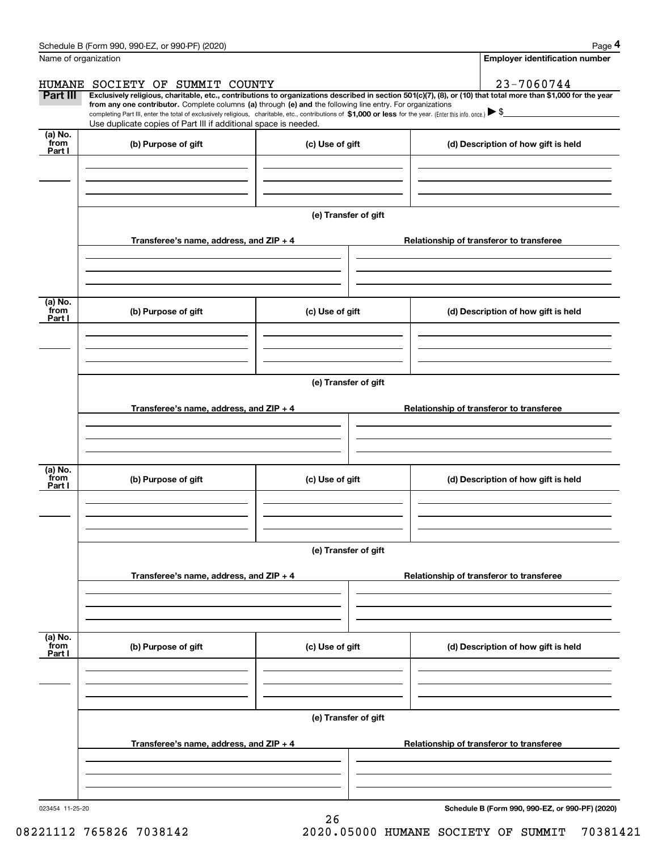|                      | Schedule B (Form 990, 990-EZ, or 990-PF) (2020)                                                                                                                                                                                 |                      | Page 4                                                                                                                                                         |
|----------------------|---------------------------------------------------------------------------------------------------------------------------------------------------------------------------------------------------------------------------------|----------------------|----------------------------------------------------------------------------------------------------------------------------------------------------------------|
| Name of organization |                                                                                                                                                                                                                                 |                      | <b>Employer identification number</b>                                                                                                                          |
|                      | HUMANE SOCIETY OF SUMMIT COUNTY                                                                                                                                                                                                 |                      | 23-7060744                                                                                                                                                     |
| Part III             | from any one contributor. Complete columns (a) through (e) and the following line entry. For organizations                                                                                                                      |                      | Exclusively religious, charitable, etc., contributions to organizations described in section 501(c)(7), (8), or (10) that total more than \$1,000 for the year |
|                      | completing Part III, enter the total of exclusively religious, charitable, etc., contributions of \$1,000 or less for the year. (Enter this info. once.) \\$<br>Use duplicate copies of Part III if additional space is needed. |                      |                                                                                                                                                                |
| (a) No.              |                                                                                                                                                                                                                                 |                      |                                                                                                                                                                |
| from<br>Part I       | (b) Purpose of gift                                                                                                                                                                                                             | (c) Use of gift      | (d) Description of how gift is held                                                                                                                            |
|                      |                                                                                                                                                                                                                                 |                      |                                                                                                                                                                |
|                      |                                                                                                                                                                                                                                 |                      |                                                                                                                                                                |
|                      |                                                                                                                                                                                                                                 |                      |                                                                                                                                                                |
|                      |                                                                                                                                                                                                                                 | (e) Transfer of gift |                                                                                                                                                                |
|                      | Transferee's name, address, and ZIP + 4                                                                                                                                                                                         |                      | Relationship of transferor to transferee                                                                                                                       |
|                      |                                                                                                                                                                                                                                 |                      |                                                                                                                                                                |
|                      |                                                                                                                                                                                                                                 |                      |                                                                                                                                                                |
|                      |                                                                                                                                                                                                                                 |                      |                                                                                                                                                                |
| (a) No.<br>from      | (b) Purpose of gift                                                                                                                                                                                                             | (c) Use of gift      | (d) Description of how gift is held                                                                                                                            |
| Part I               |                                                                                                                                                                                                                                 |                      |                                                                                                                                                                |
|                      |                                                                                                                                                                                                                                 |                      |                                                                                                                                                                |
|                      |                                                                                                                                                                                                                                 |                      |                                                                                                                                                                |
|                      |                                                                                                                                                                                                                                 | (e) Transfer of gift |                                                                                                                                                                |
|                      |                                                                                                                                                                                                                                 |                      |                                                                                                                                                                |
|                      | Transferee's name, address, and ZIP + 4                                                                                                                                                                                         |                      | Relationship of transferor to transferee                                                                                                                       |
|                      |                                                                                                                                                                                                                                 |                      |                                                                                                                                                                |
|                      |                                                                                                                                                                                                                                 |                      |                                                                                                                                                                |
| (a) No.              |                                                                                                                                                                                                                                 |                      |                                                                                                                                                                |
| from<br>Part I       | (b) Purpose of gift                                                                                                                                                                                                             | (c) Use of gift      | (d) Description of how gift is held                                                                                                                            |
|                      |                                                                                                                                                                                                                                 |                      |                                                                                                                                                                |
|                      |                                                                                                                                                                                                                                 |                      |                                                                                                                                                                |
|                      |                                                                                                                                                                                                                                 |                      |                                                                                                                                                                |
|                      |                                                                                                                                                                                                                                 | (e) Transfer of gift |                                                                                                                                                                |
|                      | Transferee's name, address, and ZIP + 4                                                                                                                                                                                         |                      | Relationship of transferor to transferee                                                                                                                       |
|                      |                                                                                                                                                                                                                                 |                      |                                                                                                                                                                |
|                      |                                                                                                                                                                                                                                 |                      |                                                                                                                                                                |
|                      |                                                                                                                                                                                                                                 |                      |                                                                                                                                                                |
| (a) No.<br>from      | (b) Purpose of gift                                                                                                                                                                                                             | (c) Use of gift      | (d) Description of how gift is held                                                                                                                            |
| Part I               |                                                                                                                                                                                                                                 |                      |                                                                                                                                                                |
|                      |                                                                                                                                                                                                                                 |                      |                                                                                                                                                                |
|                      |                                                                                                                                                                                                                                 |                      |                                                                                                                                                                |
|                      |                                                                                                                                                                                                                                 | (e) Transfer of gift |                                                                                                                                                                |
|                      |                                                                                                                                                                                                                                 |                      |                                                                                                                                                                |
|                      | Transferee's name, address, and $ZIP + 4$                                                                                                                                                                                       |                      | Relationship of transferor to transferee                                                                                                                       |
|                      |                                                                                                                                                                                                                                 |                      |                                                                                                                                                                |
|                      |                                                                                                                                                                                                                                 |                      |                                                                                                                                                                |
|                      |                                                                                                                                                                                                                                 |                      |                                                                                                                                                                |

26

023454 11-25-20

**Schedule B (Form 990, 990-EZ, or 990-PF) (2020)**

08221112 765826 7038142 2020.05000 HUMANE SOCIETY OF SUMMIT 70381421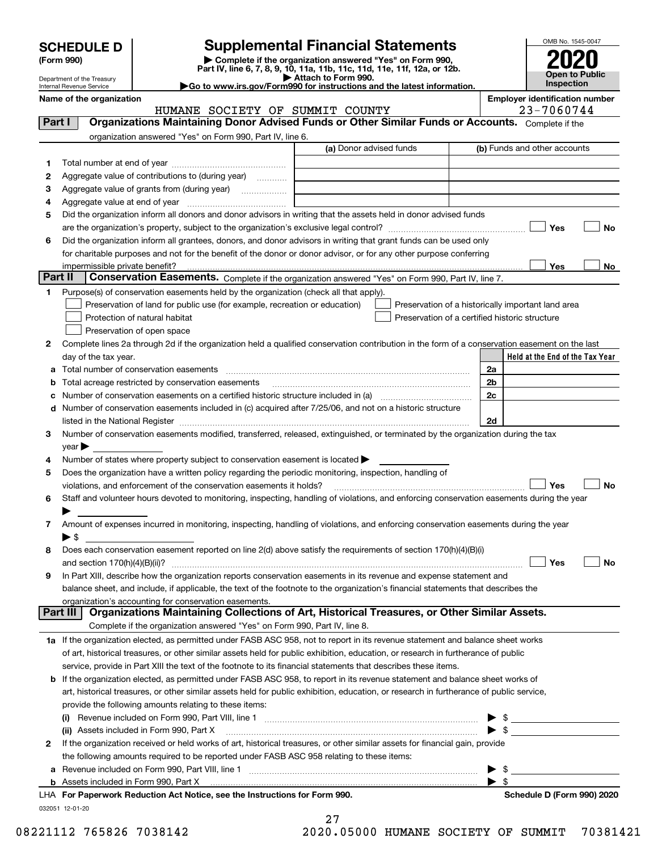| <b>SCHEDULE D</b> |  |
|-------------------|--|
|-------------------|--|

| (Form 990) |  |
|------------|--|
|------------|--|

# **Supplemental Financial Statements**

**(Form 990)** (**Form 990,**<br>Part IV, line 6, 7, 8, 9, 10, 11a, 11b, 11c, 11d, 11e, 11f, 12a, or 12b.<br>Department of the Treasury **and Exercise Connect Connect Connect Connect Connect Connect Connect Connect Connect** 



Department of the Treasury Internal Revenue Service

| DED AT LITELIL OF LITE TI EASULY<br>Internal Revenue Service | Go to www.irs.gov/Form990 for instructions and the latest information. | Inspection                            |
|--------------------------------------------------------------|------------------------------------------------------------------------|---------------------------------------|
| Name of the organization                                     |                                                                        | <b>Employer identification number</b> |

032051 12-01-20 **Held at the End of the Tax Year** (a) Donor advised funds **123456Yes No Yes**<u>es \_\_\_\_\_\_\_\_ No</u> **12**Complete lines 2a through 2d if the organization held a qualified conservation contribution in the form of a conservation easement on the last **3456789abc** Number of conservation easements on a certified historic structure included in (a) www.communically **d2a2b2c2dYes No Yes No 1a** If the organization elected, as permitted under FASB ASC 958, not to report in its revenue statement and balance sheet works **2b** If the organization elected, as permitted under FASB ASC 958, to report in its revenue statement and balance sheet works of **(i)** Revenue included on Form 990, Part VIII, line 1 ~~~~~~~~~~~~~~~~~~~~~~~~~~~~ | \$ **(ii)** Assets included in Form 990, Part X ~~~~~~~~~~~~~~~~~~~~~~~~~~~~~~~~~ | \$ **a**Revenue included on Form 990, Part VIII, line 1 ~~~~~~~~~~~~~~~~~~~~~~~~~~~~~~**bFor Paperwork Reduction Act Notice, see the Instructions for Form 990. Schedule D (Form 990) 2020** LHA Complete if the organization answered "Yes" on Form 990, Part IV, line 6. (b) Funds and other accounts Total number at end of year ~~~~~~~~~~~~~~~ Aggregate value of contributions to (during year)  $\quad \quad \ldots \ldots \ldots$ Aggregate value of grants from (during year) www.community Aggregate value at end of year ~~~~~~~~~~~~~ Did the organization inform all donors and donor advisors in writing that the assets held in donor advised funds are the organization's property, subject to the organization's exclusive legal control? ~~~~~~~~~~~~~~~~~~ Did the organization inform all grantees, donors, and donor advisors in writing that grant funds can be used only for charitable purposes and not for the benefit of the donor or donor advisor, or for any other purpose conferring impermissible private benefit? **Part II | Conservation Easements.** Complete if the organization answered "Yes" on Form 990, Part IV, line 7. Purpose(s) of conservation easements held by the organization (check all that apply). Preservation of land for public use (for example, recreation or education) **Protection of natural habitat Example 2014** Preservation of open space Preservation of a historically important land area Preservation of a certified historic structure day of the tax year. Total number of conservation easements ~~~~~~~~~~~~~~~~~~~~~~~~~~~~~~~~Total acreage restricted by conservation easements ~~~~~~~~~~~~~~~~~~~~~~~~~~Number of conservation easements included in (c) acquired after 7/25/06, and not on a historic structure listed in the National Register ~~~~~~~~~~~~~~~~~~~~~~~~~~~~~~~~~~~~~~ Number of conservation easements modified, transferred, released, extinguished, or terminated by the organization during the tax  $vear \blacktriangleright$ Number of states where property subject to conservation easement is located  $\blacktriangleright$ Does the organization have a written policy regarding the periodic monitoring, inspection, handling of violations, and enforcement of the conservation easements it holds?  $\Box$   $\Box$   $\Box$   $\Box$ Staff and volunteer hours devoted to monitoring, inspecting, handling of violations, and enforcing conservation easements during the year  $\blacktriangleright$ Amount of expenses incurred in monitoring, inspecting, handling of violations, and enforcing conservation easements during the year  $\blacktriangleright$  \$ Does each conservation easement reported on line 2(d) above satisfy the requirements of section 170(h)(4)(B)(i) and section 170(h)(4)(B)(ii)? ~~~~~~~~~~~~~~~~~~~~~~~~~~~~~~~~~~~~~~~~~~~~~~ In Part XIII, describe how the organization reports conservation easements in its revenue and expense statement and balance sheet, and include, if applicable, the text of the footnote to the organization's financial statements that describes the organization's accounting for conservation easements. Complete if the organization answered "Yes" on Form 990, Part IV, line 8. of art, historical treasures, or other similar assets held for public exhibition, education, or research in furtherance of public service, provide in Part XIII the text of the footnote to its financial statements that describes these items. art, historical treasures, or other similar assets held for public exhibition, education, or research in furtherance of public service, provide the following amounts relating to these items: If the organization received or held works of art, historical treasures, or other similar assets for financial gain, provide the following amounts required to be reported under FASB ASC 958 relating to these items: Assets included in Form 990, Part X  $\blacktriangleright$  \$  $\ldots$   $\blacktriangleright$  \$ **Part I Organizations Maintaining Donor Advised Funds or Other Similar Funds or Accounts. Part III Organizations Maintaining Collections of Art, Historical Treasures, or Other Similar Assets.**  $\mathcal{L}^{\text{max}}$  $\mathcal{L}^{\text{max}}$  $\Box$  Yes  $\Box$  $\mathcal{L}^{\text{max}}$  $\mathcal{L}^{\text{max}}$  $\mathcal{L}^{\text{max}}$ HUMANE SOCIETY OF SUMMIT COUNTY  $\vert$  23-7060744

27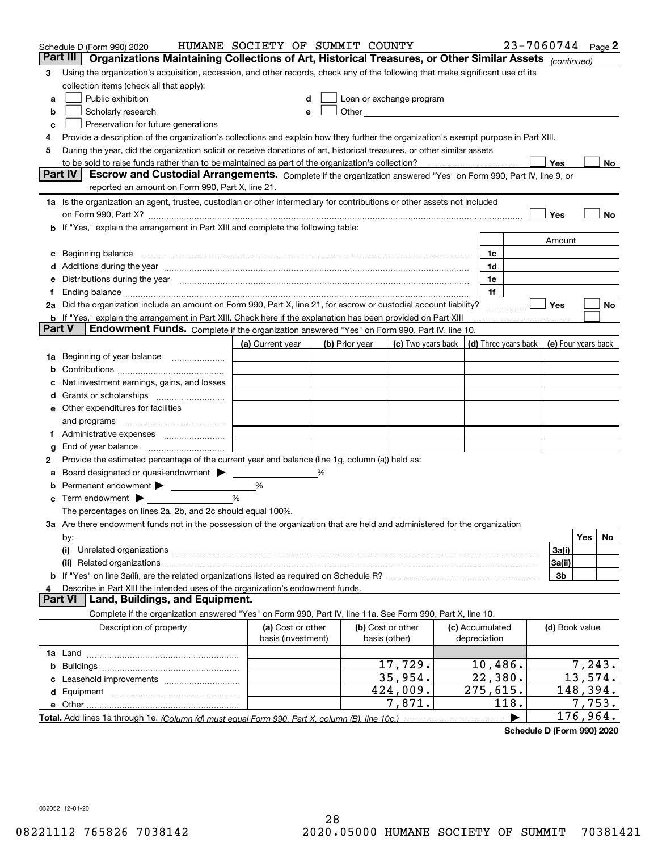|         | Schedule D (Form 990) 2020                                                                                                                                                                                                     | HUMANE SOCIETY OF SUMMIT COUNTY         |   |                |                                                                                                                                                                                                                               |                                 |                      |                | 23-7060744 Page 2   |  |
|---------|--------------------------------------------------------------------------------------------------------------------------------------------------------------------------------------------------------------------------------|-----------------------------------------|---|----------------|-------------------------------------------------------------------------------------------------------------------------------------------------------------------------------------------------------------------------------|---------------------------------|----------------------|----------------|---------------------|--|
|         | Part III<br>Organizations Maintaining Collections of Art, Historical Treasures, or Other Similar Assets (continued)                                                                                                            |                                         |   |                |                                                                                                                                                                                                                               |                                 |                      |                |                     |  |
| 3       | Using the organization's acquisition, accession, and other records, check any of the following that make significant use of its                                                                                                |                                         |   |                |                                                                                                                                                                                                                               |                                 |                      |                |                     |  |
|         | collection items (check all that apply):                                                                                                                                                                                       |                                         |   |                |                                                                                                                                                                                                                               |                                 |                      |                |                     |  |
| a       | Public exhibition                                                                                                                                                                                                              |                                         |   |                | Loan or exchange program                                                                                                                                                                                                      |                                 |                      |                |                     |  |
| b       | Scholarly research                                                                                                                                                                                                             |                                         |   |                | Other and the contract of the contract of the contract of the contract of the contract of the contract of the contract of the contract of the contract of the contract of the contract of the contract of the contract of the |                                 |                      |                |                     |  |
| с       | Preservation for future generations                                                                                                                                                                                            |                                         |   |                |                                                                                                                                                                                                                               |                                 |                      |                |                     |  |
| 4       | Provide a description of the organization's collections and explain how they further the organization's exempt purpose in Part XIII.                                                                                           |                                         |   |                |                                                                                                                                                                                                                               |                                 |                      |                |                     |  |
| 5       | During the year, did the organization solicit or receive donations of art, historical treasures, or other similar assets                                                                                                       |                                         |   |                |                                                                                                                                                                                                                               |                                 |                      |                |                     |  |
|         | to be sold to raise funds rather than to be maintained as part of the organization's collection?                                                                                                                               |                                         |   |                |                                                                                                                                                                                                                               |                                 |                      | Yes            | No                  |  |
|         | <b>Part IV</b><br>Escrow and Custodial Arrangements. Complete if the organization answered "Yes" on Form 990, Part IV, line 9, or                                                                                              |                                         |   |                |                                                                                                                                                                                                                               |                                 |                      |                |                     |  |
|         | reported an amount on Form 990, Part X, line 21.                                                                                                                                                                               |                                         |   |                |                                                                                                                                                                                                                               |                                 |                      |                |                     |  |
|         | 1a Is the organization an agent, trustee, custodian or other intermediary for contributions or other assets not included                                                                                                       |                                         |   |                |                                                                                                                                                                                                                               |                                 |                      |                |                     |  |
|         | on Form 990, Part X? <b>Entitled Strategie Control</b> and Terms and Terms and Terms and Terms and Terms and Terms and                                                                                                         |                                         |   |                |                                                                                                                                                                                                                               |                                 |                      | Yes            | No                  |  |
|         | If "Yes," explain the arrangement in Part XIII and complete the following table:                                                                                                                                               |                                         |   |                |                                                                                                                                                                                                                               |                                 |                      |                |                     |  |
|         |                                                                                                                                                                                                                                |                                         |   |                |                                                                                                                                                                                                                               |                                 |                      | Amount         |                     |  |
| с       | Beginning balance manufactured and contain an account of the state of the state of the state of the state of the state of the state of the state of the state of the state of the state of the state of the state of the state |                                         |   |                |                                                                                                                                                                                                                               | 1c                              |                      |                |                     |  |
|         | Additions during the year manufactured and an account of the year manufactured and account of the year manufactured and account of the state of the state of the state of the state of the state of the state of the state of  |                                         |   |                |                                                                                                                                                                                                                               | 1d                              |                      |                |                     |  |
|         | Distributions during the year manufactured and an extraordinary of the year manufactured and the year manufactured and the set of the set of the set of the set of the set of the set of the set of the set of the set of the  |                                         |   |                |                                                                                                                                                                                                                               | 1e                              |                      |                |                     |  |
| Ť.      |                                                                                                                                                                                                                                |                                         |   |                |                                                                                                                                                                                                                               | 1f                              |                      |                |                     |  |
|         | 2a Did the organization include an amount on Form 990, Part X, line 21, for escrow or custodial account liability?                                                                                                             |                                         |   |                |                                                                                                                                                                                                                               |                                 | .                    | Yes            | No                  |  |
|         | <b>b</b> If "Yes," explain the arrangement in Part XIII. Check here if the explanation has been provided on Part XIII<br>Part V<br>Endowment Funds. Complete if the organization answered "Yes" on Form 990, Part IV, line 10. |                                         |   |                |                                                                                                                                                                                                                               |                                 |                      |                |                     |  |
|         |                                                                                                                                                                                                                                |                                         |   |                | (c) Two years back                                                                                                                                                                                                            |                                 | (d) Three years back |                | (e) Four years back |  |
|         | Beginning of year balance                                                                                                                                                                                                      | (a) Current year                        |   | (b) Prior year |                                                                                                                                                                                                                               |                                 |                      |                |                     |  |
| 1a<br>b |                                                                                                                                                                                                                                |                                         |   |                |                                                                                                                                                                                                                               |                                 |                      |                |                     |  |
|         | Net investment earnings, gains, and losses                                                                                                                                                                                     |                                         |   |                |                                                                                                                                                                                                                               |                                 |                      |                |                     |  |
| a       |                                                                                                                                                                                                                                |                                         |   |                |                                                                                                                                                                                                                               |                                 |                      |                |                     |  |
|         | e Other expenditures for facilities                                                                                                                                                                                            |                                         |   |                |                                                                                                                                                                                                                               |                                 |                      |                |                     |  |
|         | and programs                                                                                                                                                                                                                   |                                         |   |                |                                                                                                                                                                                                                               |                                 |                      |                |                     |  |
|         |                                                                                                                                                                                                                                |                                         |   |                |                                                                                                                                                                                                                               |                                 |                      |                |                     |  |
| g       | End of year balance                                                                                                                                                                                                            |                                         |   |                |                                                                                                                                                                                                                               |                                 |                      |                |                     |  |
| 2       | Provide the estimated percentage of the current year end balance (line 1g, column (a)) held as:                                                                                                                                |                                         |   |                |                                                                                                                                                                                                                               |                                 |                      |                |                     |  |
| а       | Board designated or quasi-endowment                                                                                                                                                                                            |                                         | % |                |                                                                                                                                                                                                                               |                                 |                      |                |                     |  |
|         | Permanent endowment > 1                                                                                                                                                                                                        | %                                       |   |                |                                                                                                                                                                                                                               |                                 |                      |                |                     |  |
| с       | Term endowment $\blacktriangleright$                                                                                                                                                                                           | %                                       |   |                |                                                                                                                                                                                                                               |                                 |                      |                |                     |  |
|         | The percentages on lines 2a, 2b, and 2c should equal 100%.                                                                                                                                                                     |                                         |   |                |                                                                                                                                                                                                                               |                                 |                      |                |                     |  |
|         | 3a Are there endowment funds not in the possession of the organization that are held and administered for the organization                                                                                                     |                                         |   |                |                                                                                                                                                                                                                               |                                 |                      |                |                     |  |
|         | by:                                                                                                                                                                                                                            |                                         |   |                |                                                                                                                                                                                                                               |                                 |                      |                | Yes<br>No.          |  |
|         | (i)                                                                                                                                                                                                                            |                                         |   |                |                                                                                                                                                                                                                               |                                 |                      | 3a(i)          |                     |  |
|         |                                                                                                                                                                                                                                |                                         |   |                |                                                                                                                                                                                                                               |                                 |                      | 3a(ii)         |                     |  |
|         |                                                                                                                                                                                                                                |                                         |   |                |                                                                                                                                                                                                                               |                                 |                      | 3b             |                     |  |
|         | Describe in Part XIII the intended uses of the organization's endowment funds.                                                                                                                                                 |                                         |   |                |                                                                                                                                                                                                                               |                                 |                      |                |                     |  |
|         | Land, Buildings, and Equipment.<br><b>Part VI</b>                                                                                                                                                                              |                                         |   |                |                                                                                                                                                                                                                               |                                 |                      |                |                     |  |
|         | Complete if the organization answered "Yes" on Form 990, Part IV, line 11a. See Form 990, Part X, line 10.                                                                                                                     |                                         |   |                |                                                                                                                                                                                                                               |                                 |                      |                |                     |  |
|         | Description of property                                                                                                                                                                                                        | (a) Cost or other<br>basis (investment) |   |                | (b) Cost or other<br>basis (other)                                                                                                                                                                                            | (c) Accumulated<br>depreciation |                      | (d) Book value |                     |  |
|         |                                                                                                                                                                                                                                |                                         |   |                |                                                                                                                                                                                                                               |                                 |                      |                |                     |  |
| b       |                                                                                                                                                                                                                                |                                         |   |                | 17,729.                                                                                                                                                                                                                       | 10,486.                         |                      |                | 7,243.              |  |
|         |                                                                                                                                                                                                                                |                                         |   |                | 35,954.                                                                                                                                                                                                                       | 22,380.                         |                      |                | 13,574.             |  |
|         |                                                                                                                                                                                                                                |                                         |   |                | 424,009.                                                                                                                                                                                                                      | 275,615.                        |                      |                | 148,394.            |  |
|         |                                                                                                                                                                                                                                |                                         |   |                | 7,871.                                                                                                                                                                                                                        |                                 | 118.                 |                | 7,753.              |  |
|         |                                                                                                                                                                                                                                |                                         |   |                |                                                                                                                                                                                                                               |                                 |                      |                | 176,964.            |  |

**Schedule D (Form 990) 2020**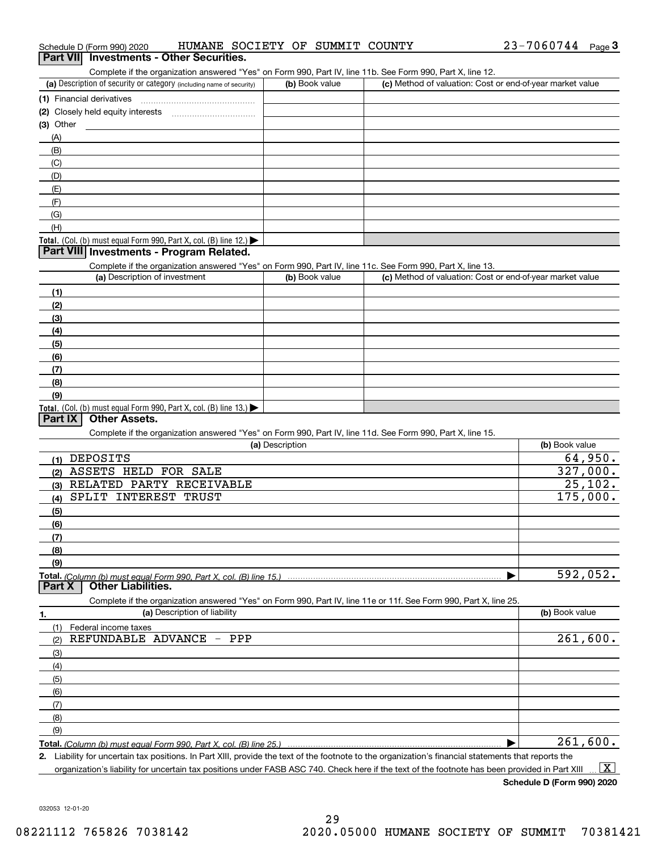| (3) Other                                                                                                                                            |                 |                                                           |                     |
|------------------------------------------------------------------------------------------------------------------------------------------------------|-----------------|-----------------------------------------------------------|---------------------|
| (A)                                                                                                                                                  |                 |                                                           |                     |
| (B)                                                                                                                                                  |                 |                                                           |                     |
| (C)                                                                                                                                                  |                 |                                                           |                     |
| (D)                                                                                                                                                  |                 |                                                           |                     |
| (E)                                                                                                                                                  |                 |                                                           |                     |
| (F)                                                                                                                                                  |                 |                                                           |                     |
| (G)                                                                                                                                                  |                 |                                                           |                     |
| (H)                                                                                                                                                  |                 |                                                           |                     |
| Total. (Col. (b) must equal Form 990, Part X, col. (B) line 12.) $\blacktriangleright$                                                               |                 |                                                           |                     |
| Part VIII Investments - Program Related.                                                                                                             |                 |                                                           |                     |
| Complete if the organization answered "Yes" on Form 990, Part IV, line 11c. See Form 990, Part X, line 13.                                           |                 |                                                           |                     |
| (a) Description of investment                                                                                                                        | (b) Book value  | (c) Method of valuation: Cost or end-of-year market value |                     |
| (1)                                                                                                                                                  |                 |                                                           |                     |
| (2)                                                                                                                                                  |                 |                                                           |                     |
| (3)                                                                                                                                                  |                 |                                                           |                     |
| (4)                                                                                                                                                  |                 |                                                           |                     |
| (5)                                                                                                                                                  |                 |                                                           |                     |
| (6)                                                                                                                                                  |                 |                                                           |                     |
| (7)                                                                                                                                                  |                 |                                                           |                     |
| (8)                                                                                                                                                  |                 |                                                           |                     |
| (9)                                                                                                                                                  |                 |                                                           |                     |
| Total. (Col. (b) must equal Form 990, Part X, col. (B) line 13.)                                                                                     |                 |                                                           |                     |
| Part IX<br><b>Other Assets.</b>                                                                                                                      |                 |                                                           |                     |
| Complete if the organization answered "Yes" on Form 990, Part IV, line 11d. See Form 990, Part X, line 15.                                           |                 |                                                           |                     |
|                                                                                                                                                      | (a) Description |                                                           | (b) Book value      |
| (1) DEPOSITS                                                                                                                                         |                 |                                                           | 64,950.             |
| (2) ASSETS HELD FOR SALE                                                                                                                             |                 |                                                           | 327,000.<br>25,102. |
| (3) RELATED PARTY RECEIVABLE                                                                                                                         |                 |                                                           |                     |
| SPLIT INTEREST TRUST<br>(4)                                                                                                                          |                 |                                                           | 175,000.            |
| (5)                                                                                                                                                  |                 |                                                           |                     |
| (6)                                                                                                                                                  |                 |                                                           |                     |
| (7)                                                                                                                                                  |                 |                                                           |                     |
| (8)                                                                                                                                                  |                 |                                                           |                     |
| (9)                                                                                                                                                  |                 |                                                           | 592,052.            |
| Total. (Column (b) must equal Form 990, Part X, col. (B) line 15.)<br><b>Other Liabilities.</b><br>Part X                                            |                 |                                                           |                     |
| Complete if the organization answered "Yes" on Form 990, Part IV, line 11e or 11f. See Form 990, Part X, line 25.                                    |                 |                                                           |                     |
| (a) Description of liability<br>1.                                                                                                                   |                 |                                                           | (b) Book value      |
| (1)<br>Federal income taxes                                                                                                                          |                 |                                                           |                     |
| REFUNDABLE ADVANCE - PPP<br>(2)                                                                                                                      |                 |                                                           | 261,600.            |
| (3)                                                                                                                                                  |                 |                                                           |                     |
| (4)                                                                                                                                                  |                 |                                                           |                     |
| (5)                                                                                                                                                  |                 |                                                           |                     |
| (6)                                                                                                                                                  |                 |                                                           |                     |
| (7)                                                                                                                                                  |                 |                                                           |                     |
| (8)                                                                                                                                                  |                 |                                                           |                     |
| (9)                                                                                                                                                  |                 |                                                           |                     |
| Total. (Column (b) must equal Form 990, Part X, col. (B) line 25.)                                                                                   |                 |                                                           | 261,600.            |
| 2. Liability for uncertain tax positions. In Part XIII, provide the text of the footnote to the organization's financial statements that reports the |                 |                                                           |                     |
|                                                                                                                                                      |                 |                                                           |                     |

# organization's liability for uncertain tax positions under FASB ASC 740. Check here if the text of the footnote has been provided in Part XIII  $\,$  ...  $\overline{\rm X}$

# Schedule D (Form 990) 2020 Page **3Part VII Investments - Other Securities.** HUMANE SOCIETY OF SUMMIT COUNTY

Complete if the organization answered "Yes" on Form 990, Part IV, line 11b. See Form 990, Part X, line 12.

| <u>a an is the and and in the complete the contract of the second interview and the contract of the second interval</u> |                |                                                           |  |  |  |  |  |  |  |
|-------------------------------------------------------------------------------------------------------------------------|----------------|-----------------------------------------------------------|--|--|--|--|--|--|--|
| (a) Description of security or category (including name of security)                                                    | (b) Book value | (c) Method of valuation: Cost or end-of-year market value |  |  |  |  |  |  |  |
| (1) Financial derivatives                                                                                               |                |                                                           |  |  |  |  |  |  |  |
| (2) Closely held equity interests                                                                                       |                |                                                           |  |  |  |  |  |  |  |
| (3) Other                                                                                                               |                |                                                           |  |  |  |  |  |  |  |
| (A)                                                                                                                     |                |                                                           |  |  |  |  |  |  |  |
| (B)                                                                                                                     |                |                                                           |  |  |  |  |  |  |  |
| (C)                                                                                                                     |                |                                                           |  |  |  |  |  |  |  |
| (D)                                                                                                                     |                |                                                           |  |  |  |  |  |  |  |
| (E)                                                                                                                     |                |                                                           |  |  |  |  |  |  |  |
|                                                                                                                         |                |                                                           |  |  |  |  |  |  |  |
|                                                                                                                         |                |                                                           |  |  |  |  |  |  |  |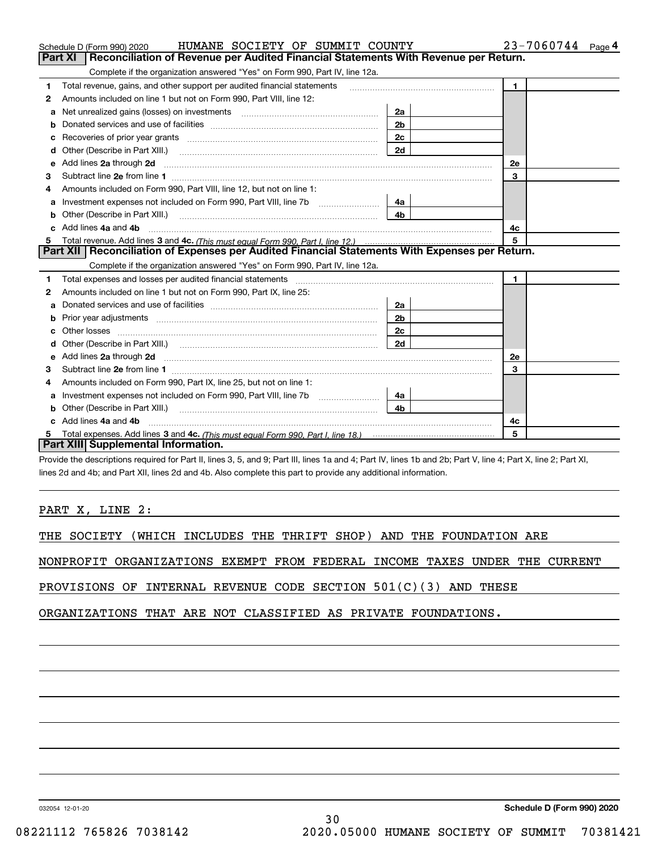|    | HUMANE SOCIETY OF SUMMIT COUNTY<br>Schedule D (Form 990) 2020                                                                                                                                        |                | $23 - 7060744$ Page 4 |
|----|------------------------------------------------------------------------------------------------------------------------------------------------------------------------------------------------------|----------------|-----------------------|
|    | Reconciliation of Revenue per Audited Financial Statements With Revenue per Return.<br>Part XI                                                                                                       |                |                       |
|    | Complete if the organization answered "Yes" on Form 990, Part IV, line 12a.                                                                                                                          |                |                       |
| 1  | Total revenue, gains, and other support per audited financial statements                                                                                                                             |                | $\mathbf{1}$          |
| 2  | Amounts included on line 1 but not on Form 990, Part VIII, line 12:                                                                                                                                  |                |                       |
| a  | Net unrealized gains (losses) on investments [11] matter contracts and the unrealized gains (losses) on investments                                                                                  | 2a             |                       |
| b  |                                                                                                                                                                                                      | 2 <sub>b</sub> |                       |
|    |                                                                                                                                                                                                      | 2c             |                       |
| d  |                                                                                                                                                                                                      | 2d             |                       |
| е  | Add lines 2a through 2d                                                                                                                                                                              |                | 2e                    |
| З  |                                                                                                                                                                                                      |                | 3                     |
| 4  | Amounts included on Form 990, Part VIII, line 12, but not on line 1:                                                                                                                                 |                |                       |
| a  | Investment expenses not included on Form 990, Part VIII, line 7b [                                                                                                                                   | 4a             |                       |
|    |                                                                                                                                                                                                      | 4 <sub>b</sub> |                       |
| c. | Add lines 4a and 4b                                                                                                                                                                                  |                | 4c                    |
|    |                                                                                                                                                                                                      |                | 5                     |
|    | Part XII   Reconciliation of Expenses per Audited Financial Statements With Expenses per Return.                                                                                                     |                |                       |
|    | Complete if the organization answered "Yes" on Form 990, Part IV, line 12a.                                                                                                                          |                |                       |
| 1  | Total expenses and losses per audited financial statements [11] [11] Total expenses and losses per audited financial statements [11] [11] Total expenses and losses per audited financial statements |                | $\mathbf 1$           |
| 2  | Amounts included on line 1 but not on Form 990, Part IX, line 25:                                                                                                                                    |                |                       |
| а  |                                                                                                                                                                                                      |                |                       |
|    |                                                                                                                                                                                                      | 2a             |                       |
| b  |                                                                                                                                                                                                      | 2b             |                       |
| с  |                                                                                                                                                                                                      | 2c             |                       |
| d  |                                                                                                                                                                                                      | 2d             |                       |
| е  | Add lines 2a through 2d                                                                                                                                                                              |                | 2e                    |
| 3  |                                                                                                                                                                                                      |                | 3                     |
| 4  | Amounts included on Form 990, Part IX, line 25, but not on line 1:                                                                                                                                   |                |                       |
| a  | Investment expenses not included on Form 990, Part VIII, line 7b [                                                                                                                                   | 4a             |                       |
| b  | Other (Describe in Part XIII.)                                                                                                                                                                       | 4 <sub>b</sub> |                       |
| c  | Add lines 4a and 4b                                                                                                                                                                                  |                | 4c                    |
|    | Part XIII Supplemental Information.                                                                                                                                                                  |                | 5                     |

Provide the descriptions required for Part II, lines 3, 5, and 9; Part III, lines 1a and 4; Part IV, lines 1b and 2b; Part V, line 4; Part X, line 2; Part XI, lines 2d and 4b; and Part XII, lines 2d and 4b. Also complete this part to provide any additional information.

PART X, LINE 2:

THE SOCIETY (WHICH INCLUDES THE THRIFT SHOP) AND THE FOUNDATION ARE

NONPROFIT ORGANIZATIONS EXEMPT FROM FEDERAL INCOME TAXES UNDER THE CURRENT

PROVISIONS OF INTERNAL REVENUE CODE SECTION 501(C)(3) AND THESE

ORGANIZATIONS THAT ARE NOT CLASSIFIED AS PRIVATE FOUNDATIONS.

032054 12-01-20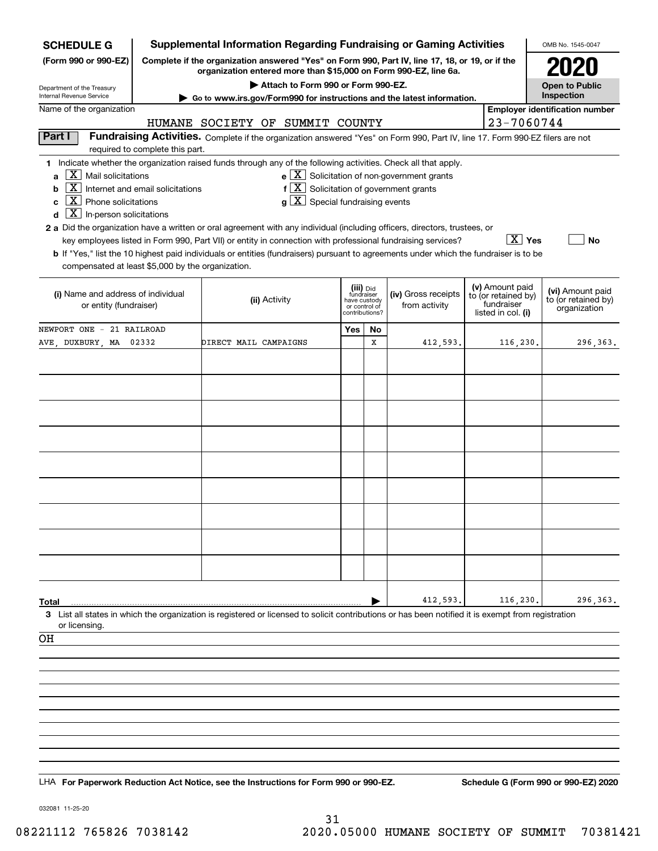| <b>SCHEDULE G</b>                                                                                                                               | <b>Supplemental Information Regarding Fundraising or Gaming Activities</b>                                                                                          |                                                                                                                                                                                                                                                                                                                                   |                                                                            |    |                                                                         |  |                                                                            | OMB No. 1545-0047                                       |
|-------------------------------------------------------------------------------------------------------------------------------------------------|---------------------------------------------------------------------------------------------------------------------------------------------------------------------|-----------------------------------------------------------------------------------------------------------------------------------------------------------------------------------------------------------------------------------------------------------------------------------------------------------------------------------|----------------------------------------------------------------------------|----|-------------------------------------------------------------------------|--|----------------------------------------------------------------------------|---------------------------------------------------------|
| (Form 990 or 990-EZ)                                                                                                                            | Complete if the organization answered "Yes" on Form 990, Part IV, line 17, 18, or 19, or if the<br>organization entered more than \$15,000 on Form 990-EZ, line 6a. |                                                                                                                                                                                                                                                                                                                                   |                                                                            |    |                                                                         |  |                                                                            |                                                         |
|                                                                                                                                                 |                                                                                                                                                                     | Attach to Form 990 or Form 990-EZ.                                                                                                                                                                                                                                                                                                |                                                                            |    |                                                                         |  |                                                                            | <b>Open to Public</b>                                   |
| Department of the Treasury<br>Internal Revenue Service                                                                                          |                                                                                                                                                                     | Go to www.irs.gov/Form990 for instructions and the latest information.                                                                                                                                                                                                                                                            |                                                                            |    |                                                                         |  |                                                                            | Inspection                                              |
| Name of the organization                                                                                                                        |                                                                                                                                                                     | HUMANE SOCIETY OF SUMMIT COUNTY                                                                                                                                                                                                                                                                                                   |                                                                            |    |                                                                         |  | 23-7060744                                                                 | <b>Employer identification number</b>                   |
| Part I                                                                                                                                          |                                                                                                                                                                     | Fundraising Activities. Complete if the organization answered "Yes" on Form 990, Part IV, line 17. Form 990-EZ filers are not                                                                                                                                                                                                     |                                                                            |    |                                                                         |  |                                                                            |                                                         |
|                                                                                                                                                 | required to complete this part.                                                                                                                                     |                                                                                                                                                                                                                                                                                                                                   |                                                                            |    |                                                                         |  |                                                                            |                                                         |
| X <br>Mail solicitations<br>a<br>  X  <br>b<br>$\boxed{\textbf{X}}$ Phone solicitations<br>c<br>$\boxed{\text{X}}$ In-person solicitations<br>d | Internet and email solicitations                                                                                                                                    | 1 Indicate whether the organization raised funds through any of the following activities. Check all that apply.<br>$f[X]$ Solicitation of government grants<br>$g\mid X$ Special fundraising events<br>2 a Did the organization have a written or oral agreement with any individual (including officers, directors, trustees, or |                                                                            |    | $\mathbf{e}$ $\boxed{\mathbf{X}}$ Solicitation of non-government grants |  |                                                                            |                                                         |
| compensated at least \$5,000 by the organization.                                                                                               |                                                                                                                                                                     | key employees listed in Form 990, Part VII) or entity in connection with professional fundraising services?<br>b If "Yes," list the 10 highest paid individuals or entities (fundraisers) pursuant to agreements under which the fundraiser is to be                                                                              |                                                                            |    |                                                                         |  | $\boxed{\text{X}}$ Yes                                                     | No                                                      |
| (i) Name and address of individual<br>or entity (fundraiser)                                                                                    |                                                                                                                                                                     | (ii) Activity                                                                                                                                                                                                                                                                                                                     | (iii) Did<br>fundraiser<br>have custody<br>or control of<br>contributions? |    | (iv) Gross receipts<br>from activity                                    |  | (v) Amount paid<br>to (or retained by)<br>fundraiser<br>listed in col. (i) | (vi) Amount paid<br>to (or retained by)<br>organization |
| NEWPORT ONE - 21 RAILROAD                                                                                                                       |                                                                                                                                                                     |                                                                                                                                                                                                                                                                                                                                   | Yes                                                                        | No |                                                                         |  |                                                                            |                                                         |
| AVE, DUXBURY, MA 02332                                                                                                                          |                                                                                                                                                                     | DIRECT MAIL CAMPAIGNS                                                                                                                                                                                                                                                                                                             |                                                                            | х  | 412,593.                                                                |  | 116,230.                                                                   | 296,363.                                                |
|                                                                                                                                                 |                                                                                                                                                                     |                                                                                                                                                                                                                                                                                                                                   |                                                                            |    |                                                                         |  |                                                                            |                                                         |
|                                                                                                                                                 |                                                                                                                                                                     |                                                                                                                                                                                                                                                                                                                                   |                                                                            |    |                                                                         |  |                                                                            |                                                         |
|                                                                                                                                                 |                                                                                                                                                                     |                                                                                                                                                                                                                                                                                                                                   |                                                                            |    |                                                                         |  |                                                                            |                                                         |
|                                                                                                                                                 |                                                                                                                                                                     |                                                                                                                                                                                                                                                                                                                                   |                                                                            |    |                                                                         |  |                                                                            |                                                         |
|                                                                                                                                                 |                                                                                                                                                                     |                                                                                                                                                                                                                                                                                                                                   |                                                                            |    |                                                                         |  |                                                                            |                                                         |
|                                                                                                                                                 |                                                                                                                                                                     |                                                                                                                                                                                                                                                                                                                                   |                                                                            |    |                                                                         |  |                                                                            |                                                         |
|                                                                                                                                                 |                                                                                                                                                                     |                                                                                                                                                                                                                                                                                                                                   |                                                                            |    |                                                                         |  |                                                                            |                                                         |
|                                                                                                                                                 |                                                                                                                                                                     |                                                                                                                                                                                                                                                                                                                                   |                                                                            |    |                                                                         |  |                                                                            |                                                         |
|                                                                                                                                                 |                                                                                                                                                                     |                                                                                                                                                                                                                                                                                                                                   |                                                                            |    |                                                                         |  |                                                                            |                                                         |
|                                                                                                                                                 |                                                                                                                                                                     |                                                                                                                                                                                                                                                                                                                                   |                                                                            |    |                                                                         |  |                                                                            |                                                         |
|                                                                                                                                                 |                                                                                                                                                                     |                                                                                                                                                                                                                                                                                                                                   |                                                                            |    |                                                                         |  |                                                                            |                                                         |
|                                                                                                                                                 |                                                                                                                                                                     |                                                                                                                                                                                                                                                                                                                                   |                                                                            |    |                                                                         |  |                                                                            |                                                         |
| Total                                                                                                                                           |                                                                                                                                                                     |                                                                                                                                                                                                                                                                                                                                   |                                                                            |    | 412,593.                                                                |  | 116,230.                                                                   | 296,363.                                                |
|                                                                                                                                                 |                                                                                                                                                                     | 3 List all states in which the organization is registered or licensed to solicit contributions or has been notified it is exempt from registration                                                                                                                                                                                |                                                                            |    |                                                                         |  |                                                                            |                                                         |
| or licensing.<br>OН                                                                                                                             |                                                                                                                                                                     |                                                                                                                                                                                                                                                                                                                                   |                                                                            |    |                                                                         |  |                                                                            |                                                         |
|                                                                                                                                                 |                                                                                                                                                                     |                                                                                                                                                                                                                                                                                                                                   |                                                                            |    |                                                                         |  |                                                                            |                                                         |
|                                                                                                                                                 |                                                                                                                                                                     |                                                                                                                                                                                                                                                                                                                                   |                                                                            |    |                                                                         |  |                                                                            |                                                         |
|                                                                                                                                                 |                                                                                                                                                                     |                                                                                                                                                                                                                                                                                                                                   |                                                                            |    |                                                                         |  |                                                                            |                                                         |
|                                                                                                                                                 |                                                                                                                                                                     |                                                                                                                                                                                                                                                                                                                                   |                                                                            |    |                                                                         |  |                                                                            |                                                         |
|                                                                                                                                                 |                                                                                                                                                                     |                                                                                                                                                                                                                                                                                                                                   |                                                                            |    |                                                                         |  |                                                                            |                                                         |
|                                                                                                                                                 |                                                                                                                                                                     |                                                                                                                                                                                                                                                                                                                                   |                                                                            |    |                                                                         |  |                                                                            |                                                         |
|                                                                                                                                                 |                                                                                                                                                                     |                                                                                                                                                                                                                                                                                                                                   |                                                                            |    |                                                                         |  |                                                                            |                                                         |
|                                                                                                                                                 |                                                                                                                                                                     | LHA For Paperwork Reduction Act Notice, see the Instructions for Form 990 or 990-EZ.                                                                                                                                                                                                                                              |                                                                            |    |                                                                         |  |                                                                            | Schedule G (Form 990 or 990-EZ) 2020                    |
|                                                                                                                                                 |                                                                                                                                                                     |                                                                                                                                                                                                                                                                                                                                   |                                                                            |    |                                                                         |  |                                                                            |                                                         |

032081 11-25-20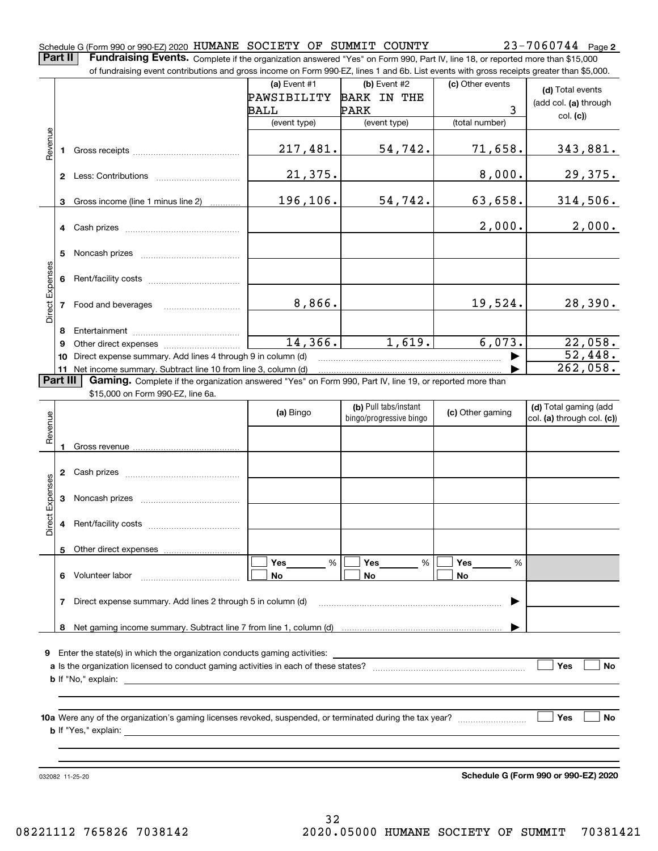### Schedule G (Form 990 or 990-EZ) 2020 Page HUMANE SOCIETY OF SUMMIT COUNTY 23-7060744

**Part II** | Fundraising Events. Complete if the organization answered "Yes" on Form 990, Part IV, line 18, or reported more than \$15,000

|                 |          | of fundraising event contributions and gross income on Form 990-EZ, lines 1 and 6b. List events with gross receipts greater than \$5,000. |              |                         |                  |                            |
|-----------------|----------|-------------------------------------------------------------------------------------------------------------------------------------------|--------------|-------------------------|------------------|----------------------------|
|                 |          |                                                                                                                                           | (a) Event #1 | (b) Event #2            | (c) Other events | (d) Total events           |
|                 |          |                                                                                                                                           | PAWSIBILITY  | <b>BARK IN THE</b>      |                  | (add col. (a) through      |
|                 |          |                                                                                                                                           | BALL         | PARK                    | 3                | col. (c)                   |
|                 |          |                                                                                                                                           | (event type) | (event type)            | (total number)   |                            |
| evenue          |          |                                                                                                                                           |              |                         |                  |                            |
|                 |          |                                                                                                                                           | 217,481.     | 54,742.                 | 71,658.          | 343,881.                   |
|                 |          |                                                                                                                                           |              |                         |                  |                            |
|                 |          |                                                                                                                                           | 21,375.      |                         | 8,000.           | 29,375.                    |
|                 |          |                                                                                                                                           |              |                         |                  |                            |
|                 | 3        | Gross income (line 1 minus line 2)                                                                                                        | 196, 106.    | 54,742.                 | 63,658.          | 314,506.                   |
|                 |          |                                                                                                                                           |              |                         |                  |                            |
|                 |          |                                                                                                                                           |              |                         | 2,000.           | 2,000.                     |
|                 |          |                                                                                                                                           |              |                         |                  |                            |
|                 | 5        |                                                                                                                                           |              |                         |                  |                            |
|                 |          |                                                                                                                                           |              |                         |                  |                            |
|                 |          |                                                                                                                                           |              |                         |                  |                            |
| Direct Expenses |          |                                                                                                                                           |              |                         |                  |                            |
|                 |          | 7 Food and beverages                                                                                                                      | 8,866.       |                         | 19,524.          | 28,390.                    |
|                 |          |                                                                                                                                           |              |                         |                  |                            |
|                 | 8        |                                                                                                                                           |              |                         |                  |                            |
|                 | 9        |                                                                                                                                           | 14,366.      | 1,619.                  | 6,073.           | 22,058.                    |
|                 | 10       | Direct expense summary. Add lines 4 through 9 in column (d)                                                                               |              |                         |                  | 52,448.                    |
|                 |          | 11 Net income summary. Subtract line 10 from line 3, column (d)                                                                           |              |                         |                  | $\overline{262,058}$ .     |
|                 | Part III | Gaming. Complete if the organization answered "Yes" on Form 990, Part IV, line 19, or reported more than                                  |              |                         |                  |                            |
|                 |          | \$15,000 on Form 990-EZ, line 6a.                                                                                                         |              |                         |                  |                            |
|                 |          |                                                                                                                                           | (a) Bingo    | (b) Pull tabs/instant   | (c) Other gaming | (d) Total gaming (add      |
| Revenue         |          |                                                                                                                                           |              | bingo/progressive bingo |                  | col. (a) through col. (c)) |
|                 |          |                                                                                                                                           |              |                         |                  |                            |
|                 |          |                                                                                                                                           |              |                         |                  |                            |
|                 |          |                                                                                                                                           |              |                         |                  |                            |
|                 |          |                                                                                                                                           |              |                         |                  |                            |
|                 |          |                                                                                                                                           |              |                         |                  |                            |
| Expenses        |          |                                                                                                                                           |              |                         |                  |                            |
|                 |          |                                                                                                                                           |              |                         |                  |                            |
| <b>Direct</b>   |          |                                                                                                                                           |              |                         |                  |                            |
|                 |          |                                                                                                                                           |              |                         |                  |                            |
|                 |          | 5 Other direct expenses                                                                                                                   |              |                         |                  |                            |
|                 |          |                                                                                                                                           | %<br>Yes     | %<br>Yes                | Yes<br>%         |                            |
|                 |          | 6 Volunteer labor                                                                                                                         | No           | No                      | No               |                            |
|                 |          |                                                                                                                                           |              |                         |                  |                            |
|                 | 7        | Direct expense summary. Add lines 2 through 5 in column (d)                                                                               |              |                         |                  |                            |
|                 |          |                                                                                                                                           |              |                         |                  |                            |
|                 |          |                                                                                                                                           |              |                         |                  |                            |
|                 |          |                                                                                                                                           |              |                         |                  |                            |
|                 |          | <b>9</b> Enter the state(s) in which the organization conducts gaming activities:                                                         |              |                         |                  |                            |
|                 |          |                                                                                                                                           |              |                         |                  | Yes<br>No                  |
|                 |          |                                                                                                                                           |              |                         |                  |                            |
|                 |          |                                                                                                                                           |              |                         |                  |                            |
|                 |          |                                                                                                                                           |              |                         |                  |                            |
|                 |          |                                                                                                                                           |              |                         |                  | Yes<br>No                  |
|                 |          |                                                                                                                                           |              |                         |                  |                            |
|                 |          |                                                                                                                                           |              |                         |                  |                            |
|                 |          |                                                                                                                                           |              |                         |                  |                            |
|                 |          |                                                                                                                                           |              |                         |                  |                            |

032082 11-25-20

**Schedule G (Form 990 or 990-EZ) 2020**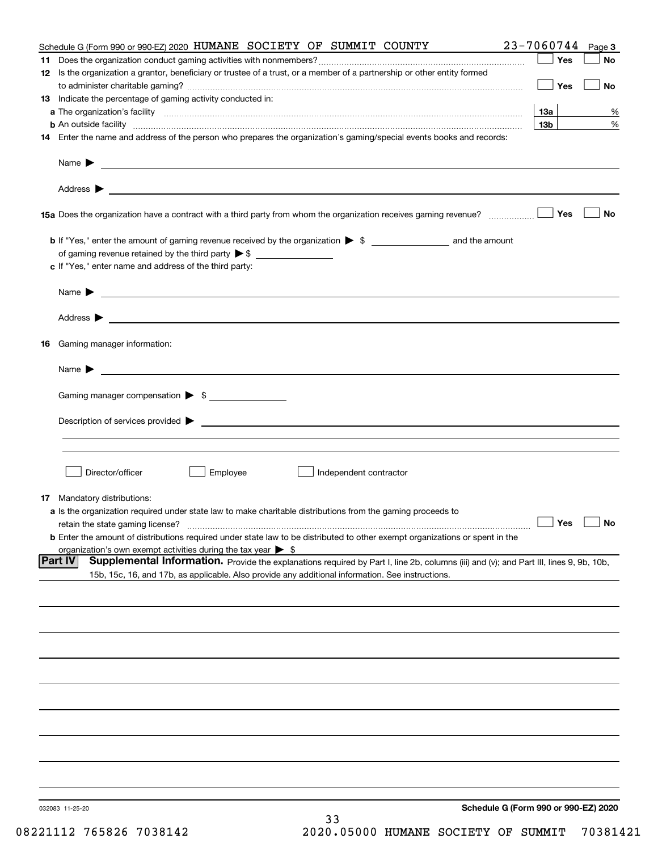|    | Schedule G (Form 990 or 990-EZ) 2020 HUMANE SOCIETY OF SUMMIT COUNTY                                                                                                                                                                                         | 23-7060744                           | Page 3    |
|----|--------------------------------------------------------------------------------------------------------------------------------------------------------------------------------------------------------------------------------------------------------------|--------------------------------------|-----------|
|    |                                                                                                                                                                                                                                                              | Yes                                  | No        |
|    | 12 Is the organization a grantor, beneficiary or trustee of a trust, or a member of a partnership or other entity formed                                                                                                                                     | Yes                                  | No        |
|    | 13 Indicate the percentage of gaming activity conducted in:                                                                                                                                                                                                  |                                      |           |
|    |                                                                                                                                                                                                                                                              | 13а                                  | %         |
|    |                                                                                                                                                                                                                                                              | 13 <sub>b</sub>                      | %         |
|    | 14 Enter the name and address of the person who prepares the organization's gaming/special events books and records:                                                                                                                                         |                                      |           |
|    |                                                                                                                                                                                                                                                              |                                      |           |
|    |                                                                                                                                                                                                                                                              |                                      |           |
|    |                                                                                                                                                                                                                                                              | Yes                                  | No        |
|    |                                                                                                                                                                                                                                                              |                                      |           |
|    | of gaming revenue retained by the third party $\triangleright$ \$                                                                                                                                                                                            |                                      |           |
|    | c If "Yes," enter name and address of the third party:                                                                                                                                                                                                       |                                      |           |
|    | Name $\blacktriangleright$<br><u> 1989 - Johann Barbara, marka a shekara ta 1989 - An tsaran a shekara tsa 1989 - An tsara tsara tsa 1989 - An</u>                                                                                                           |                                      |           |
|    |                                                                                                                                                                                                                                                              |                                      |           |
| 16 | Gaming manager information:                                                                                                                                                                                                                                  |                                      |           |
|    | $Name \rightarrow$                                                                                                                                                                                                                                           |                                      |           |
|    |                                                                                                                                                                                                                                                              |                                      |           |
|    | Gaming manager compensation > \$                                                                                                                                                                                                                             |                                      |           |
|    |                                                                                                                                                                                                                                                              |                                      |           |
|    |                                                                                                                                                                                                                                                              |                                      |           |
|    | Director/officer<br>Employee<br>Independent contractor                                                                                                                                                                                                       |                                      |           |
|    | <b>17</b> Mandatory distributions:                                                                                                                                                                                                                           |                                      |           |
|    | a Is the organization required under state law to make charitable distributions from the gaming proceeds to                                                                                                                                                  |                                      |           |
|    | retain the state gaming license?                                                                                                                                                                                                                             | $\Box$ Yes                           | $\Box$ No |
|    | <b>b</b> Enter the amount of distributions required under state law to be distributed to other exempt organizations or spent in the                                                                                                                          |                                      |           |
|    | organization's own exempt activities during the tax year $\triangleright$ \$                                                                                                                                                                                 |                                      |           |
|    | <b>Part IV</b><br>Supplemental Information. Provide the explanations required by Part I, line 2b, columns (iii) and (v); and Part III, lines 9, 9b, 10b,<br>15b, 15c, 16, and 17b, as applicable. Also provide any additional information. See instructions. |                                      |           |
|    |                                                                                                                                                                                                                                                              |                                      |           |
|    |                                                                                                                                                                                                                                                              |                                      |           |
|    |                                                                                                                                                                                                                                                              |                                      |           |
|    |                                                                                                                                                                                                                                                              |                                      |           |
|    |                                                                                                                                                                                                                                                              |                                      |           |
|    |                                                                                                                                                                                                                                                              |                                      |           |
|    |                                                                                                                                                                                                                                                              |                                      |           |
|    |                                                                                                                                                                                                                                                              |                                      |           |
|    |                                                                                                                                                                                                                                                              |                                      |           |
|    |                                                                                                                                                                                                                                                              |                                      |           |
|    | 032083 11-25-20<br>33                                                                                                                                                                                                                                        | Schedule G (Form 990 or 990-EZ) 2020 |           |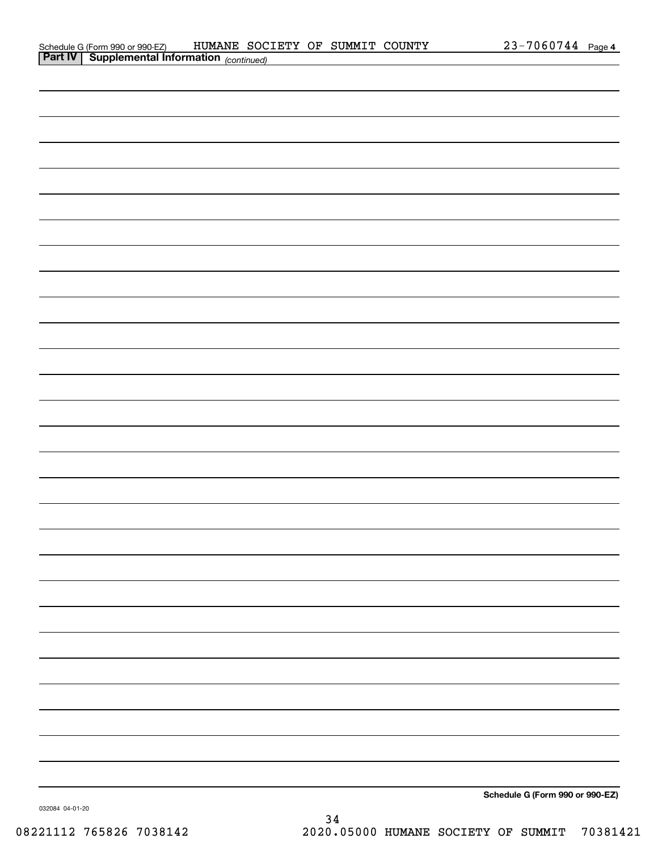| Schedule G (Form 990 or 990-EZ)                       | HUMANE SOCIETY OF SUMMIT COUNTY |  | 23-7060744 Page 4 |  |
|-------------------------------------------------------|---------------------------------|--|-------------------|--|
| <b>Part IV   Supplemental Information</b> (continued) |                                 |  |                   |  |

| <b>Part IV   Supplemental Information</b> (continued) |  |                                 |
|-------------------------------------------------------|--|---------------------------------|
|                                                       |  |                                 |
|                                                       |  |                                 |
|                                                       |  |                                 |
|                                                       |  |                                 |
|                                                       |  |                                 |
|                                                       |  |                                 |
|                                                       |  |                                 |
|                                                       |  |                                 |
|                                                       |  |                                 |
|                                                       |  |                                 |
|                                                       |  |                                 |
|                                                       |  |                                 |
|                                                       |  |                                 |
|                                                       |  |                                 |
|                                                       |  |                                 |
|                                                       |  |                                 |
|                                                       |  |                                 |
|                                                       |  |                                 |
|                                                       |  |                                 |
|                                                       |  |                                 |
|                                                       |  |                                 |
|                                                       |  |                                 |
|                                                       |  |                                 |
|                                                       |  |                                 |
|                                                       |  |                                 |
|                                                       |  |                                 |
|                                                       |  |                                 |
|                                                       |  |                                 |
|                                                       |  |                                 |
|                                                       |  | Schedule G (Form 990 or 990-EZ) |

032084 04-01-20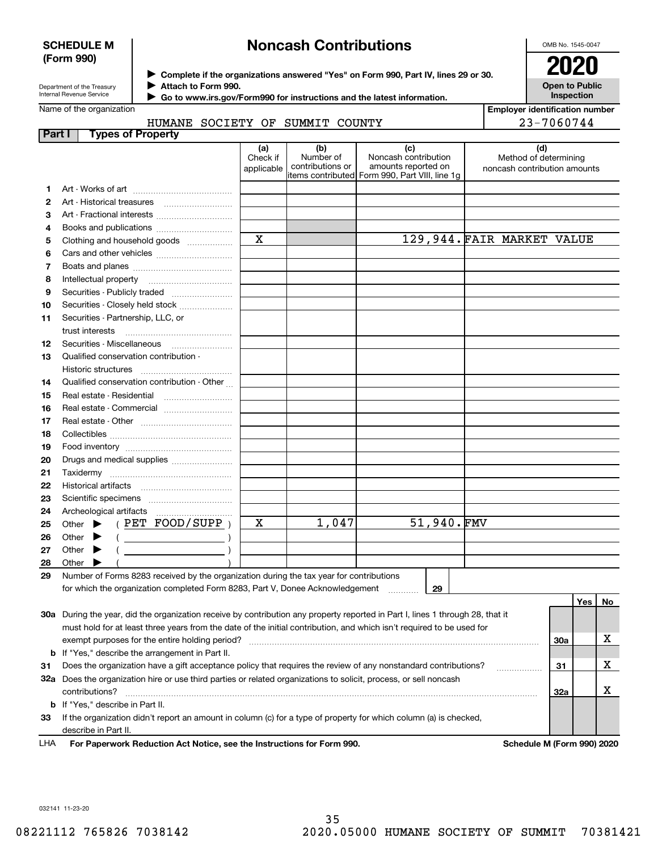## **SCHEDULE M (Form 990)**

# **Noncash Contributions**

OMB No. 1545-0047

**Open to Public Inspection**

**Employer identification number**

| Department of the Treasury |
|----------------------------|
| Internal Revenue Service   |

**Complete if the organizations answered "Yes" on Form 990, Part IV, lines 29 or 30.** <sup>J</sup>**2020 Attach to Form 990.** J

 **Go to www.irs.gov/Form990 for instructions and the latest information.** J

### Name of the organization HUMANE COCTETY OF CUMMIT COUNTY

|               | HUMANE SOCIETY OF SUMMIT COUNTY                                                                                                |                               |                                      |                                                                                                      |                                                       | 23-7060744 |     |    |
|---------------|--------------------------------------------------------------------------------------------------------------------------------|-------------------------------|--------------------------------------|------------------------------------------------------------------------------------------------------|-------------------------------------------------------|------------|-----|----|
| <b>Part I</b> | <b>Types of Property</b>                                                                                                       |                               |                                      |                                                                                                      |                                                       |            |     |    |
|               |                                                                                                                                | (a)<br>Check if<br>applicable | (b)<br>Number of<br>contributions or | (c)<br>Noncash contribution<br>amounts reported on<br>items contributed Form 990, Part VIII, line 1g | Method of determining<br>noncash contribution amounts | (d)        |     |    |
| 1.            |                                                                                                                                |                               |                                      |                                                                                                      |                                                       |            |     |    |
| 2             |                                                                                                                                |                               |                                      |                                                                                                      |                                                       |            |     |    |
| 3             | Art - Fractional interests                                                                                                     |                               |                                      |                                                                                                      |                                                       |            |     |    |
| 4             |                                                                                                                                |                               |                                      |                                                                                                      |                                                       |            |     |    |
| 5             | Clothing and household goods                                                                                                   | $\mathbf x$                   |                                      |                                                                                                      | 129,944. FAIR MARKET VALUE                            |            |     |    |
| 6             |                                                                                                                                |                               |                                      |                                                                                                      |                                                       |            |     |    |
| 7             |                                                                                                                                |                               |                                      |                                                                                                      |                                                       |            |     |    |
| 8             |                                                                                                                                |                               |                                      |                                                                                                      |                                                       |            |     |    |
| 9             | Securities - Publicly traded                                                                                                   |                               |                                      |                                                                                                      |                                                       |            |     |    |
| 10            | Securities - Closely held stock                                                                                                |                               |                                      |                                                                                                      |                                                       |            |     |    |
| 11            | Securities - Partnership, LLC, or                                                                                              |                               |                                      |                                                                                                      |                                                       |            |     |    |
|               | trust interests                                                                                                                |                               |                                      |                                                                                                      |                                                       |            |     |    |
| 12            | Securities - Miscellaneous                                                                                                     |                               |                                      |                                                                                                      |                                                       |            |     |    |
| 13            | Qualified conservation contribution -                                                                                          |                               |                                      |                                                                                                      |                                                       |            |     |    |
|               | Historic structures                                                                                                            |                               |                                      |                                                                                                      |                                                       |            |     |    |
| 14            | Qualified conservation contribution - Other                                                                                    |                               |                                      |                                                                                                      |                                                       |            |     |    |
| 15            |                                                                                                                                |                               |                                      |                                                                                                      |                                                       |            |     |    |
| 16            | Real estate - Commercial                                                                                                       |                               |                                      |                                                                                                      |                                                       |            |     |    |
| 17            |                                                                                                                                |                               |                                      |                                                                                                      |                                                       |            |     |    |
| 18            |                                                                                                                                |                               |                                      |                                                                                                      |                                                       |            |     |    |
| 19            |                                                                                                                                |                               |                                      |                                                                                                      |                                                       |            |     |    |
| 20            | Drugs and medical supplies                                                                                                     |                               |                                      |                                                                                                      |                                                       |            |     |    |
| 21            |                                                                                                                                |                               |                                      |                                                                                                      |                                                       |            |     |    |
| 22            |                                                                                                                                |                               |                                      |                                                                                                      |                                                       |            |     |    |
| 23            |                                                                                                                                |                               |                                      |                                                                                                      |                                                       |            |     |    |
| 24            |                                                                                                                                |                               |                                      |                                                                                                      |                                                       |            |     |    |
| 25            | ( PET FOOD/SUPP )<br>Other $\blacktriangleright$                                                                               | X                             | 1,047                                | 51,940.FMV                                                                                           |                                                       |            |     |    |
| 26            | Other                                                                                                                          |                               |                                      |                                                                                                      |                                                       |            |     |    |
| 27            | $($ $)$<br>Other<br>▶                                                                                                          |                               |                                      |                                                                                                      |                                                       |            |     |    |
| 28            | Other                                                                                                                          |                               |                                      |                                                                                                      |                                                       |            |     |    |
| 29            | Number of Forms 8283 received by the organization during the tax year for contributions                                        |                               |                                      |                                                                                                      |                                                       |            |     |    |
|               | for which the organization completed Form 8283, Part V, Donee Acknowledgement                                                  |                               |                                      | 29                                                                                                   |                                                       |            |     |    |
|               |                                                                                                                                |                               |                                      |                                                                                                      |                                                       |            | Yes | No |
|               | 30a During the year, did the organization receive by contribution any property reported in Part I, lines 1 through 28, that it |                               |                                      |                                                                                                      |                                                       |            |     |    |
|               | must hold for at least three years from the date of the initial contribution, and which isn't required to be used for          |                               |                                      |                                                                                                      |                                                       |            |     |    |
|               |                                                                                                                                |                               |                                      |                                                                                                      |                                                       | 30a        |     | х  |
| b             | If "Yes," describe the arrangement in Part II.                                                                                 |                               |                                      |                                                                                                      |                                                       |            |     |    |
| 31            | Does the organization have a gift acceptance policy that requires the review of any nonstandard contributions?                 |                               |                                      |                                                                                                      |                                                       | 31         |     | X  |
|               | 32a Does the organization hire or use third parties or related organizations to solicit, process, or sell noncash              |                               |                                      |                                                                                                      |                                                       |            |     |    |
|               | contributions?                                                                                                                 |                               |                                      |                                                                                                      |                                                       | 32a        |     | x  |

**For Paperwork Reduction Act Notice, see the Instructions for Form 990. Schedule M (Form 990) 2020** LHA

**33**If the organization didn't report an amount in column (c) for a type of property for which column (a) is checked,

032141 11-23-20

**b** If "Yes," describe in Part II.

describe in Part II.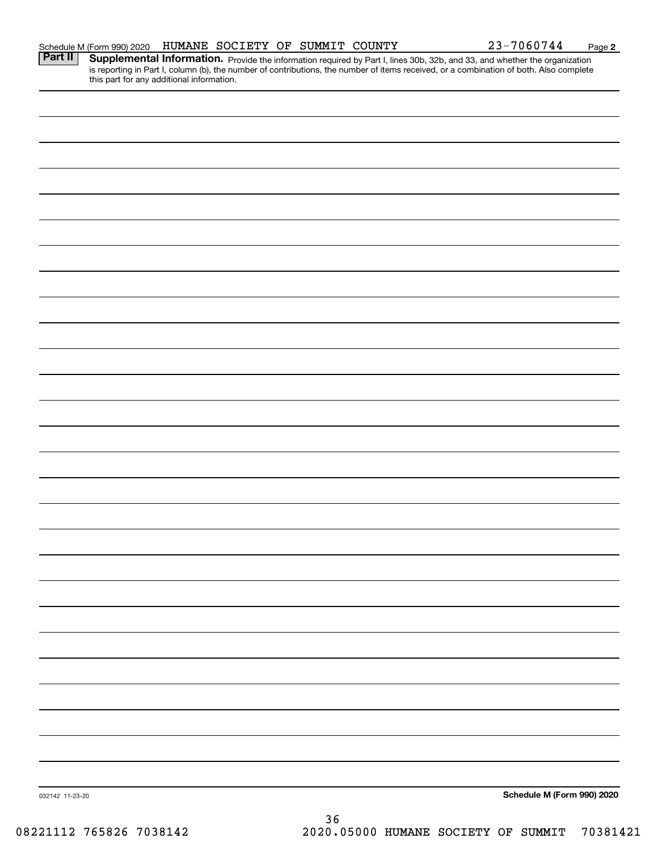|                 |                                                          | HUMANE SOCIETY OF SUMMIT COUNTY |    |  | 23-7060744                                                                                                                                                                                                                          | Page 2                     |
|-----------------|----------------------------------------------------------|---------------------------------|----|--|-------------------------------------------------------------------------------------------------------------------------------------------------------------------------------------------------------------------------------------|----------------------------|
|                 | Schedule M (Form 990) 2020<br><b>Part II</b> Supplementa |                                 |    |  | <b>Supplemental Information.</b> Provide the information required by Part I, lines 30b, 32b, and 33, and whether the organization is reporting in Part I, column (b), the number of contributions, the number of items received, or |                            |
|                 |                                                          |                                 |    |  |                                                                                                                                                                                                                                     |                            |
|                 |                                                          |                                 |    |  |                                                                                                                                                                                                                                     |                            |
|                 |                                                          |                                 |    |  |                                                                                                                                                                                                                                     |                            |
|                 |                                                          |                                 |    |  |                                                                                                                                                                                                                                     |                            |
|                 |                                                          |                                 |    |  |                                                                                                                                                                                                                                     |                            |
|                 |                                                          |                                 |    |  |                                                                                                                                                                                                                                     |                            |
|                 |                                                          |                                 |    |  |                                                                                                                                                                                                                                     |                            |
|                 |                                                          |                                 |    |  |                                                                                                                                                                                                                                     |                            |
|                 |                                                          |                                 |    |  |                                                                                                                                                                                                                                     |                            |
|                 |                                                          |                                 |    |  |                                                                                                                                                                                                                                     |                            |
|                 |                                                          |                                 |    |  |                                                                                                                                                                                                                                     |                            |
|                 |                                                          |                                 |    |  |                                                                                                                                                                                                                                     |                            |
|                 |                                                          |                                 |    |  |                                                                                                                                                                                                                                     |                            |
|                 |                                                          |                                 |    |  |                                                                                                                                                                                                                                     |                            |
|                 |                                                          |                                 |    |  |                                                                                                                                                                                                                                     |                            |
|                 |                                                          |                                 |    |  |                                                                                                                                                                                                                                     |                            |
|                 |                                                          |                                 |    |  |                                                                                                                                                                                                                                     |                            |
|                 |                                                          |                                 |    |  |                                                                                                                                                                                                                                     |                            |
|                 |                                                          |                                 |    |  |                                                                                                                                                                                                                                     |                            |
|                 |                                                          |                                 |    |  |                                                                                                                                                                                                                                     |                            |
|                 |                                                          |                                 |    |  |                                                                                                                                                                                                                                     |                            |
|                 |                                                          |                                 |    |  |                                                                                                                                                                                                                                     |                            |
|                 |                                                          |                                 |    |  |                                                                                                                                                                                                                                     |                            |
|                 |                                                          |                                 |    |  |                                                                                                                                                                                                                                     |                            |
|                 |                                                          |                                 |    |  |                                                                                                                                                                                                                                     |                            |
|                 |                                                          |                                 |    |  |                                                                                                                                                                                                                                     |                            |
|                 |                                                          |                                 |    |  |                                                                                                                                                                                                                                     |                            |
| 032142 11-23-20 |                                                          |                                 |    |  |                                                                                                                                                                                                                                     | Schedule M (Form 990) 2020 |
|                 |                                                          |                                 | つぐ |  |                                                                                                                                                                                                                                     |                            |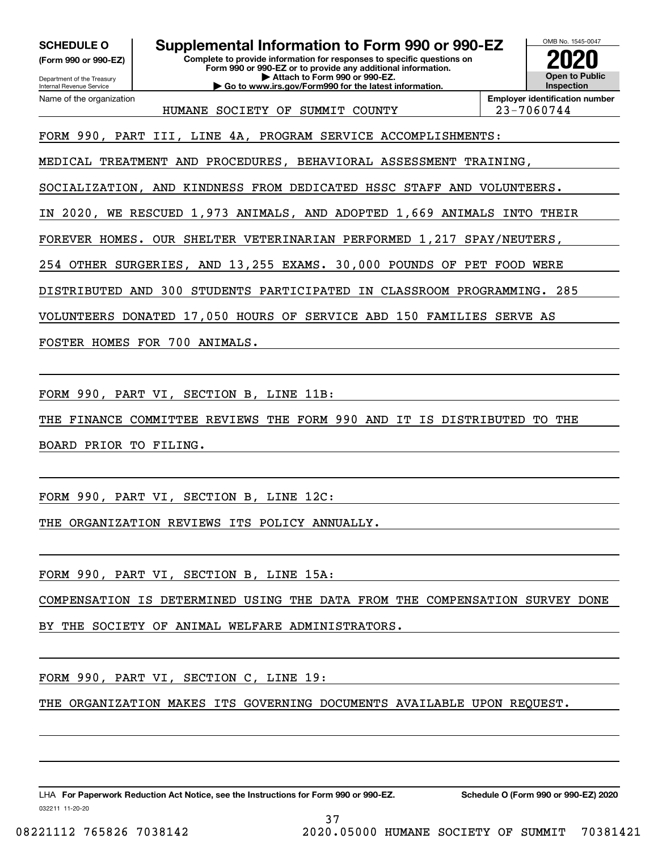**(Form 990 or 990-EZ)**

Department of the Treasury Internal Revenue Service Name of the organization

**SCHEDULE O Supplemental Information to Form 990 or 990-EZ**

**Complete to provide information for responses to specific questions on Form 990 or 990-EZ or to provide any additional information. | Attach to Form 990 or 990-EZ. | Go to www.irs.gov/Form990 for the latest information.**



HUMANE SOCIETY OF SUMMIT COUNTY 23-7060744

**Employer identification number**

FORM 990, PART III, LINE 4A, PROGRAM SERVICE ACCOMPLISHMENTS:

MEDICAL TREATMENT AND PROCEDURES, BEHAVIORAL ASSESSMENT TRAINING,

SOCIALIZATION, AND KINDNESS FROM DEDICATED HSSC STAFF AND VOLUNTEERS.

IN 2020, WE RESCUED 1,973 ANIMALS, AND ADOPTED 1,669 ANIMALS INTO THEIR

FOREVER HOMES. OUR SHELTER VETERINARIAN PERFORMED 1,217 SPAY/NEUTERS,

254 OTHER SURGERIES, AND 13,255 EXAMS. 30,000 POUNDS OF PET FOOD WERE

DISTRIBUTED AND 300 STUDENTS PARTICIPATED IN CLASSROOM PROGRAMMING. 285

VOLUNTEERS DONATED 17,050 HOURS OF SERVICE ABD 150 FAMILIES SERVE AS

FOSTER HOMES FOR 700 ANIMALS.

FORM 990, PART VI, SECTION B, LINE 11B:

THE FINANCE COMMITTEE REVIEWS THE FORM 990 AND IT IS DISTRIBUTED TO THE

BOARD PRIOR TO FILING.

FORM 990, PART VI, SECTION B, LINE 12C:

THE ORGANIZATION REVIEWS ITS POLICY ANNUALLY.

FORM 990, PART VI, SECTION B, LINE 15A:

COMPENSATION IS DETERMINED USING THE DATA FROM THE COMPENSATION SURVEY DONE

37

BY THE SOCIETY OF ANIMAL WELFARE ADMINISTRATORS.

FORM 990, PART VI, SECTION C, LINE 19:

THE ORGANIZATION MAKES ITS GOVERNING DOCUMENTS AVAILABLE UPON REQUEST.

LHA For Paperwork Reduction Act Notice, see the Instructions for Form 990 or 990-EZ. Schedule O (Form 990 or 990-EZ) 2020

032211 11-20-20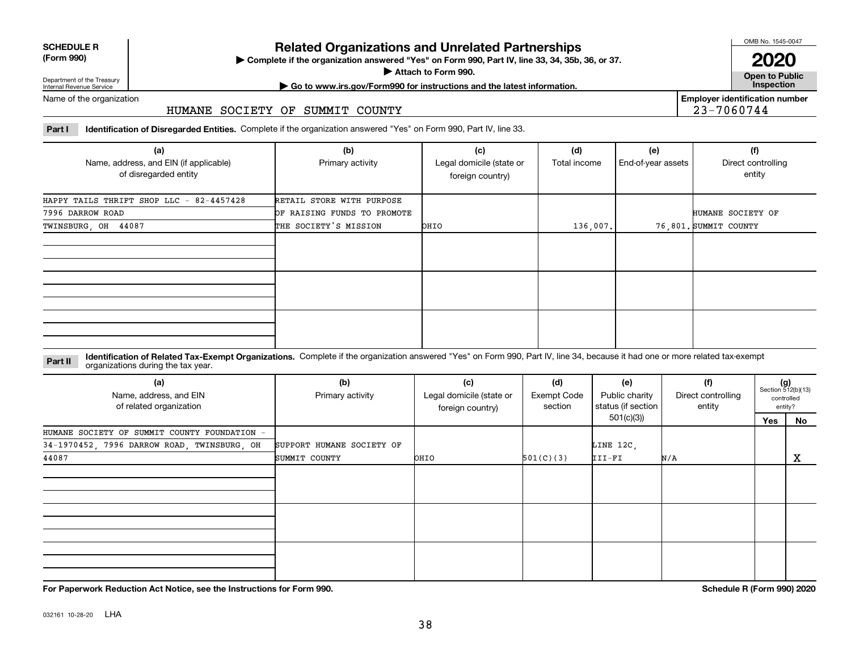| <b>SCHEDULE R</b>                          |  |
|--------------------------------------------|--|
| $\mathbf{r}$ , $\mathbf{r}$ , $\mathbf{r}$ |  |

### **(Form 990)**

# **Related Organizations and Unrelated Partnerships**

**Complete if the organization answered "Yes" on Form 990, Part IV, line 33, 34, 35b, 36, or 37.** |

**Attach to Form 990.**  |

OMB No. 1545-0047

**Open to Public 2020**

**Employer identification number**

23-7060744

Department of the Treasury Internal Revenue Service

**| Go to www.irs.gov/Form990 for instructions and the latest information. Inspection**

Name of the organization

## HUMANE SOCIETY OF SUMMIT COUNTY

**Part I Identification of Disregarded Entities.**  Complete if the organization answered "Yes" on Form 990, Part IV, line 33.

| (a)<br>Name, address, and EIN (if applicable)<br>of disregarded entity | (b)<br>Primary activity     | (c)<br>Legal domicile (state or<br>foreign country) | (d)<br>Total income | (e)<br>End-of-year assets | (f)<br>Direct controlling<br>entity |
|------------------------------------------------------------------------|-----------------------------|-----------------------------------------------------|---------------------|---------------------------|-------------------------------------|
| HAPPY TAILS THRIFT SHOP LLC - 82-4457428                               | RETAIL STORE WITH PURPOSE   |                                                     |                     |                           |                                     |
| 7996 DARROW ROAD                                                       | OF RAISING FUNDS TO PROMOTE |                                                     |                     |                           | HUMANE SOCIETY OF                   |
| TWINSBURG, OH 44087                                                    | THE SOCIETY'S MISSION       | OHIO                                                | 136,007.            |                           | 76.801. SUMMIT COUNTY               |
|                                                                        |                             |                                                     |                     |                           |                                     |
|                                                                        |                             |                                                     |                     |                           |                                     |
|                                                                        |                             |                                                     |                     |                           |                                     |

**Identification of Related Tax-Exempt Organizations.** Complete if the organization answered "Yes" on Form 990, Part IV, line 34, because it had one or more related tax-exempt **Part II** organizations during the tax year.

| (a)<br>Name, address, and EIN<br>of related organization | (b)<br>Primary activity   | (c)<br>Legal domicile (state or<br>foreign country) | (d)<br><b>Exempt Code</b><br>section | (e)<br>Public charity<br>status (if section | (f)<br>Direct controlling<br>entity |  | $(g)$<br>Section 512(b)(13)<br>controlled<br>entity? |  |
|----------------------------------------------------------|---------------------------|-----------------------------------------------------|--------------------------------------|---------------------------------------------|-------------------------------------|--|------------------------------------------------------|--|
|                                                          |                           |                                                     |                                      | 501(c)(3)                                   |                                     |  | No                                                   |  |
| HUMANE SOCIETY OF SUMMIT COUNTY FOUNDATION -             |                           |                                                     |                                      |                                             |                                     |  |                                                      |  |
| 34-1970452, 7996 DARROW ROAD, TWINSBURG, OH              | SUPPORT HUMANE SOCIETY OF |                                                     |                                      | LINE 12C,                                   |                                     |  |                                                      |  |
| 44087                                                    | SUMMIT COUNTY             | OHIO                                                | 501(C)(3)                            | III-FI                                      | N/A                                 |  | х                                                    |  |
|                                                          |                           |                                                     |                                      |                                             |                                     |  |                                                      |  |
|                                                          |                           |                                                     |                                      |                                             |                                     |  |                                                      |  |
|                                                          |                           |                                                     |                                      |                                             |                                     |  |                                                      |  |

**For Paperwork Reduction Act Notice, see the Instructions for Form 990. Schedule R (Form 990) 2020**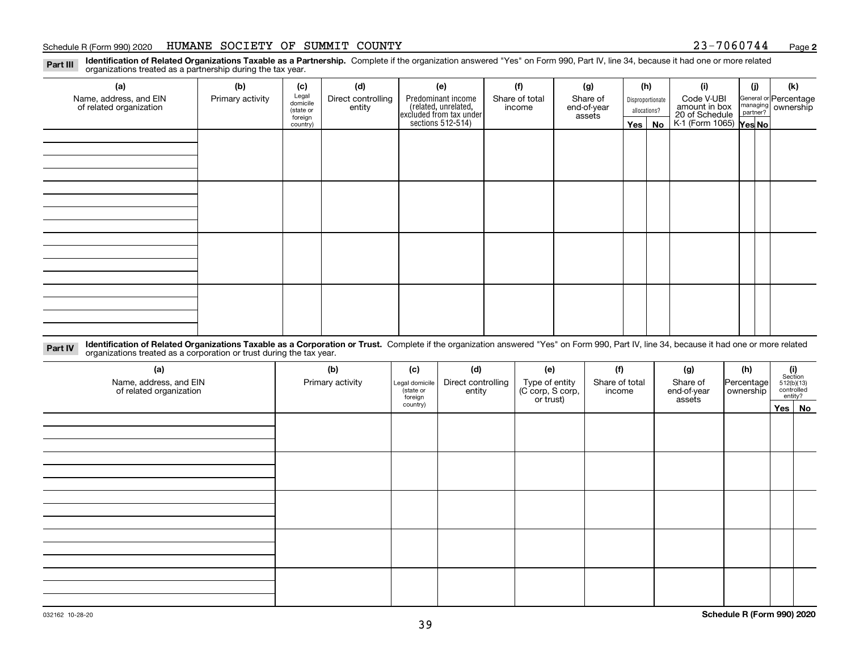### Schedule R (Form 990) 2020 HUMANE SOCIETY OF SUMMIT COUNTY 23-7060744 <sub>Page</sub>

**2**

**Identification of Related Organizations Taxable as a Partnership.** Complete if the organization answered "Yes" on Form 990, Part IV, line 34, because it had one or more related **Part III** organizations treated as a partnership during the tax year.

| (a)                                               | (b)              | (c)                  | (d)                          | (e)                                                                 | (f)                      | (g)                     |                  | (h)          | (i)                                                       | (i) | (k)                            |
|---------------------------------------------------|------------------|----------------------|------------------------------|---------------------------------------------------------------------|--------------------------|-------------------------|------------------|--------------|-----------------------------------------------------------|-----|--------------------------------|
| Name, address, and EIN<br>of related organization | Primary activity | Legal<br>domicile    | Direct controlling<br>entity | Predominant income                                                  | Share of total<br>income | Share of<br>end-of-year | Disproportionate |              | Code V-UBI                                                |     | General or Percentage          |
|                                                   |                  | (state or<br>foreign |                              |                                                                     |                          | assets                  |                  | allocations? |                                                           |     | managing<br>partner? Ownership |
|                                                   |                  | country)             |                              | related, unrelated,<br>excluded from tax under<br>sections 512-514) |                          |                         | Yes $ $          | No           | amount in box<br>20 of Schedule<br>K-1 (Form 1065) Yes No |     |                                |
|                                                   |                  |                      |                              |                                                                     |                          |                         |                  |              |                                                           |     |                                |
|                                                   |                  |                      |                              |                                                                     |                          |                         |                  |              |                                                           |     |                                |
|                                                   |                  |                      |                              |                                                                     |                          |                         |                  |              |                                                           |     |                                |
|                                                   |                  |                      |                              |                                                                     |                          |                         |                  |              |                                                           |     |                                |
|                                                   |                  |                      |                              |                                                                     |                          |                         |                  |              |                                                           |     |                                |
|                                                   |                  |                      |                              |                                                                     |                          |                         |                  |              |                                                           |     |                                |
|                                                   |                  |                      |                              |                                                                     |                          |                         |                  |              |                                                           |     |                                |
|                                                   |                  |                      |                              |                                                                     |                          |                         |                  |              |                                                           |     |                                |
|                                                   |                  |                      |                              |                                                                     |                          |                         |                  |              |                                                           |     |                                |
|                                                   |                  |                      |                              |                                                                     |                          |                         |                  |              |                                                           |     |                                |
|                                                   |                  |                      |                              |                                                                     |                          |                         |                  |              |                                                           |     |                                |
|                                                   |                  |                      |                              |                                                                     |                          |                         |                  |              |                                                           |     |                                |
|                                                   |                  |                      |                              |                                                                     |                          |                         |                  |              |                                                           |     |                                |
|                                                   |                  |                      |                              |                                                                     |                          |                         |                  |              |                                                           |     |                                |
|                                                   |                  |                      |                              |                                                                     |                          |                         |                  |              |                                                           |     |                                |
|                                                   |                  |                      |                              |                                                                     |                          |                         |                  |              |                                                           |     |                                |
|                                                   |                  |                      |                              |                                                                     |                          |                         |                  |              |                                                           |     |                                |

**Identification of Related Organizations Taxable as a Corporation or Trust.** Complete if the organization answered "Yes" on Form 990, Part IV, line 34, because it had one or more related **Part IV** organizations treated as a corporation or trust during the tax year.

| (a)<br>Name, address, and EIN<br>of related organization | (b)<br>Primary activity | (c)<br>Legal domicile<br>(state or<br>foreign | (d)<br>Direct controlling<br>entity | (e)<br>Type of entity<br>(C corp, S corp,<br>or trust) | (f)<br>Share of total<br>income | (g)<br>Share of<br>end-of-year<br>assets | (h)<br>Percentage<br>ownership | (i)<br>Section<br>512(b)(13)<br>controlled | entity?  |
|----------------------------------------------------------|-------------------------|-----------------------------------------------|-------------------------------------|--------------------------------------------------------|---------------------------------|------------------------------------------|--------------------------------|--------------------------------------------|----------|
|                                                          |                         | country)                                      |                                     |                                                        |                                 |                                          |                                |                                            | Yes   No |
|                                                          |                         |                                               |                                     |                                                        |                                 |                                          |                                |                                            |          |
|                                                          |                         |                                               |                                     |                                                        |                                 |                                          |                                |                                            |          |
|                                                          |                         |                                               |                                     |                                                        |                                 |                                          |                                |                                            |          |
|                                                          |                         |                                               |                                     |                                                        |                                 |                                          |                                |                                            |          |
|                                                          |                         |                                               |                                     |                                                        |                                 |                                          |                                |                                            |          |
|                                                          |                         |                                               |                                     |                                                        |                                 |                                          |                                |                                            |          |
|                                                          |                         |                                               |                                     |                                                        |                                 |                                          |                                |                                            |          |
|                                                          |                         |                                               |                                     |                                                        |                                 |                                          |                                |                                            |          |
|                                                          |                         |                                               |                                     |                                                        |                                 |                                          |                                |                                            |          |
|                                                          |                         |                                               |                                     |                                                        |                                 |                                          |                                |                                            |          |
|                                                          |                         |                                               |                                     |                                                        |                                 |                                          |                                |                                            |          |
|                                                          |                         |                                               |                                     |                                                        |                                 |                                          |                                |                                            |          |
|                                                          |                         |                                               |                                     |                                                        |                                 |                                          |                                |                                            |          |
|                                                          |                         |                                               |                                     |                                                        |                                 |                                          |                                |                                            |          |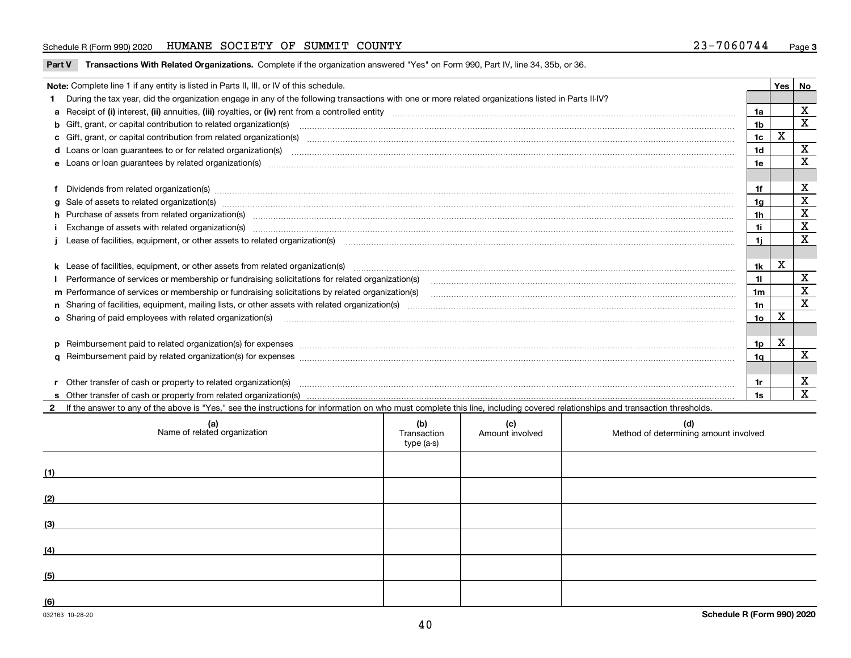### Schedule R (Form 990) 2020 HUMANE SOCIETY OF SUMMIT COUNTY 23-7060744 <sub>Page</sub>

| Part V Transactions With Related Organizations. Complete if the organization answered "Yes" on Form 990, Part IV, line 34, 35b, or 36. |  |
|----------------------------------------------------------------------------------------------------------------------------------------|--|
|                                                                                                                                        |  |

| Note: Complete line 1 if any entity is listed in Parts II, III, or IV of this schedule. |                                                                                                                                                                                                                                |                |   |             |  |  |
|-----------------------------------------------------------------------------------------|--------------------------------------------------------------------------------------------------------------------------------------------------------------------------------------------------------------------------------|----------------|---|-------------|--|--|
|                                                                                         | During the tax year, did the organization engage in any of the following transactions with one or more related organizations listed in Parts II-IV?                                                                            |                |   |             |  |  |
|                                                                                         |                                                                                                                                                                                                                                | 1a             |   | X           |  |  |
|                                                                                         | b Gift, grant, or capital contribution to related organization(s) manufaction contains and contribution to related organization(s) manufaction contribution for related organization(s) manufaction contains and contribution  | 1 <sub>b</sub> |   | X           |  |  |
|                                                                                         |                                                                                                                                                                                                                                | 1 <sub>c</sub> | х |             |  |  |
|                                                                                         | d Loans or loan guarantees to or for related organization(s) committion contracts are constructed as a contract or contract or contract or contract or contract or contract or contract or contract or contract or contract or | 1d             |   | $\mathbf X$ |  |  |
|                                                                                         | e Loans or loan guarantees by related organization(s) enconversement contracts and contained and contained and contained and contained and contained and contained and contained and contained and contained and contained and | 1e             |   | X           |  |  |
|                                                                                         |                                                                                                                                                                                                                                |                |   |             |  |  |
|                                                                                         | f Dividends from related organization(s) manufactured contains and contained and contained contained and contained and contained and contained and contained and contained and contained and contained and contained and conta | 1f             |   | х           |  |  |
|                                                                                         | g Sale of assets to related organization(s) www.assettion.com/www.assettion.com/www.assettion.com/www.assettion.com/www.assettion.com/www.assettion.com/www.assettion.com/www.assettion.com/www.assettion.com/www.assettion.co | 1 <sub>q</sub> |   | X           |  |  |
|                                                                                         |                                                                                                                                                                                                                                | 1 <sub>h</sub> |   | х           |  |  |
|                                                                                         | Exchange of assets with related organization(s) material contents and content to the content of the content of the content of the content of the content of the content of the content of the content of the content of the co | 1i             |   | X           |  |  |
|                                                                                         | Lease of facilities, equipment, or other assets to related organization(s) manufactured content and content and content and content and content and content and content and content and content and content and content and co | 1i.            |   | X           |  |  |
|                                                                                         |                                                                                                                                                                                                                                |                |   |             |  |  |
|                                                                                         |                                                                                                                                                                                                                                | 1k             | X |             |  |  |
|                                                                                         | I Performance of services or membership or fundraising solicitations for related organization(s)                                                                                                                               | 11             |   | х           |  |  |
|                                                                                         | m Performance of services or membership or fundraising solicitations by related organization(s)                                                                                                                                | 1m             |   | x           |  |  |
|                                                                                         |                                                                                                                                                                                                                                | 1n             |   | X           |  |  |
|                                                                                         |                                                                                                                                                                                                                                | 1o             | Χ |             |  |  |
|                                                                                         |                                                                                                                                                                                                                                |                |   |             |  |  |
|                                                                                         | p Reimbursement paid to related organization(s) for expenses [111] resummand content to content the set of the set of the set of the set of the set of the set of the set of the set of the set of the set of the set of the s | 1p             | X |             |  |  |
|                                                                                         |                                                                                                                                                                                                                                | 1 <sub>a</sub> |   | X           |  |  |
|                                                                                         |                                                                                                                                                                                                                                |                |   |             |  |  |
|                                                                                         | r Other transfer of cash or property to related organization(s)                                                                                                                                                                | 1r             |   | х           |  |  |
|                                                                                         |                                                                                                                                                                                                                                |                |   | X           |  |  |

**2**If the answer to any of the above is "Yes," see the instructions for information on who must complete this line, including covered relationships and transaction thresholds.

| (a)<br>Name of related organization | (b)<br>Transaction<br>type (a-s) | (c)<br>Amount involved | (d)<br>Method of determining amount involved |
|-------------------------------------|----------------------------------|------------------------|----------------------------------------------|
| (1)                                 |                                  |                        |                                              |
| (2)                                 |                                  |                        |                                              |
| (3)                                 |                                  |                        |                                              |
| (4)                                 |                                  |                        |                                              |
| (5)                                 |                                  |                        |                                              |
| (6)                                 |                                  |                        |                                              |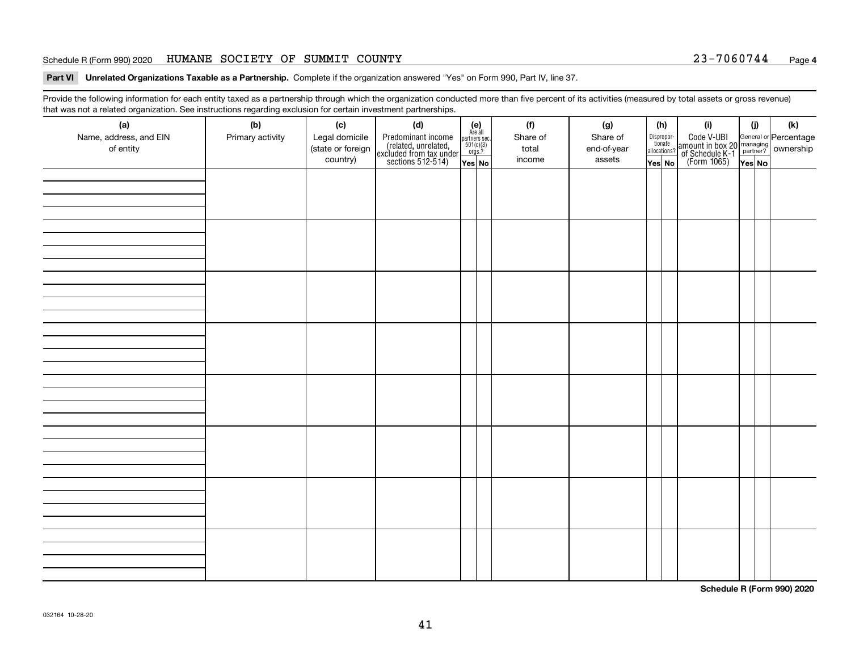### Schedule R (Form 990) 2020 HUMANE SOCIETY OF SUMMIT COUNTY 23-7060744 <sub>Page</sub>

**Part VI Unrelated Organizations Taxable as a Partnership. Complete if the organization answered "Yes" on Form 990, Part IV, line 37.** 

Provide the following information for each entity taxed as a partnership through which the organization conducted more than five percent of its activities (measured by total assets or gross revenue) that was not a related organization. See instructions regarding exclusion for certain investment partnerships.

| - - - - -<br>(a)<br>Name, address, and EIN<br>of entity | ----- <del>-</del> -------<br>(b)<br>Primary activity | (c)<br>Legal domicile<br>(state or foreign<br>country) | (d)<br>Predominant income<br>(related, unrelated,<br>excluded from tax under<br>sections 512-514) | (e)<br>Are all<br>partners sec.<br>$501(c)(3)$<br>orgs.?<br>Yes No | (f)<br>Share of<br>total<br>income | (g)<br>Share of<br>end-of-year<br>assets | (h)<br>Dispropor-<br>tionate<br>allocations?<br>Yes No | (i)<br>Code V-UBI<br>amount in box 20 managing<br>of Schedule K-1<br>(Form 1065)<br>$\overline{Yes}$ No | (i)<br>Yes No | (k) |
|---------------------------------------------------------|-------------------------------------------------------|--------------------------------------------------------|---------------------------------------------------------------------------------------------------|--------------------------------------------------------------------|------------------------------------|------------------------------------------|--------------------------------------------------------|---------------------------------------------------------------------------------------------------------|---------------|-----|
|                                                         |                                                       |                                                        |                                                                                                   |                                                                    |                                    |                                          |                                                        |                                                                                                         |               |     |
|                                                         |                                                       |                                                        |                                                                                                   |                                                                    |                                    |                                          |                                                        |                                                                                                         |               |     |
|                                                         |                                                       |                                                        |                                                                                                   |                                                                    |                                    |                                          |                                                        |                                                                                                         |               |     |
|                                                         |                                                       |                                                        |                                                                                                   |                                                                    |                                    |                                          |                                                        |                                                                                                         |               |     |
|                                                         |                                                       |                                                        |                                                                                                   |                                                                    |                                    |                                          |                                                        |                                                                                                         |               |     |
|                                                         |                                                       |                                                        |                                                                                                   |                                                                    |                                    |                                          |                                                        |                                                                                                         |               |     |
|                                                         |                                                       |                                                        |                                                                                                   |                                                                    |                                    |                                          |                                                        |                                                                                                         |               |     |
|                                                         |                                                       |                                                        |                                                                                                   |                                                                    |                                    |                                          |                                                        |                                                                                                         |               |     |

**Schedule R (Form 990) 2020**